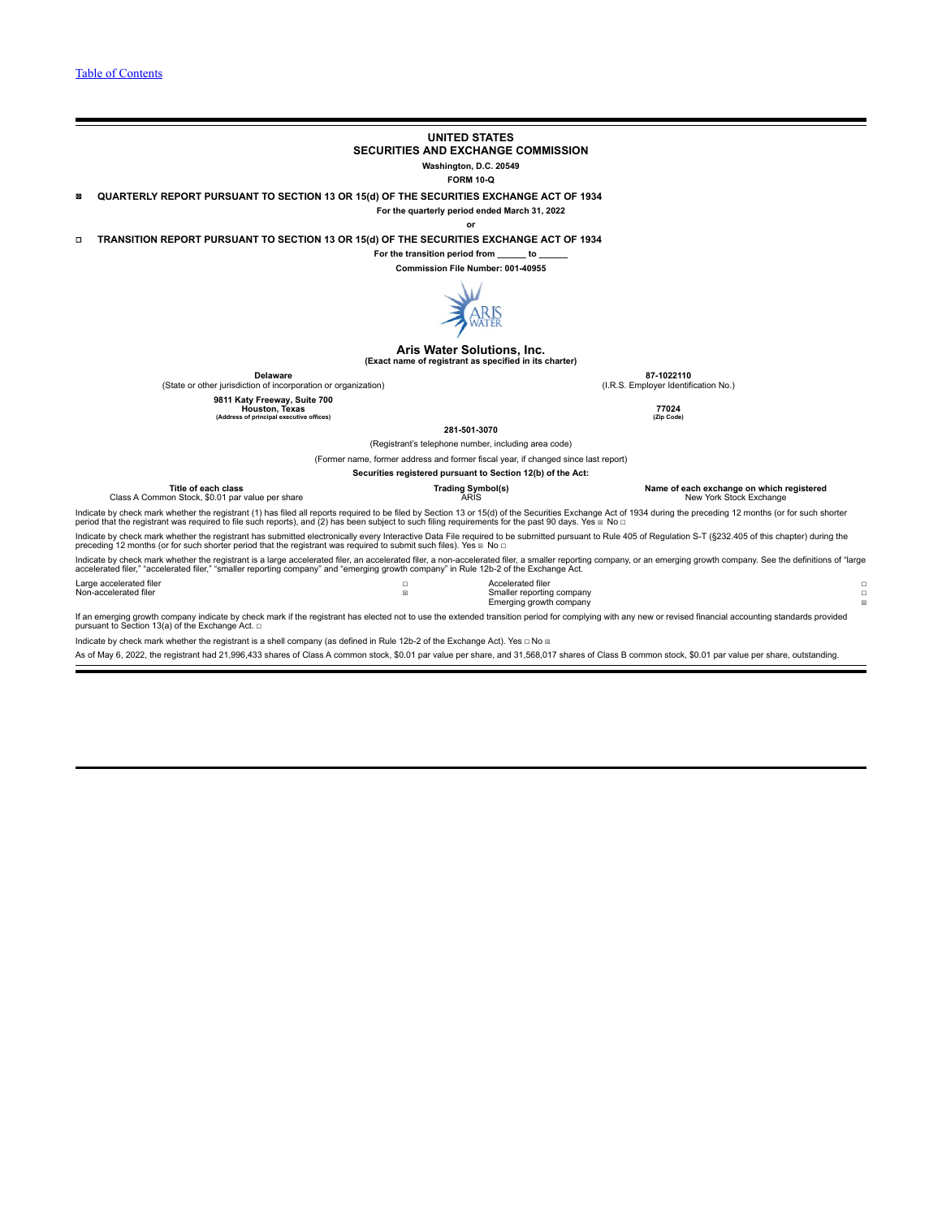## **UNITED STATES**

**SECURITIES AND EXCHANGE COMMISSION**

**Washington, D.C. 20549**

**FORM 10-Q**

☒ **QUARTERLY REPORT PURSUANT TO SECTION 13 OR 15(d) OF THE SECURITIES EXCHANGE ACT OF 1934**

**For the quarterly period ended March 31, 2022**

**or**

☐ **TRANSITION REPORT PURSUANT TO SECTION 13 OR 15(d) OF THE SECURITIES EXCHANGE ACT OF 1934**

**For the transition period from \_\_\_\_\_\_ to \_\_\_\_\_\_**

**Commission File Number: 001-40955**



#### **Aris Water Solutions, Inc. (Exact name of registrant as specified in its charter)**

**Delaware 87-1022110** (State or other jurisdiction of incorporation or organization) (I.R.S. Employer Identification No.)

**9811 Katy Freeway, Suite 700 Houston, Texas 77024 (Address of principal executive offices) (Zip Code)**

**281-501-3070**

(Registrant's telephone number, including area code) **Securities registered pursuant to Section 12(b) of the Act:**

(Former name, former address and former fiscal year, if changed since last report)

**Title of each class Trading Symbol(s) Name of each exchange on which registered**

Class A Common Stock, \$0.01 par value per share

Indicate by check mark whether the registrant (1) has filed all reports required to be filed by Section 13 or 15(d) of the Securities Exchange Act of 1934 during the preceding 12 months (or for such shorter period that the registrant was required to file such reports), and (2) has been subject to such filing requirements for the past 90 days. Yes ⊠ No □

Indicate by check mark whether the registrant has submitted electronically every Interactive Data File required to be submitted pursuant to Rule 405 of Regulation S-T (§232.405 of this chapter) during the preceding 12 months (or for such shorter period that the registrant was required to submit such files). Yes  $\boxtimes$  No  $\Box$ 

Indicate by check mark whether the registrant is a large accelerated filer, an accelerated filer, a non-accelerated filer, a smaller reporting company, or an emerging growth company. See the definitions of "large<br>accelerat

| Large accelerated filer | Accelerated filer         |           |
|-------------------------|---------------------------|-----------|
| Non-accelerated filer   | Smaller reporting company |           |
|                         | Emerging growth company   | <b>CO</b> |

If an emerging growth company indicate by check mark if the registrant has elected not to use the extended transition period for complying with any new or revised financial accounting standards provided<br>pursuant to Sectio

Indicate by check mark whether the registrant is a shell company (as defined in Rule 12b-2 of the Exchange Act). Yes □ No **¤** 

As of May 6, 2022, the registrant had 21,996,433 shares of Class A common stock, \$0.01 par value per share, and 31,568,017 shares of Class B common stock, \$0.01 par value per share, outstanding.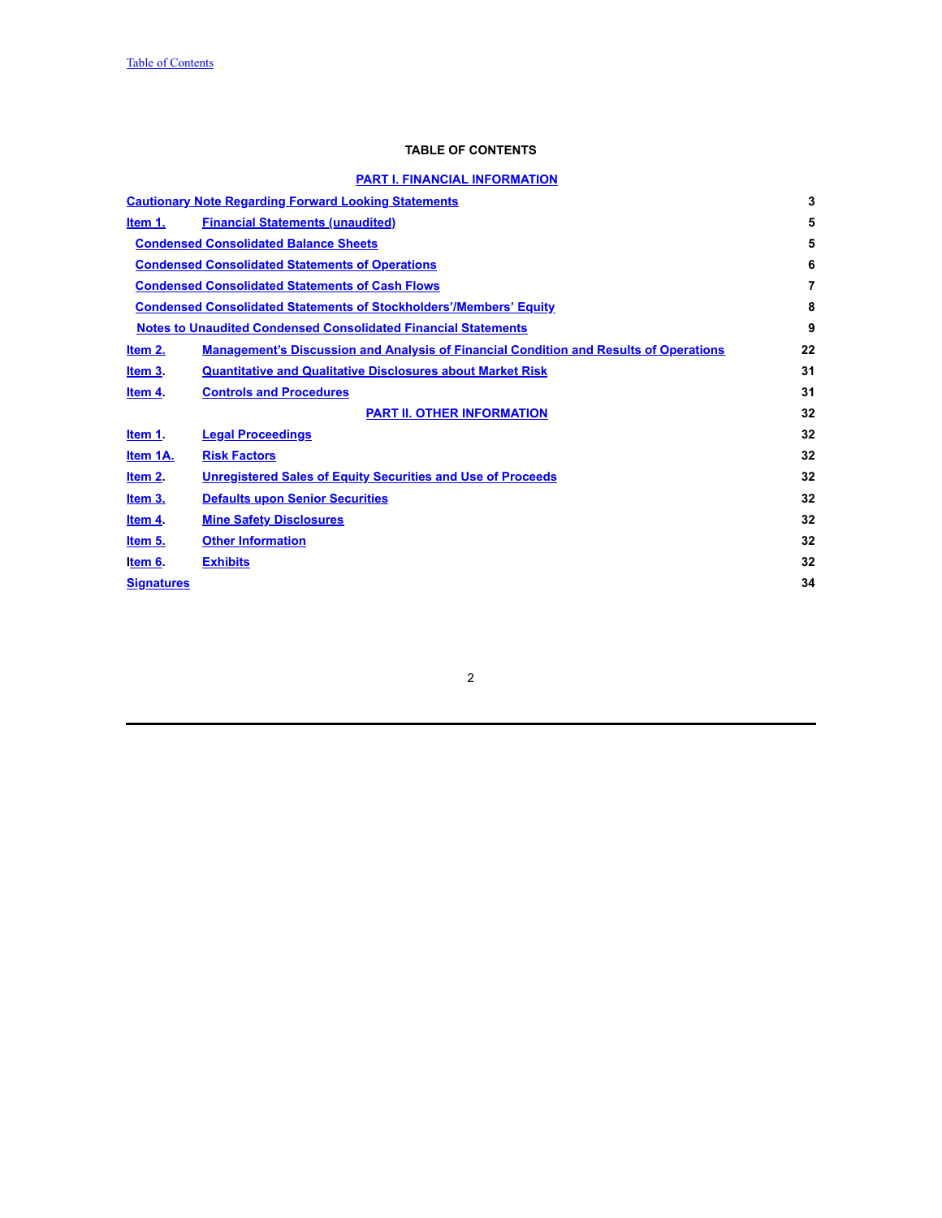# **TABLE OF CONTENTS**

# **PART I. FINANCIAL [INFORMATION](#page-4-0)**

<span id="page-1-0"></span>

|                   | <b>Cautionary Note Regarding Forward Looking Statements</b>                                  | 3  |
|-------------------|----------------------------------------------------------------------------------------------|----|
| Item 1.           | <b>Financial Statements (unaudited)</b>                                                      | 5  |
|                   | <b>Condensed Consolidated Balance Sheets</b>                                                 | 5  |
|                   | <b>Condensed Consolidated Statements of Operations</b>                                       | 6  |
|                   | <b>Condensed Consolidated Statements of Cash Flows</b>                                       | 7  |
|                   | <b>Condensed Consolidated Statements of Stockholders'/Members' Equity</b>                    | 8  |
|                   | <b>Notes to Unaudited Condensed Consolidated Financial Statements</b>                        | 9  |
| Item 2.           | <b>Management's Discussion and Analysis of Financial Condition and Results of Operations</b> | 22 |
| Item 3.           | <b>Quantitative and Qualitative Disclosures about Market Risk</b>                            | 31 |
| Item 4.           | <b>Controls and Procedures</b>                                                               | 31 |
|                   | <b>PART II. OTHER INFORMATION</b>                                                            | 32 |
| Item 1.           | <b>Legal Proceedings</b>                                                                     | 32 |
| Item 1A.          | <b>Risk Factors</b>                                                                          | 32 |
| Item 2            | <b>Unregistered Sales of Equity Securities and Use of Proceeds</b>                           | 32 |
| <u>Item 3.</u>    | <b>Defaults upon Senior Securities</b>                                                       | 32 |
| Item 4            | <b>Mine Safety Disclosures</b>                                                               | 32 |
| Item 5.           | <b>Other Information</b>                                                                     | 32 |
| Item 6.           | <b>Exhibits</b>                                                                              | 32 |
| <b>Signatures</b> |                                                                                              | 34 |
|                   |                                                                                              |    |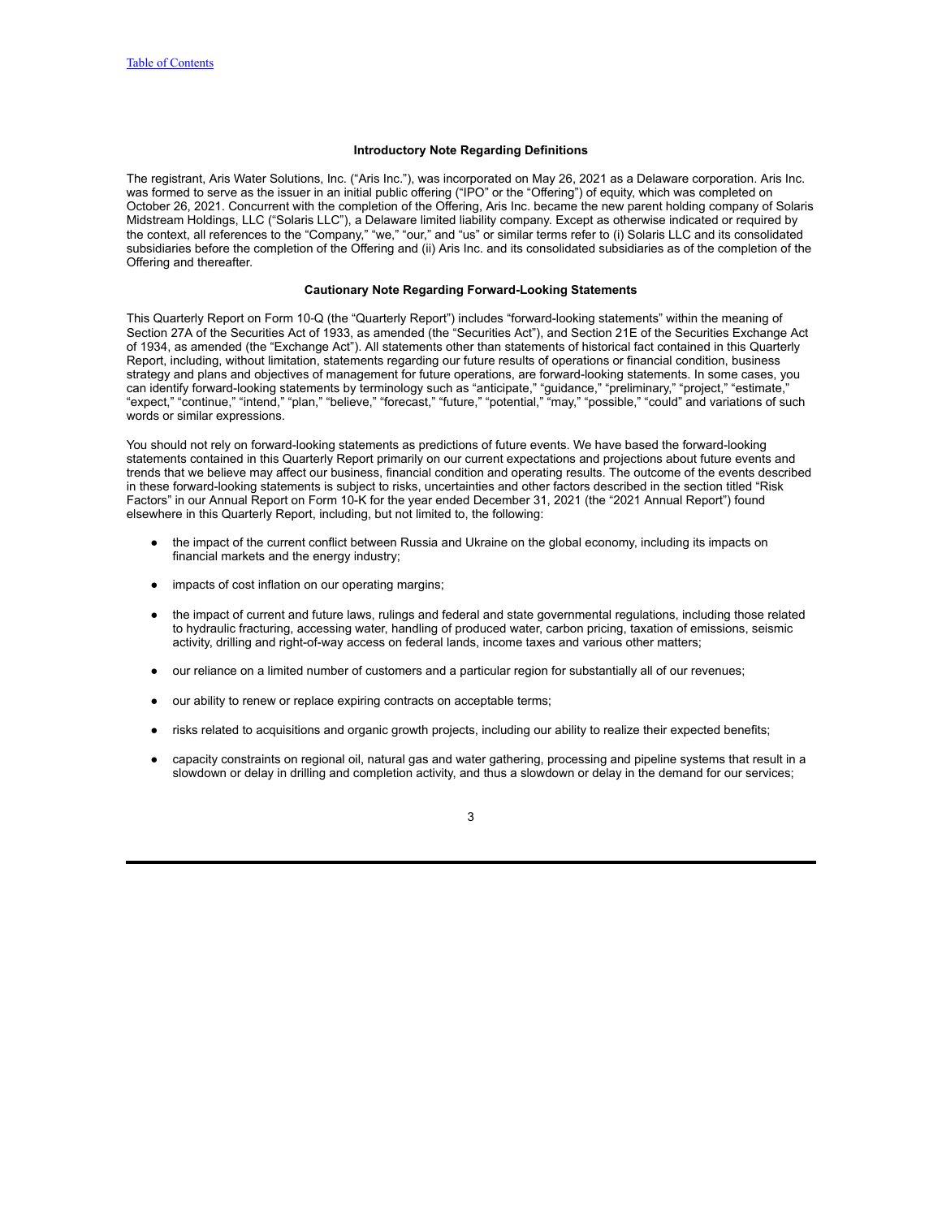## **Introductory Note Regarding Definitions**

The registrant, Aris Water Solutions, Inc. ("Aris Inc."), was incorporated on May 26, 2021 as a Delaware corporation. Aris Inc. was formed to serve as the issuer in an initial public offering ("IPO" or the "Offering") of equity, which was completed on October 26, 2021. Concurrent with the completion of the Offering, Aris Inc. became the new parent holding company of Solaris Midstream Holdings, LLC ("Solaris LLC"), a Delaware limited liability company. Except as otherwise indicated or required by the context, all references to the "Company," "we," "our," and "us" or similar terms refer to (i) Solaris LLC and its consolidated subsidiaries before the completion of the Offering and (ii) Aris Inc. and its consolidated subsidiaries as of the completion of the Offering and thereafter.

#### **Cautionary Note Regarding Forward-Looking Statements**

<span id="page-2-0"></span>This Quarterly Report on Form 10‑Q (the "Quarterly Report") includes "forward-looking statements" within the meaning of Section 27A of the Securities Act of 1933, as amended (the "Securities Act"), and Section 21E of the Securities Exchange Act of 1934, as amended (the "Exchange Act"). All statements other than statements of historical fact contained in this Quarterly Report, including, without limitation, statements regarding our future results of operations or financial condition, business strategy and plans and objectives of management for future operations, are forward-looking statements. In some cases, you can identify forward-looking statements by terminology such as "anticipate," "guidance," "preliminary," "project," "estimate," "expect," "continue," "intend," "plan," "believe," "forecast," "future," "potential," "may," "possible," "could" and variations of such words or similar expressions.

You should not rely on forward-looking statements as predictions of future events. We have based the forward-looking statements contained in this Quarterly Report primarily on our current expectations and projections about future events and trends that we believe may affect our business, financial condition and operating results. The outcome of the events described in these forward-looking statements is subject to risks, uncertainties and other factors described in the section titled "Risk Factors" in our Annual Report on Form 10-K for the year ended December 31, 2021 (the "2021 Annual Report") found elsewhere in this Quarterly Report, including, but not limited to, the following:

- the impact of the current conflict between Russia and Ukraine on the global economy, including its impacts on financial markets and the energy industry;
- impacts of cost inflation on our operating margins;
- the impact of current and future laws, rulings and federal and state governmental regulations, including those related to hydraulic fracturing, accessing water, handling of produced water, carbon pricing, taxation of emissions, seismic activity, drilling and right-of-way access on federal lands, income taxes and various other matters;
- our reliance on a limited number of customers and a particular region for substantially all of our revenues;
- our ability to renew or replace expiring contracts on acceptable terms;
- risks related to acquisitions and organic growth projects, including our ability to realize their expected benefits;
- capacity constraints on regional oil, natural gas and water gathering, processing and pipeline systems that result in a slowdown or delay in drilling and completion activity, and thus a slowdown or delay in the demand for our services;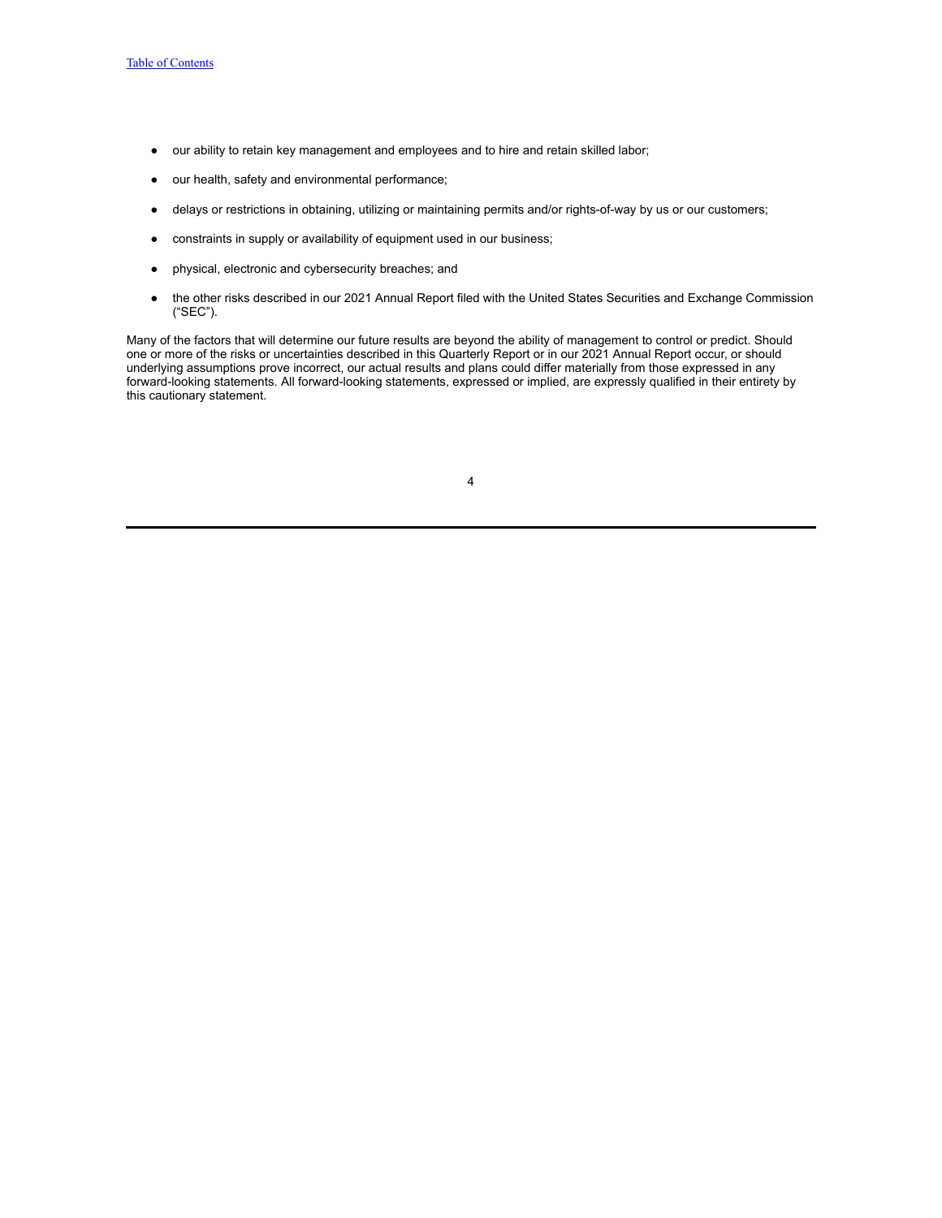- our ability to retain key management and employees and to hire and retain skilled labor;
- our health, safety and environmental performance;
- delays or restrictions in obtaining, utilizing or maintaining permits and/or rights-of-way by us or our customers;
- constraints in supply or availability of equipment used in our business;
- physical, electronic and cybersecurity breaches; and
- the other risks described in our 2021 Annual Report filed with the United States Securities and Exchange Commission ("SEC").

Many of the factors that will determine our future results are beyond the ability of management to control or predict. Should one or more of the risks or uncertainties described in this Quarterly Report or in our 2021 Annual Report occur, or should underlying assumptions prove incorrect, our actual results and plans could differ materially from those expressed in any forward-looking statements. All forward-looking statements, expressed or implied, are expressly qualified in their entirety by this cautionary statement.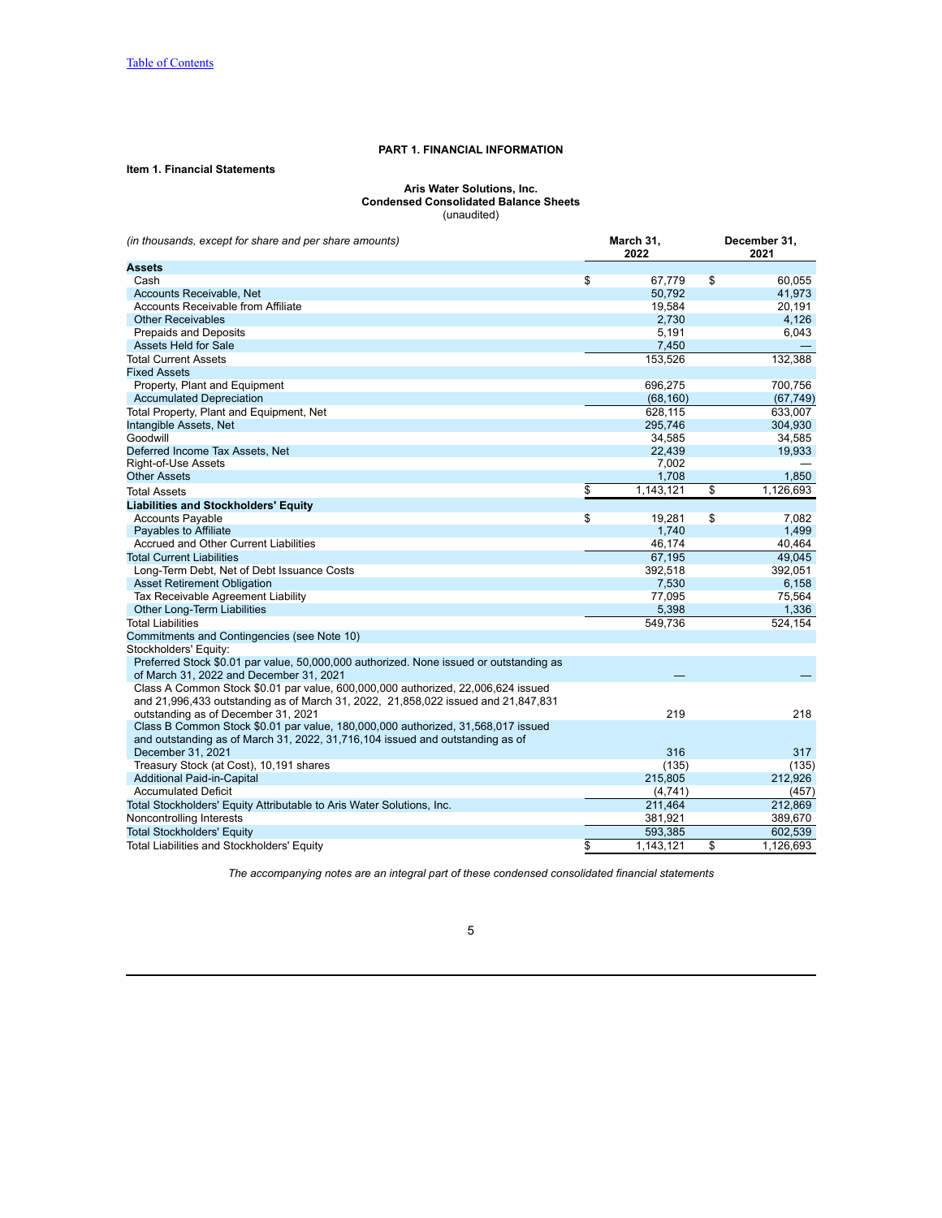## **PART 1. FINANCIAL INFORMATION**

# <span id="page-4-2"></span><span id="page-4-1"></span><span id="page-4-0"></span>**Item 1. Financial Statements**

#### **Aris Water Solutions, Inc. Condensed Consolidated Balance Sheets** (unaudited)

*(in thousands, except for share and per share amounts)* **March 31, December 31,** 

|                                                                                        | 2022            | 2021            |
|----------------------------------------------------------------------------------------|-----------------|-----------------|
| <b>Assets</b>                                                                          |                 |                 |
| Cash                                                                                   | \$<br>67,779    | \$<br>60.055    |
| Accounts Receivable, Net                                                               | 50,792          | 41,973          |
| Accounts Receivable from Affiliate                                                     | 19,584          | 20.191          |
| <b>Other Receivables</b>                                                               | 2,730           | 4,126           |
| <b>Prepaids and Deposits</b>                                                           | 5,191           | 6,043           |
| <b>Assets Held for Sale</b>                                                            | 7,450           |                 |
| <b>Total Current Assets</b>                                                            | 153,526         | 132,388         |
| <b>Fixed Assets</b>                                                                    |                 |                 |
| Property, Plant and Equipment                                                          | 696,275         | 700,756         |
| <b>Accumulated Depreciation</b>                                                        | (68, 160)       | (67, 749)       |
| Total Property, Plant and Equipment, Net                                               | 628,115         | 633,007         |
| Intangible Assets, Net                                                                 | 295,746         | 304,930         |
| Goodwill                                                                               | 34,585          | 34,585          |
| Deferred Income Tax Assets, Net                                                        | 22,439          | 19,933          |
| Right-of-Use Assets                                                                    | 7.002           |                 |
| <b>Other Assets</b>                                                                    | 1.708           | 1,850           |
| <b>Total Assets</b>                                                                    | \$<br>1,143,121 | \$<br>1,126,693 |
| <b>Liabilities and Stockholders' Equity</b>                                            |                 |                 |
| <b>Accounts Payable</b>                                                                | \$<br>19,281    | \$<br>7,082     |
| Payables to Affiliate                                                                  | 1.740           | 1,499           |
| Accrued and Other Current Liabilities                                                  | 46,174          | 40,464          |
| <b>Total Current Liabilities</b>                                                       | 67,195          | 49,045          |
| Long-Term Debt, Net of Debt Issuance Costs                                             | 392,518         | 392,051         |
| <b>Asset Retirement Obligation</b>                                                     | 7,530           | 6,158           |
| Tax Receivable Agreement Liability                                                     | 77,095          | 75,564          |
| <b>Other Long-Term Liabilities</b>                                                     | 5,398           | 1,336           |
| <b>Total Liabilities</b>                                                               | 549,736         | 524,154         |
| Commitments and Contingencies (see Note 10)                                            |                 |                 |
| Stockholders' Equity:                                                                  |                 |                 |
| Preferred Stock \$0.01 par value, 50,000,000 authorized. None issued or outstanding as |                 |                 |
| of March 31, 2022 and December 31, 2021                                                |                 |                 |
| Class A Common Stock \$0.01 par value, 600,000,000 authorized, 22,006,624 issued       |                 |                 |
| and 21,996,433 outstanding as of March 31, 2022, 21,858,022 issued and 21,847,831      |                 |                 |
| outstanding as of December 31, 2021                                                    | 219             | 218             |
| Class B Common Stock \$0.01 par value, 180,000,000 authorized, 31,568,017 issued       |                 |                 |
| and outstanding as of March 31, 2022, 31,716,104 issued and outstanding as of          |                 |                 |
| December 31, 2021                                                                      | 316             | 317             |
| Treasury Stock (at Cost), 10,191 shares                                                | (135)           | (135)           |
| <b>Additional Paid-in-Capital</b>                                                      | 215,805         | 212,926         |
| <b>Accumulated Deficit</b>                                                             | (4,741)         | (457)           |
| Total Stockholders' Equity Attributable to Aris Water Solutions, Inc.                  | 211,464         | 212,869         |
| Noncontrolling Interests                                                               | 381,921         | 389,670         |
| <b>Total Stockholders' Equity</b>                                                      | 593,385         | 602,539         |
| Total Liabilities and Stockholders' Equity                                             | \$<br>1,143,121 | \$<br>1,126,693 |

*The accompanying notes are an integral part of these condensed consolidated financial statements*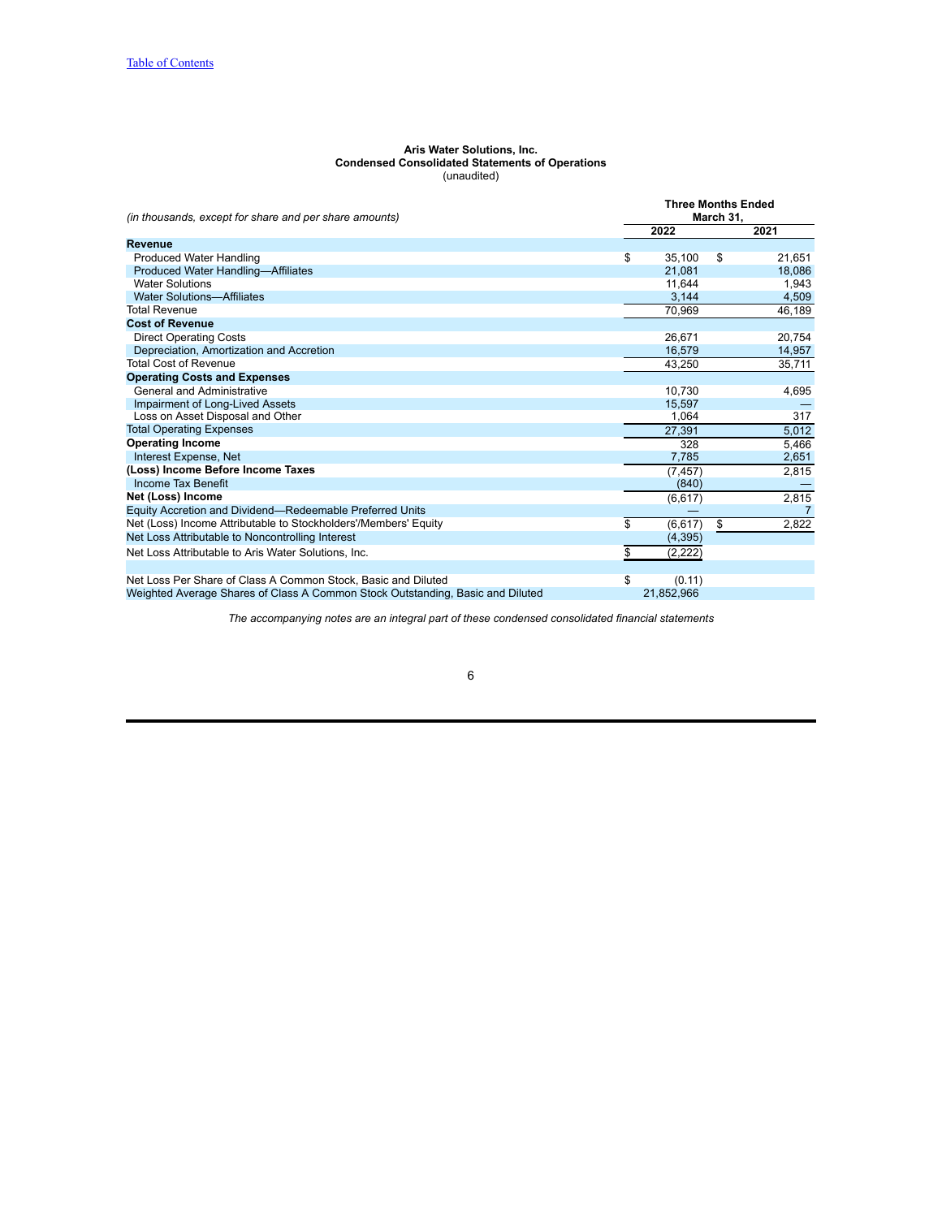#### **Aris Water Solutions, Inc. Condensed Consolidated Statements of Operations** (unaudited)

<span id="page-5-0"></span>

| (in thousands, except for share and per share amounts)                         | <b>Three Months Ended</b><br>March 31, |            |    |        |  |  |  |
|--------------------------------------------------------------------------------|----------------------------------------|------------|----|--------|--|--|--|
|                                                                                |                                        | 2022       |    | 2021   |  |  |  |
| Revenue                                                                        |                                        |            |    |        |  |  |  |
| <b>Produced Water Handling</b>                                                 | \$                                     | 35,100     | \$ | 21,651 |  |  |  |
| Produced Water Handling-Affiliates                                             |                                        | 21.081     |    | 18,086 |  |  |  |
| <b>Water Solutions</b>                                                         |                                        | 11.644     |    | 1.943  |  |  |  |
| <b>Water Solutions-Affiliates</b>                                              |                                        | 3,144      |    | 4,509  |  |  |  |
| <b>Total Revenue</b>                                                           |                                        | 70,969     |    | 46,189 |  |  |  |
| <b>Cost of Revenue</b>                                                         |                                        |            |    |        |  |  |  |
| <b>Direct Operating Costs</b>                                                  |                                        | 26.671     |    | 20,754 |  |  |  |
| Depreciation, Amortization and Accretion                                       |                                        | 16,579     |    | 14,957 |  |  |  |
| <b>Total Cost of Revenue</b>                                                   |                                        | 43.250     |    | 35,711 |  |  |  |
| <b>Operating Costs and Expenses</b>                                            |                                        |            |    |        |  |  |  |
| General and Administrative                                                     |                                        | 10.730     |    | 4,695  |  |  |  |
| Impairment of Long-Lived Assets                                                |                                        | 15,597     |    |        |  |  |  |
| Loss on Asset Disposal and Other                                               |                                        | 1.064      |    | 317    |  |  |  |
| <b>Total Operating Expenses</b>                                                |                                        | 27,391     |    | 5,012  |  |  |  |
| <b>Operating Income</b>                                                        |                                        | 328        |    | 5,466  |  |  |  |
| Interest Expense, Net                                                          |                                        | 7,785      |    | 2,651  |  |  |  |
| (Loss) Income Before Income Taxes                                              |                                        | (7, 457)   |    | 2,815  |  |  |  |
| <b>Income Tax Benefit</b>                                                      |                                        | (840)      |    |        |  |  |  |
| Net (Loss) Income                                                              |                                        | (6, 617)   |    | 2,815  |  |  |  |
| Equity Accretion and Dividend—Redeemable Preferred Units                       |                                        |            |    |        |  |  |  |
| Net (Loss) Income Attributable to Stockholders'/Members' Equity                | \$                                     | (6, 617)   | \$ | 2,822  |  |  |  |
| Net Loss Attributable to Noncontrolling Interest                               |                                        | (4, 395)   |    |        |  |  |  |
| Net Loss Attributable to Aris Water Solutions, Inc.                            | \$                                     | (2,222)    |    |        |  |  |  |
|                                                                                |                                        |            |    |        |  |  |  |
| Net Loss Per Share of Class A Common Stock, Basic and Diluted                  | \$                                     | (0.11)     |    |        |  |  |  |
| Weighted Average Shares of Class A Common Stock Outstanding, Basic and Diluted |                                        | 21,852,966 |    |        |  |  |  |

*The accompanying notes are an integral part of these condensed consolidated financial statements*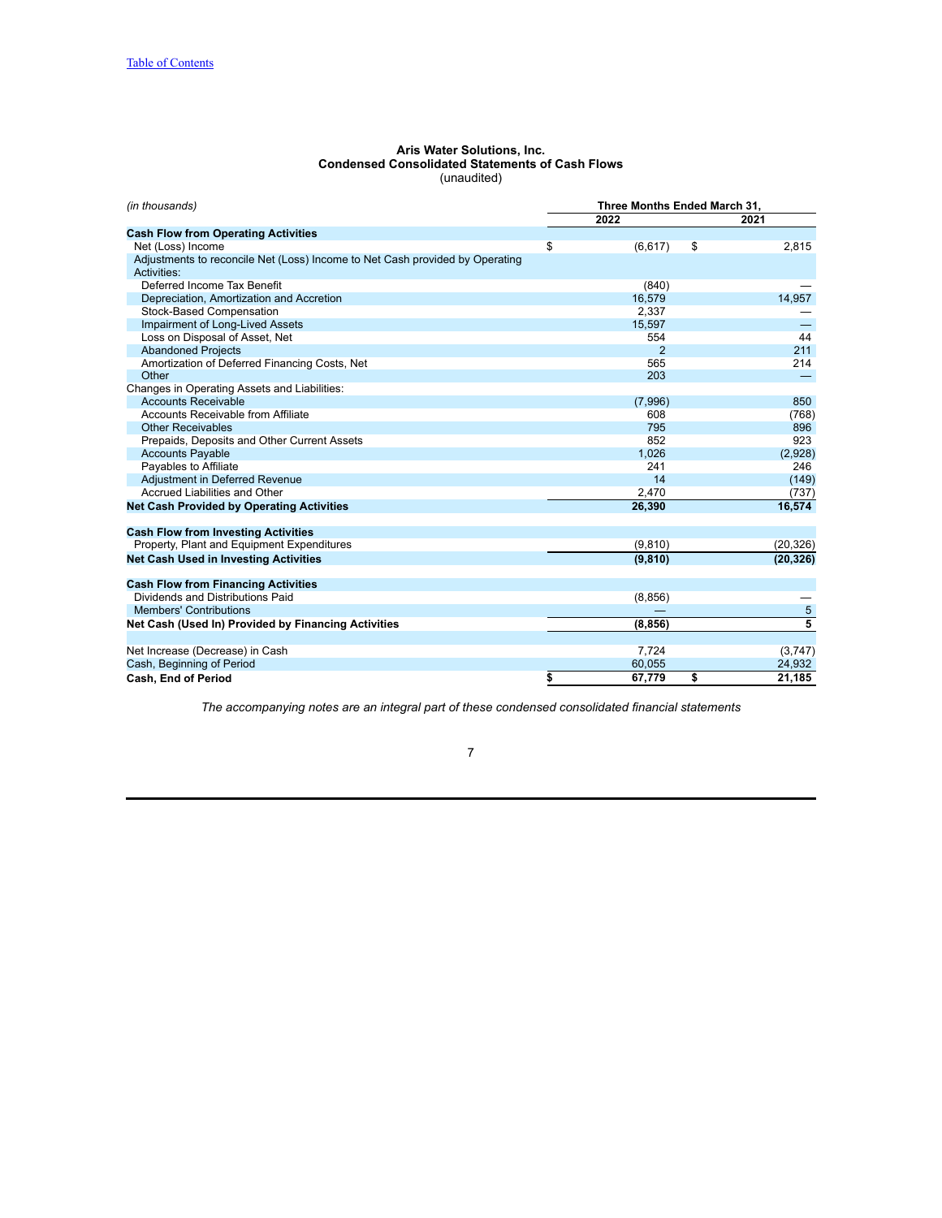#### **Aris Water Solutions, Inc. Condensed Consolidated Statements of Cash Flows** (unaudited)

<span id="page-6-0"></span>

| (in thousands)                                                               | Three Months Ended March 31, |          |    |           |  |  |  |
|------------------------------------------------------------------------------|------------------------------|----------|----|-----------|--|--|--|
|                                                                              |                              | 2022     |    | 2021      |  |  |  |
| <b>Cash Flow from Operating Activities</b>                                   |                              |          |    |           |  |  |  |
| Net (Loss) Income                                                            | \$                           | (6,617)  | \$ | 2,815     |  |  |  |
| Adjustments to reconcile Net (Loss) Income to Net Cash provided by Operating |                              |          |    |           |  |  |  |
| Activities:                                                                  |                              |          |    |           |  |  |  |
| Deferred Income Tax Benefit                                                  |                              | (840)    |    |           |  |  |  |
| Depreciation, Amortization and Accretion                                     |                              | 16.579   |    | 14.957    |  |  |  |
| Stock-Based Compensation                                                     |                              | 2.337    |    |           |  |  |  |
| Impairment of Long-Lived Assets                                              |                              | 15,597   |    |           |  |  |  |
| Loss on Disposal of Asset, Net                                               |                              | 554      |    | 44        |  |  |  |
| <b>Abandoned Projects</b>                                                    |                              | 2        |    | 211       |  |  |  |
| Amortization of Deferred Financing Costs, Net                                |                              | 565      |    | 214       |  |  |  |
| Other                                                                        |                              | 203      |    |           |  |  |  |
| Changes in Operating Assets and Liabilities:                                 |                              |          |    |           |  |  |  |
| <b>Accounts Receivable</b>                                                   |                              | (7,996)  |    | 850       |  |  |  |
| <b>Accounts Receivable from Affiliate</b>                                    |                              | 608      |    | (768)     |  |  |  |
| <b>Other Receivables</b>                                                     |                              | 795      |    | 896       |  |  |  |
| Prepaids, Deposits and Other Current Assets                                  |                              | 852      |    | 923       |  |  |  |
| <b>Accounts Payable</b>                                                      |                              | 1,026    |    | (2,928)   |  |  |  |
| Payables to Affiliate                                                        |                              | 241      |    | 246       |  |  |  |
| Adjustment in Deferred Revenue                                               |                              | 14       |    | (149)     |  |  |  |
| <b>Accrued Liabilities and Other</b>                                         |                              | 2,470    |    | (737)     |  |  |  |
| <b>Net Cash Provided by Operating Activities</b>                             |                              | 26,390   |    | 16,574    |  |  |  |
| <b>Cash Flow from Investing Activities</b>                                   |                              |          |    |           |  |  |  |
| Property, Plant and Equipment Expenditures                                   |                              | (9,810)  |    | (20, 326) |  |  |  |
| <b>Net Cash Used in Investing Activities</b>                                 |                              | (9, 810) |    | (20, 326) |  |  |  |
| <b>Cash Flow from Financing Activities</b>                                   |                              |          |    |           |  |  |  |
| Dividends and Distributions Paid                                             |                              | (8, 856) |    |           |  |  |  |
| <b>Members' Contributions</b>                                                |                              |          |    | 5         |  |  |  |
| Net Cash (Used In) Provided by Financing Activities                          |                              | (8, 856) |    |           |  |  |  |
|                                                                              |                              |          |    |           |  |  |  |
| Net Increase (Decrease) in Cash                                              |                              | 7.724    |    | (3,747)   |  |  |  |
| Cash, Beginning of Period                                                    |                              | 60,055   |    | 24,932    |  |  |  |
| <b>Cash. End of Period</b>                                                   | \$                           | 67,779   | \$ | 21,185    |  |  |  |

*The accompanying notes are an integral part of these condensed consolidated financial statements*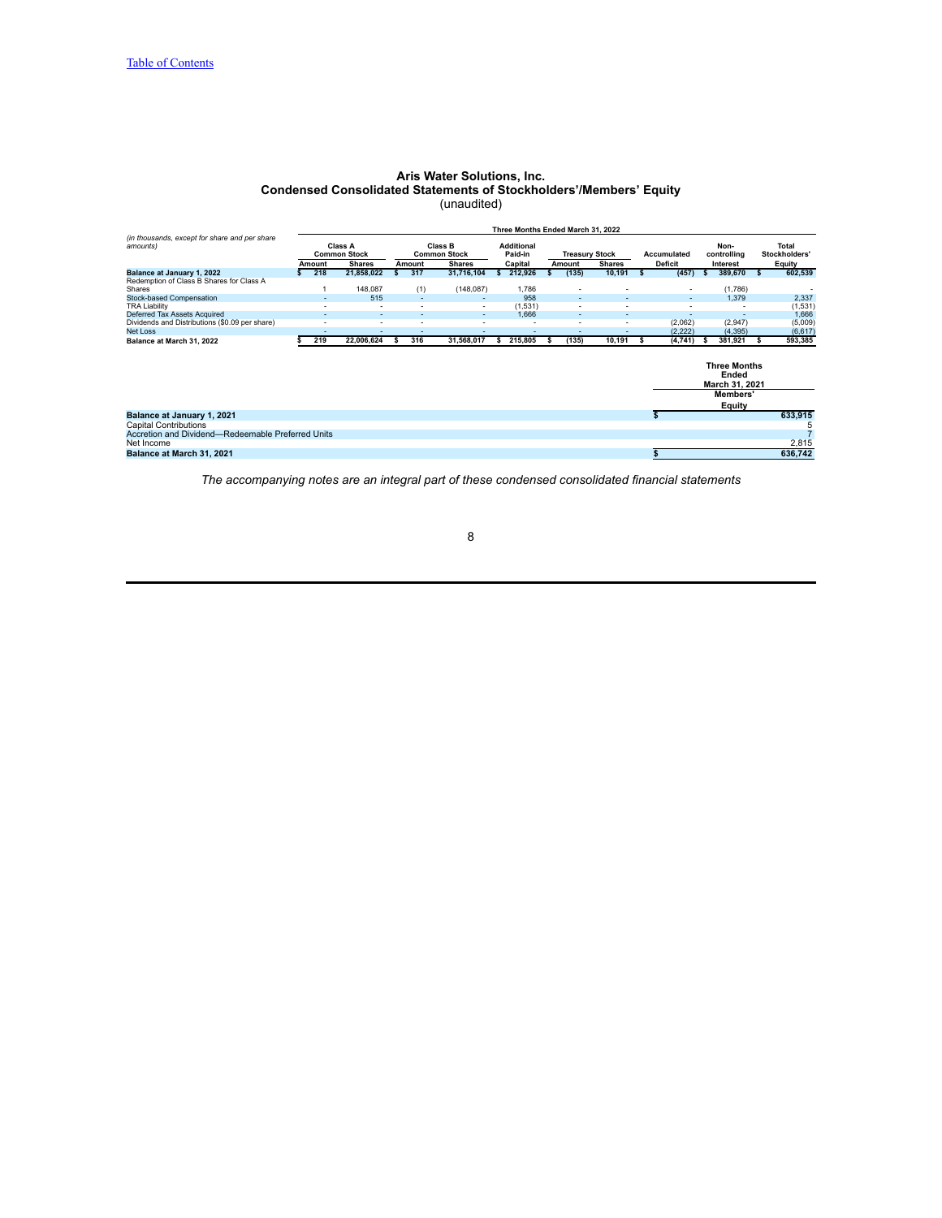## **Aris Water Solutions, Inc. Condensed Consolidated Statements of Stockholders'/Members' Equity** (unaudited)

<span id="page-7-0"></span>

|                                                                        |        |                                |   |               |                                | Three Months Ended March 31, 2022 |                          |                               |                          |                                                |    |                               |
|------------------------------------------------------------------------|--------|--------------------------------|---|---------------|--------------------------------|-----------------------------------|--------------------------|-------------------------------|--------------------------|------------------------------------------------|----|-------------------------------|
| (in thousands, except for share and per share<br>amounts)              |        | Class A<br><b>Common Stock</b> |   |               | Class B<br><b>Common Stock</b> | <b>Additional</b><br>Paid-in      | <b>Treasury Stock</b>    |                               | Accumulated              | Non-<br>controlling                            |    | <b>Total</b><br>Stockholders' |
|                                                                        | Amount | <b>Shares</b>                  |   | Amount        | <b>Shares</b>                  | Capital                           | Amount                   | <b>Shares</b>                 | <b>Deficit</b>           | Interest                                       |    | Equity                        |
| Balance at January 1, 2022<br>Redemption of Class B Shares for Class A | 218    | 21,858,022                     | s | 317           | 31,716,104                     | 212,926                           | (135)                    | 10,191                        | (457)                    | 389,670                                        |    | 602,539                       |
| Shares<br>Stock-based Compensation                                     |        | 148.087<br>515                 |   | (1)<br>$\sim$ | (148,087)                      | 1.786<br>958                      | ٠<br>٠                   |                               | ٠                        | (1,786)<br>1,379                               |    | 2,337                         |
| <b>TRA Liability</b>                                                   | ÷      | $\sim$                         |   |               | ۰                              | (1,531)                           | ÷.                       | ۰<br>$\overline{\phantom{a}}$ | ÷.                       |                                                |    |                               |
| Deferred Tax Assets Acquired                                           |        |                                |   |               |                                | 1,666                             | $\overline{\phantom{a}}$ | ٠                             | $\overline{\phantom{a}}$ |                                                |    | (1,531)<br>1,666              |
| Dividends and Distributions (\$0.09 per share)                         |        |                                |   |               |                                |                                   | ٠                        | ٠                             | (2,062)                  | (2,947)                                        |    | (5,009)                       |
| <b>Net Loss</b>                                                        | $\sim$ | ۰                              |   |               |                                | $\overline{\phantom{a}}$          | $\overline{\phantom{a}}$ | ٠                             | (2, 222)                 | (4, 395)                                       |    | (6, 617)                      |
| Balance at March 31, 2022                                              | 219    | 22,006,624                     | s | 316           | 31,568,017                     | 215,805                           | (135)                    | 10,191                        | (4,741)                  | 381,921                                        | -S | 593,385                       |
|                                                                        |        |                                |   |               |                                |                                   |                          |                               |                          | <b>Three Months</b><br>Ended<br>March 31, 2021 |    |                               |
|                                                                        |        |                                |   |               |                                |                                   |                          |                               |                          | Members'                                       |    |                               |
|                                                                        |        |                                |   |               |                                |                                   |                          |                               |                          | <b>Equity</b>                                  |    |                               |
| Balance at January 1, 2021<br><b>Capital Contributions</b>             |        |                                |   |               |                                |                                   |                          |                               |                          |                                                |    | 633,915<br>5                  |
| Accretion and Dividend-Redeemable Preferred Units                      |        |                                |   |               |                                |                                   |                          |                               |                          |                                                |    |                               |
| Net Income                                                             |        |                                |   |               |                                |                                   |                          |                               |                          |                                                |    | 2,815                         |
| Balance at March 31, 2021                                              |        |                                |   |               |                                |                                   |                          |                               |                          |                                                |    | 636,742                       |

*The accompanying notes are an integral part of these condensed consolidated financial statements*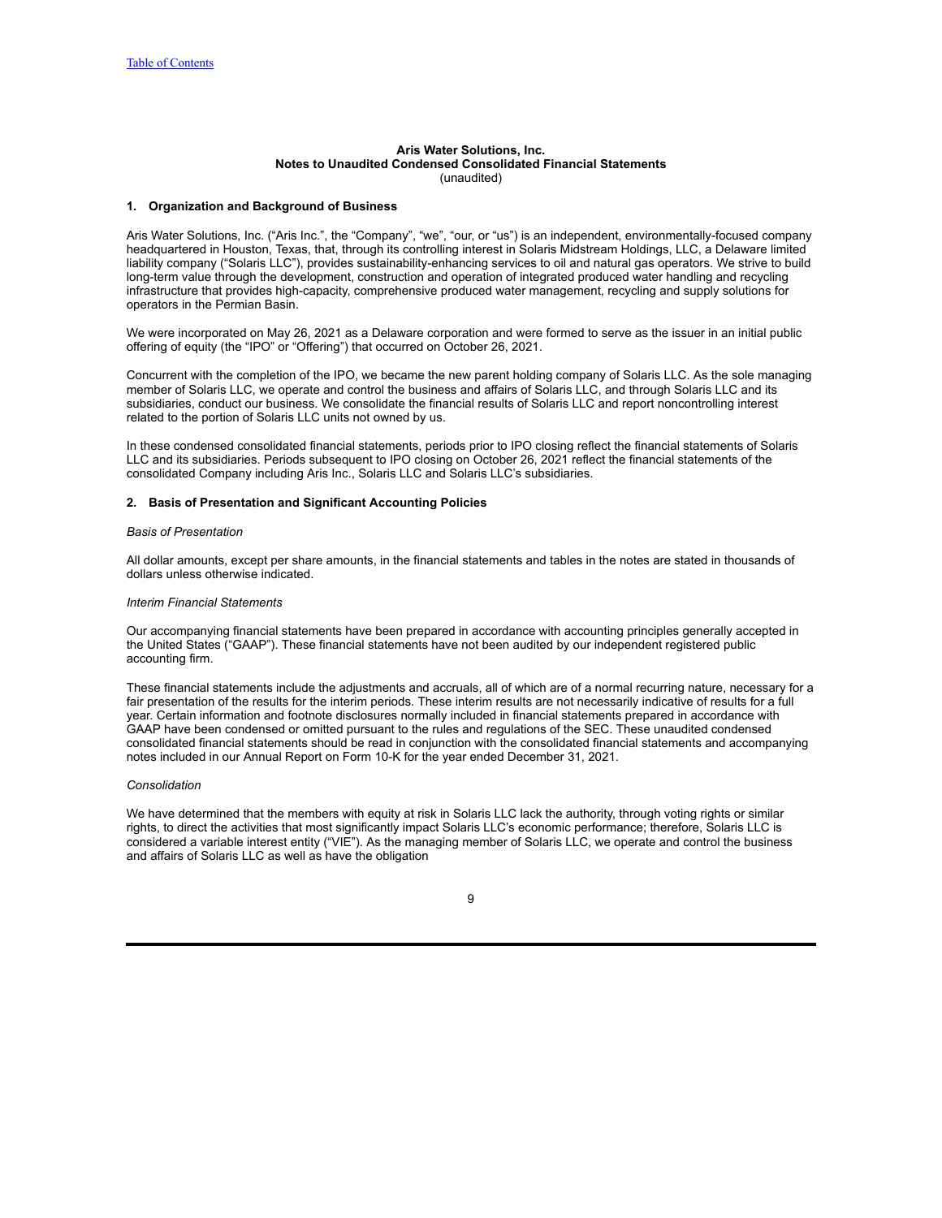#### **Aris Water Solutions, Inc. Notes to Unaudited Condensed Consolidated Financial Statements** (unaudited)

#### <span id="page-8-0"></span>**1. Organization and Background of Business**

Aris Water Solutions, Inc. ("Aris Inc.", the "Company", "we", "our, or "us") is an independent, environmentally-focused company headquartered in Houston, Texas, that, through its controlling interest in Solaris Midstream Holdings, LLC, a Delaware limited liability company ("Solaris LLC"), provides sustainability-enhancing services to oil and natural gas operators. We strive to build long-term value through the development, construction and operation of integrated produced water handling and recycling infrastructure that provides high-capacity, comprehensive produced water management, recycling and supply solutions for operators in the Permian Basin.

We were incorporated on May 26, 2021 as a Delaware corporation and were formed to serve as the issuer in an initial public offering of equity (the "IPO" or "Offering") that occurred on October 26, 2021.

Concurrent with the completion of the IPO, we became the new parent holding company of Solaris LLC. As the sole managing member of Solaris LLC, we operate and control the business and affairs of Solaris LLC, and through Solaris LLC and its subsidiaries, conduct our business. We consolidate the financial results of Solaris LLC and report noncontrolling interest related to the portion of Solaris LLC units not owned by us.

In these condensed consolidated financial statements, periods prior to IPO closing reflect the financial statements of Solaris LLC and its subsidiaries. Periods subsequent to IPO closing on October 26, 2021 reflect the financial statements of the consolidated Company including Aris Inc., Solaris LLC and Solaris LLC's subsidiaries.

#### **2. Basis of Presentation and Significant Accounting Policies**

### *Basis of Presentation*

All dollar amounts, except per share amounts, in the financial statements and tables in the notes are stated in thousands of dollars unless otherwise indicated.

### *Interim Financial Statements*

Our accompanying financial statements have been prepared in accordance with accounting principles generally accepted in the United States ("GAAP"). These financial statements have not been audited by our independent registered public accounting firm.

These financial statements include the adjustments and accruals, all of which are of a normal recurring nature, necessary for a fair presentation of the results for the interim periods. These interim results are not necessarily indicative of results for a full year. Certain information and footnote disclosures normally included in financial statements prepared in accordance with GAAP have been condensed or omitted pursuant to the rules and regulations of the SEC. These unaudited condensed consolidated financial statements should be read in conjunction with the consolidated financial statements and accompanying notes included in our Annual Report on Form 10-K for the year ended December 31, 2021.

### *Consolidation*

We have determined that the members with equity at risk in Solaris LLC lack the authority, through voting rights or similar rights, to direct the activities that most significantly impact Solaris LLC's economic performance; therefore, Solaris LLC is considered a variable interest entity ("VIE"). As the managing member of Solaris LLC, we operate and control the business and affairs of Solaris LLC as well as have the obligation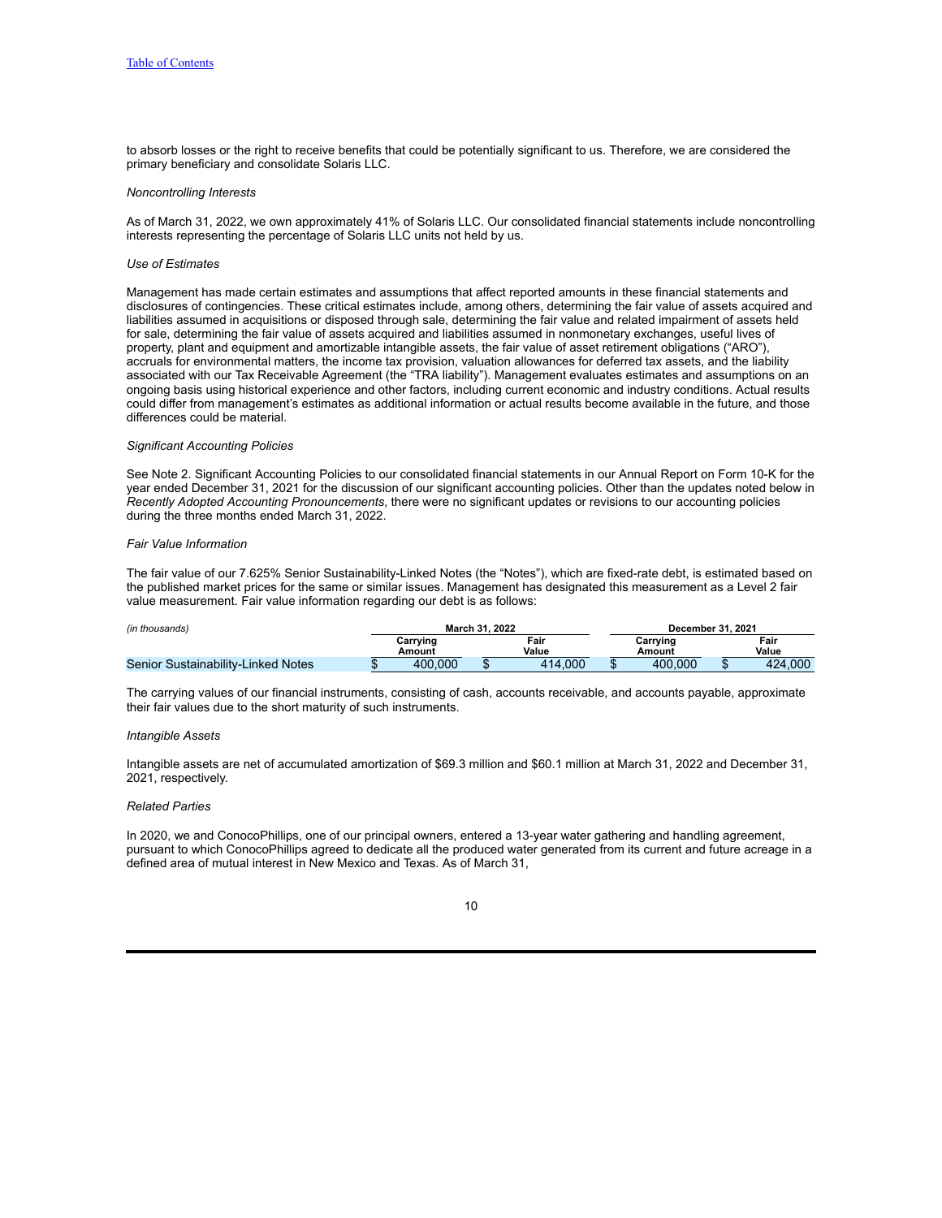to absorb losses or the right to receive benefits that could be potentially significant to us. Therefore, we are considered the primary beneficiary and consolidate Solaris LLC.

#### *Noncontrolling Interests*

As of March 31, 2022, we own approximately 41% of Solaris LLC. Our consolidated financial statements include noncontrolling interests representing the percentage of Solaris LLC units not held by us.

#### *Use of Estimates*

Management has made certain estimates and assumptions that affect reported amounts in these financial statements and disclosures of contingencies. These critical estimates include, among others, determining the fair value of assets acquired and liabilities assumed in acquisitions or disposed through sale, determining the fair value and related impairment of assets held for sale, determining the fair value of assets acquired and liabilities assumed in nonmonetary exchanges, useful lives of property, plant and equipment and amortizable intangible assets, the fair value of asset retirement obligations ("ARO"), accruals for environmental matters, the income tax provision, valuation allowances for deferred tax assets, and the liability associated with our Tax Receivable Agreement (the "TRA liability"). Management evaluates estimates and assumptions on an ongoing basis using historical experience and other factors, including current economic and industry conditions. Actual results could differ from management's estimates as additional information or actual results become available in the future, and those differences could be material.

#### *Significant Accounting Policies*

See Note 2. Significant Accounting Policies to our consolidated financial statements in our Annual Report on Form 10-K for the year ended December 31, 2021 for the discussion of our significant accounting policies. Other than the updates noted below in *Recently Adopted Accounting Pronouncements*, there were no significant updates or revisions to our accounting policies during the three months ended March 31, 2022.

#### *Fair Value Information*

The fair value of our 7.625% Senior Sustainability-Linked Notes (the "Notes"), which are fixed-rate debt, is estimated based on the published market prices for the same or similar issues. Management has designated this measurement as a Level 2 fair value measurement. Fair value information regarding our debt is as follows:

| (in thousands)                     |  |                    | March 31, 2022 |               | December 31, 2021  |               |  |  |
|------------------------------------|--|--------------------|----------------|---------------|--------------------|---------------|--|--|
|                                    |  | Carrying<br>Amount |                | Fair<br>Value | Carrying<br>Amount | Fair<br>Value |  |  |
| Senior Sustainability-Linked Notes |  | 400.000            |                | 414.000       | 400.000            | 424,000       |  |  |

The carrying values of our financial instruments, consisting of cash, accounts receivable, and accounts payable, approximate their fair values due to the short maturity of such instruments.

#### *Intangible Assets*

Intangible assets are net of accumulated amortization of \$69.3 million and \$60.1 million at March 31, 2022 and December 31, 2021, respectively.

### *Related Parties*

In 2020, we and ConocoPhillips, one of our principal owners, entered a 13-year water gathering and handling agreement, pursuant to which ConocoPhillips agreed to dedicate all the produced water generated from its current and future acreage in a defined area of mutual interest in New Mexico and Texas. As of March 31,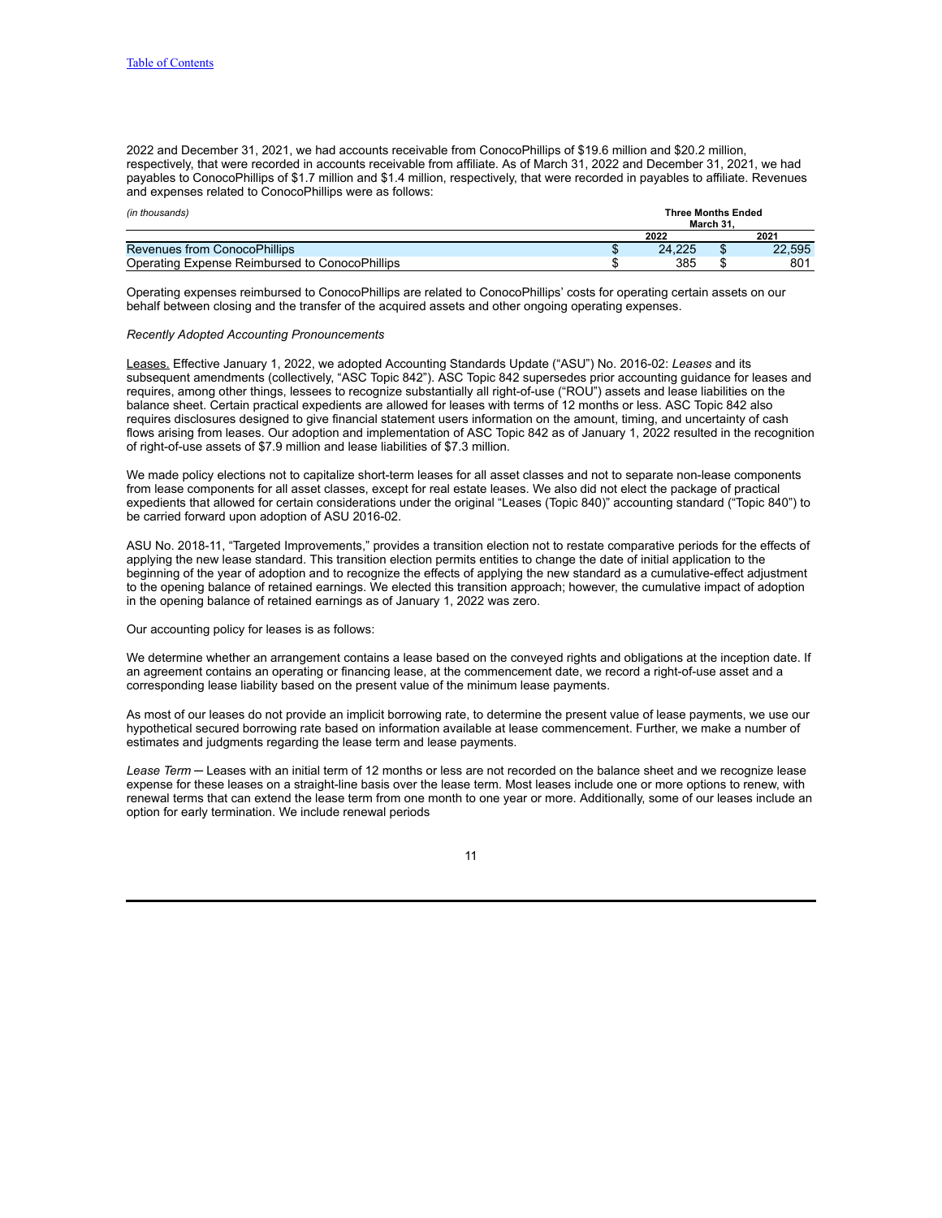2022 and December 31, 2021, we had accounts receivable from ConocoPhillips of \$19.6 million and \$20.2 million, respectively, that were recorded in accounts receivable from affiliate. As of March 31, 2022 and December 31, 2021, we had payables to ConocoPhillips of \$1.7 million and \$1.4 million, respectively, that were recorded in payables to affiliate. Revenues and expenses related to ConocoPhillips were as follows:

| (in thousands)                                 |  | <b>Three Months Ended</b><br>March 31 |  |        |  |  |  |  |
|------------------------------------------------|--|---------------------------------------|--|--------|--|--|--|--|
|                                                |  | 2022                                  |  | 2021   |  |  |  |  |
| Revenues from ConocoPhillips                   |  | 24.225                                |  | 22.595 |  |  |  |  |
| Operating Expense Reimbursed to ConocoPhillips |  | 385                                   |  | 801    |  |  |  |  |

Operating expenses reimbursed to ConocoPhillips are related to ConocoPhillips' costs for operating certain assets on our behalf between closing and the transfer of the acquired assets and other ongoing operating expenses.

#### *Recently Adopted Accounting Pronouncements*

Leases. Effective January 1, 2022, we adopted Accounting Standards Update ("ASU") No. 2016-02: *Leases* and its subsequent amendments (collectively, "ASC Topic 842"). ASC Topic 842 supersedes prior accounting guidance for leases and requires, among other things, lessees to recognize substantially all right-of-use ("ROU") assets and lease liabilities on the balance sheet. Certain practical expedients are allowed for leases with terms of 12 months or less. ASC Topic 842 also requires disclosures designed to give financial statement users information on the amount, timing, and uncertainty of cash flows arising from leases. Our adoption and implementation of ASC Topic 842 as of January 1, 2022 resulted in the recognition of right-of-use assets of \$7.9 million and lease liabilities of \$7.3 million.

We made policy elections not to capitalize short-term leases for all asset classes and not to separate non-lease components from lease components for all asset classes, except for real estate leases. We also did not elect the package of practical expedients that allowed for certain considerations under the original "Leases (Topic 840)" accounting standard ("Topic 840") to be carried forward upon adoption of ASU 2016-02.

ASU No. 2018-11, "Targeted Improvements," provides a transition election not to restate comparative periods for the effects of applying the new lease standard. This transition election permits entities to change the date of initial application to the beginning of the year of adoption and to recognize the effects of applying the new standard as a cumulative-effect adjustment to the opening balance of retained earnings. We elected this transition approach; however, the cumulative impact of adoption in the opening balance of retained earnings as of January 1, 2022 was zero.

#### Our accounting policy for leases is as follows:

We determine whether an arrangement contains a lease based on the conveyed rights and obligations at the inception date. If an agreement contains an operating or financing lease, at the commencement date, we record a right-of-use asset and a corresponding lease liability based on the present value of the minimum lease payments.

As most of our leases do not provide an implicit borrowing rate, to determine the present value of lease payments, we use our hypothetical secured borrowing rate based on information available at lease commencement. Further, we make a number of estimates and judgments regarding the lease term and lease payments.

*Lease Term* ─ Leases with an initial term of 12 months or less are not recorded on the balance sheet and we recognize lease expense for these leases on a straight-line basis over the lease term. Most leases include one or more options to renew, with renewal terms that can extend the lease term from one month to one year or more. Additionally, some of our leases include an option for early termination. We include renewal periods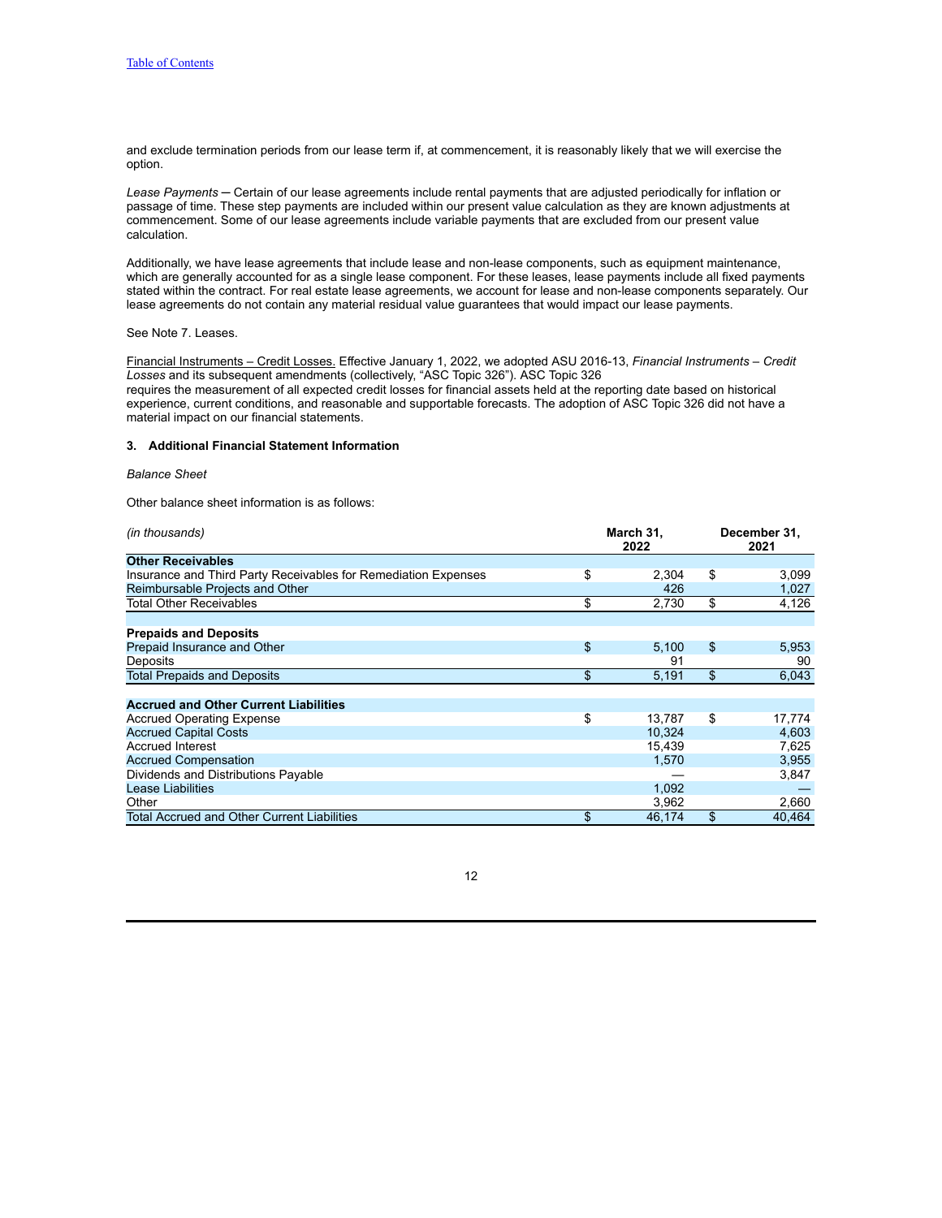and exclude termination periods from our lease term if, at commencement, it is reasonably likely that we will exercise the option.

*Lease Payments* ─ Certain of our lease agreements include rental payments that are adjusted periodically for inflation or passage of time. These step payments are included within our present value calculation as they are known adjustments at commencement. Some of our lease agreements include variable payments that are excluded from our present value calculation.

Additionally, we have lease agreements that include lease and non-lease components, such as equipment maintenance, which are generally accounted for as a single lease component. For these leases, lease payments include all fixed payments stated within the contract. For real estate lease agreements, we account for lease and non-lease components separately. Our lease agreements do not contain any material residual value guarantees that would impact our lease payments.

## See Note 7. Leases.

Financial Instruments – Credit Losses. Effective January 1, 2022, we adopted ASU 2016-13, *Financial Instruments – Credit Losses* and its subsequent amendments (collectively, "ASC Topic 326"). ASC Topic 326 requires the measurement of all expected credit losses for financial assets held at the reporting date based on historical experience, current conditions, and reasonable and supportable forecasts. The adoption of ASC Topic 326 did not have a material impact on our financial statements.

#### **3. Additional Financial Statement Information**

#### *Balance Sheet*

Other balance sheet information is as follows:

| (in thousands)                                                 | March 31,<br>2022 | December 31,<br>2021 |        |  |
|----------------------------------------------------------------|-------------------|----------------------|--------|--|
| <b>Other Receivables</b>                                       |                   |                      |        |  |
| Insurance and Third Party Receivables for Remediation Expenses | \$<br>2,304       | \$                   | 3,099  |  |
| Reimbursable Projects and Other                                | 426               |                      | 1,027  |  |
| Total Other Receivables                                        | \$<br>2,730       | \$                   | 4,126  |  |
|                                                                |                   |                      |        |  |
| <b>Prepaids and Deposits</b>                                   |                   |                      |        |  |
| Prepaid Insurance and Other                                    | \$<br>5,100       | \$                   | 5,953  |  |
| Deposits                                                       | 91                |                      | 90     |  |
| <b>Total Prepaids and Deposits</b>                             | \$<br>5,191       | \$                   | 6,043  |  |
| <b>Accrued and Other Current Liabilities</b>                   |                   |                      |        |  |
| <b>Accrued Operating Expense</b>                               | \$<br>13.787      | \$                   | 17,774 |  |
| <b>Accrued Capital Costs</b>                                   | 10,324            |                      | 4,603  |  |
| <b>Accrued Interest</b>                                        | 15,439            |                      | 7,625  |  |
| <b>Accrued Compensation</b>                                    | 1,570             |                      | 3.955  |  |
| Dividends and Distributions Payable                            |                   |                      | 3,847  |  |
| Lease Liabilities                                              | 1,092             |                      |        |  |
| Other                                                          | 3,962             |                      | 2,660  |  |
| Total Accrued and Other Current Liabilities                    | \$<br>46,174      | \$                   | 40.464 |  |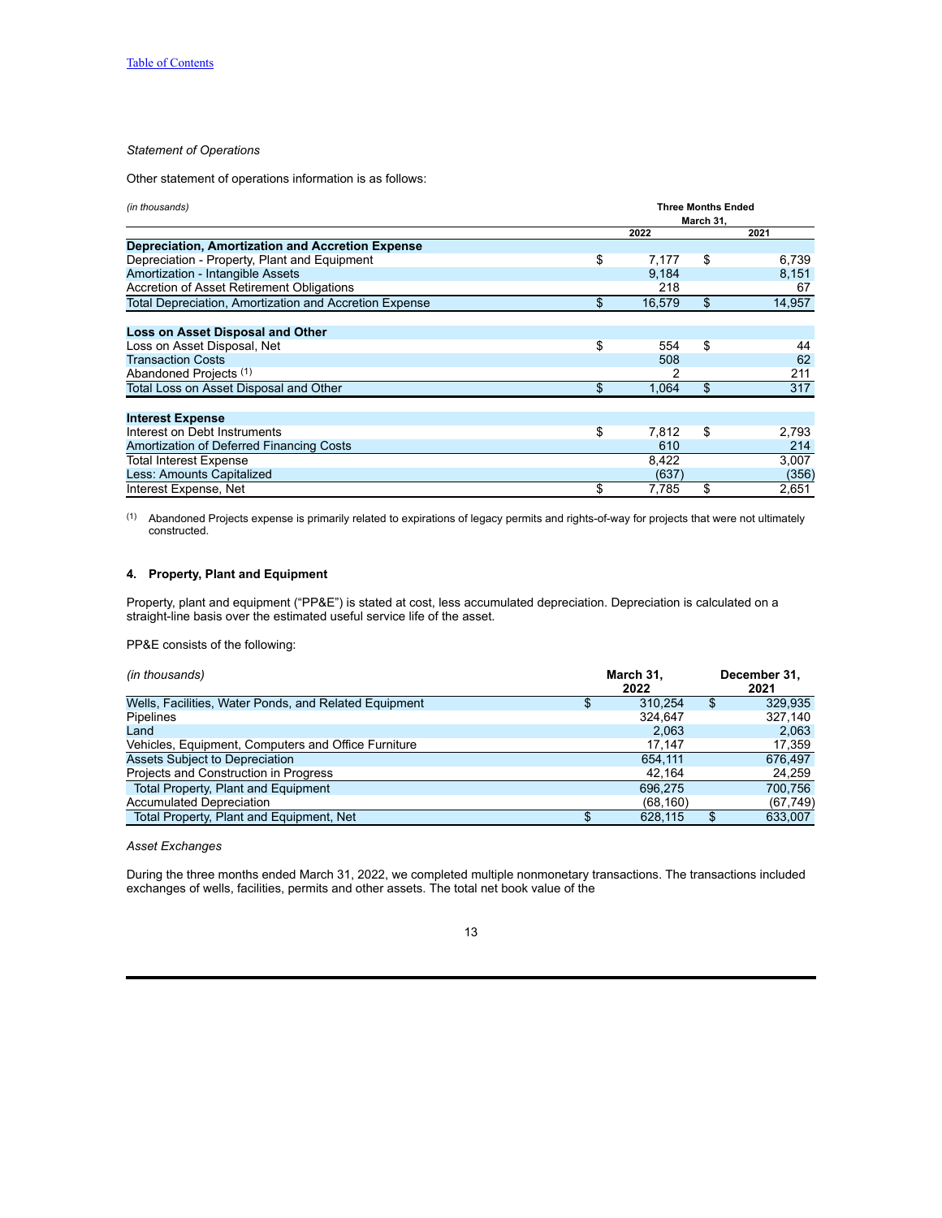## *Statement of Operations*

Other statement of operations information is as follows:

| (in thousands)                                                | <b>Three Months Ended</b><br>March 31, |    |        |  |  |  |  |
|---------------------------------------------------------------|----------------------------------------|----|--------|--|--|--|--|
|                                                               | 2022                                   |    | 2021   |  |  |  |  |
| Depreciation, Amortization and Accretion Expense              |                                        |    |        |  |  |  |  |
| Depreciation - Property, Plant and Equipment                  | \$<br>7.177                            | \$ | 6,739  |  |  |  |  |
| Amortization - Intangible Assets                              | 9,184                                  |    | 8,151  |  |  |  |  |
| Accretion of Asset Retirement Obligations                     | 218                                    |    | 67     |  |  |  |  |
| <b>Total Depreciation, Amortization and Accretion Expense</b> | \$<br>16,579                           | \$ | 14,957 |  |  |  |  |
| Loss on Asset Disposal and Other                              |                                        |    |        |  |  |  |  |
| Loss on Asset Disposal, Net                                   | \$<br>554                              | \$ | 44     |  |  |  |  |
| <b>Transaction Costs</b>                                      | 508                                    |    | 62     |  |  |  |  |
| Abandoned Projects <sup>(1)</sup>                             |                                        |    | 211    |  |  |  |  |
| Total Loss on Asset Disposal and Other                        | \$<br>1,064                            | \$ | 317    |  |  |  |  |
| <b>Interest Expense</b>                                       |                                        |    |        |  |  |  |  |
| Interest on Debt Instruments                                  | \$<br>7.812                            | \$ |        |  |  |  |  |
|                                                               |                                        |    | 2,793  |  |  |  |  |
| Amortization of Deferred Financing Costs                      | 610                                    |    | 214    |  |  |  |  |
| <b>Total Interest Expense</b>                                 | 8,422                                  |    | 3,007  |  |  |  |  |
| Less: Amounts Capitalized                                     | (637)                                  |    | (356)  |  |  |  |  |
| Interest Expense, Net                                         | \$<br>7.785                            | \$ | 2,651  |  |  |  |  |

(1) Abandoned Projects expense is primarily related to expirations of legacy permits and rights-of-way for projects that were not ultimately constructed.

# **4. Property, Plant and Equipment**

Property, plant and equipment ("PP&E") is stated at cost, less accumulated depreciation. Depreciation is calculated on a straight-line basis over the estimated useful service life of the asset.

PP&E consists of the following:

| (in thousands)                                        |   | March 31,<br>2022 | December 31.<br>2021 |
|-------------------------------------------------------|---|-------------------|----------------------|
| Wells, Facilities, Water Ponds, and Related Equipment | Φ | 310.254           | \$<br>329.935        |
| Pipelines                                             |   | 324.647           | 327.140              |
| Land                                                  |   | 2.063             | 2,063                |
| Vehicles, Equipment, Computers and Office Furniture   |   | 17.147            | 17,359               |
| Assets Subject to Depreciation                        |   | 654.111           | 676.497              |
| Projects and Construction in Progress                 |   | 42.164            | 24,259               |
| <b>Total Property, Plant and Equipment</b>            |   | 696.275           | 700.756              |
| <b>Accumulated Depreciation</b>                       |   | (68, 160)         | (67, 749)            |
| Total Property, Plant and Equipment, Net              |   | 628.115           | 633.007              |

## *Asset Exchanges*

During the three months ended March 31, 2022, we completed multiple nonmonetary transactions. The transactions included exchanges of wells, facilities, permits and other assets. The total net book value of the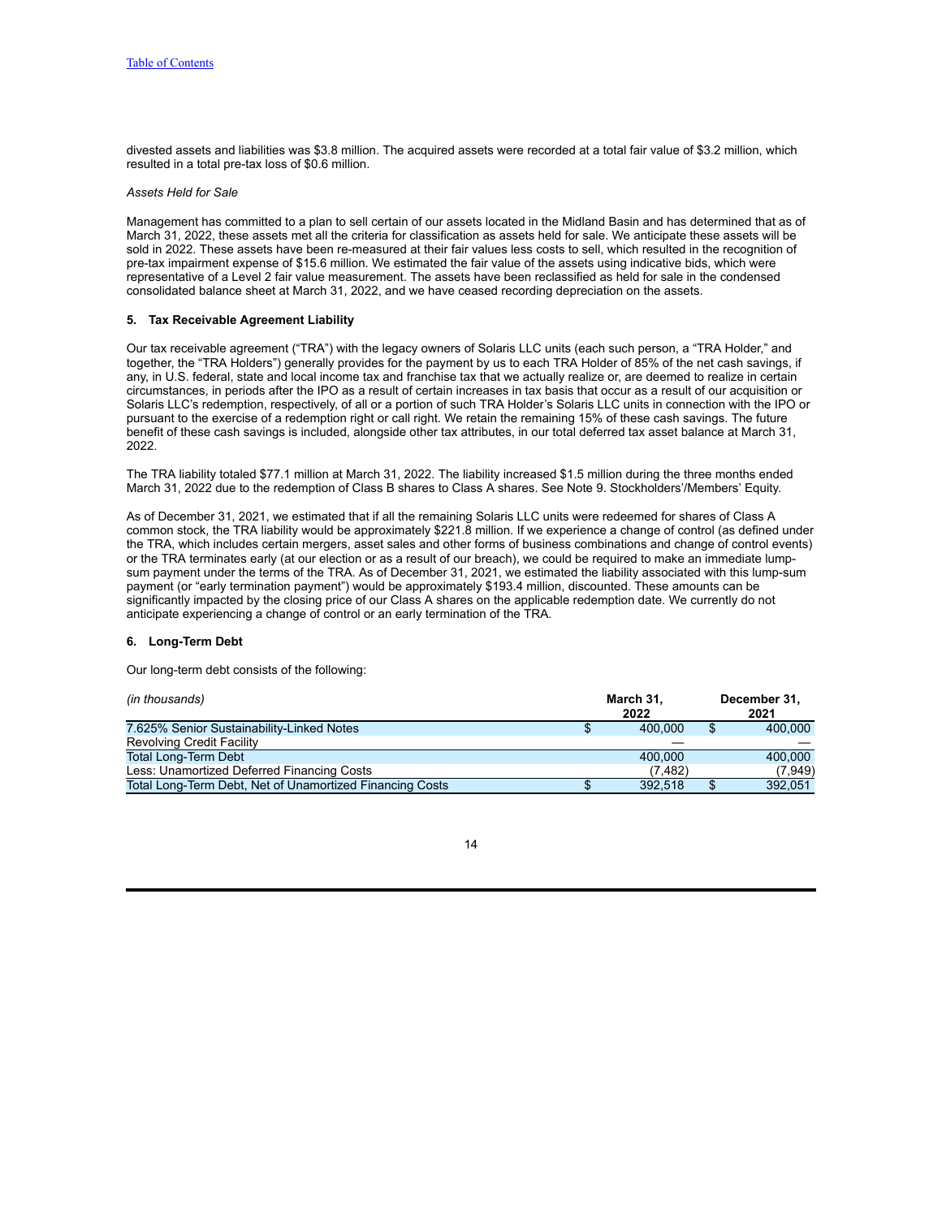divested assets and liabilities was \$3.8 million. The acquired assets were recorded at a total fair value of \$3.2 million, which resulted in a total pre-tax loss of \$0.6 million.

## *Assets Held for Sale*

Management has committed to a plan to sell certain of our assets located in the Midland Basin and has determined that as of March 31, 2022, these assets met all the criteria for classification as assets held for sale. We anticipate these assets will be sold in 2022. These assets have been re-measured at their fair values less costs to sell, which resulted in the recognition of pre-tax impairment expense of \$15.6 million. We estimated the fair value of the assets using indicative bids, which were representative of a Level 2 fair value measurement. The assets have been reclassified as held for sale in the condensed consolidated balance sheet at March 31, 2022, and we have ceased recording depreciation on the assets.

## **5. Tax Receivable Agreement Liability**

Our tax receivable agreement ("TRA") with the legacy owners of Solaris LLC units (each such person, a "TRA Holder," and together, the "TRA Holders") generally provides for the payment by us to each TRA Holder of 85% of the net cash savings, if any, in U.S. federal, state and local income tax and franchise tax that we actually realize or, are deemed to realize in certain circumstances, in periods after the IPO as a result of certain increases in tax basis that occur as a result of our acquisition or Solaris LLC's redemption, respectively, of all or a portion of such TRA Holder's Solaris LLC units in connection with the IPO or pursuant to the exercise of a redemption right or call right. We retain the remaining 15% of these cash savings. The future benefit of these cash savings is included, alongside other tax attributes, in our total deferred tax asset balance at March 31, 2022.

The TRA liability totaled \$77.1 million at March 31, 2022. The liability increased \$1.5 million during the three months ended March 31, 2022 due to the redemption of Class B shares to Class A shares. See Note 9. Stockholders'/Members' Equity.

As of December 31, 2021, we estimated that if all the remaining Solaris LLC units were redeemed for shares of Class A common stock, the TRA liability would be approximately \$221.8 million. If we experience a change of control (as defined under the TRA, which includes certain mergers, asset sales and other forms of business combinations and change of control events) or the TRA terminates early (at our election or as a result of our breach), we could be required to make an immediate lumpsum payment under the terms of the TRA. As of December 31, 2021, we estimated the liability associated with this lump-sum payment (or "early termination payment") would be approximately \$193.4 million, discounted. These amounts can be significantly impacted by the closing price of our Class A shares on the applicable redemption date. We currently do not anticipate experiencing a change of control or an early termination of the TRA.

## **6. Long-Term Debt**

Our long-term debt consists of the following:

| (in thousands)                                           |   | March 31,<br>2022 | December 31,<br>2021 |          |  |
|----------------------------------------------------------|---|-------------------|----------------------|----------|--|
| 7.625% Senior Sustainability-Linked Notes                | Ъ | 400,000           |                      | 400,000  |  |
| <b>Revolving Credit Facility</b>                         |   |                   |                      |          |  |
| Total Long-Term Debt                                     |   | 400,000           |                      | 400.000  |  |
| Less: Unamortized Deferred Financing Costs               |   | (7.482)           |                      | (7, 949) |  |
| Total Long-Term Debt, Net of Unamortized Financing Costs |   | 392.518           |                      | 392.051  |  |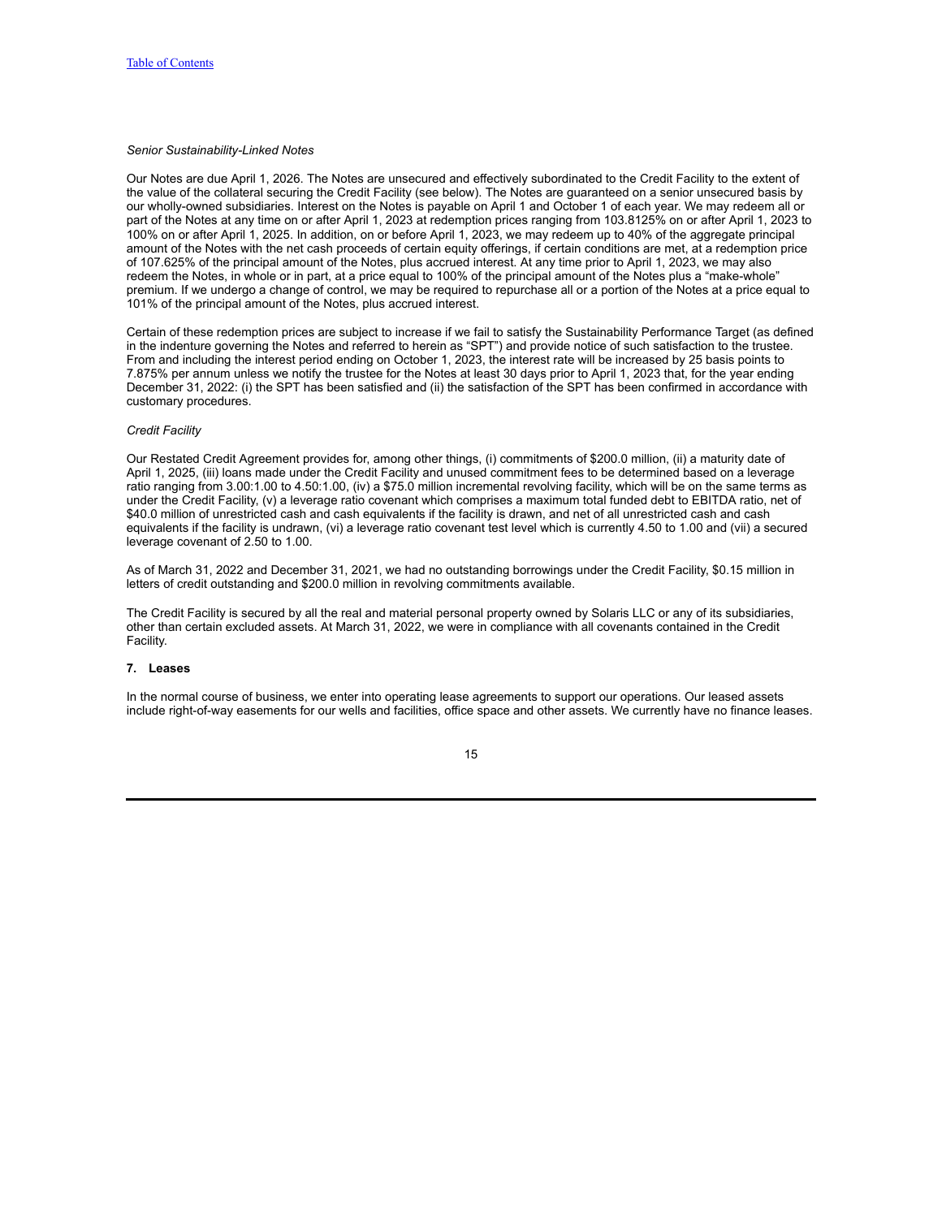## *Senior Sustainability-Linked Notes*

Our Notes are due April 1, 2026. The Notes are unsecured and effectively subordinated to the Credit Facility to the extent of the value of the collateral securing the Credit Facility (see below). The Notes are guaranteed on a senior unsecured basis by our wholly-owned subsidiaries. Interest on the Notes is payable on April 1 and October 1 of each year. We may redeem all or part of the Notes at any time on or after April 1, 2023 at redemption prices ranging from 103.8125% on or after April 1, 2023 to 100% on or after April 1, 2025. In addition, on or before April 1, 2023, we may redeem up to 40% of the aggregate principal amount of the Notes with the net cash proceeds of certain equity offerings, if certain conditions are met, at a redemption price of 107.625% of the principal amount of the Notes, plus accrued interest. At any time prior to April 1, 2023, we may also redeem the Notes, in whole or in part, at a price equal to 100% of the principal amount of the Notes plus a "make-whole" premium. If we undergo a change of control, we may be required to repurchase all or a portion of the Notes at a price equal to 101% of the principal amount of the Notes, plus accrued interest.

Certain of these redemption prices are subject to increase if we fail to satisfy the Sustainability Performance Target (as defined in the indenture governing the Notes and referred to herein as "SPT") and provide notice of such satisfaction to the trustee. From and including the interest period ending on October 1, 2023, the interest rate will be increased by 25 basis points to 7.875% per annum unless we notify the trustee for the Notes at least 30 days prior to April 1, 2023 that, for the year ending December 31, 2022: (i) the SPT has been satisfied and (ii) the satisfaction of the SPT has been confirmed in accordance with customary procedures.

### *Credit Facility*

Our Restated Credit Agreement provides for, among other things, (i) commitments of \$200.0 million, (ii) a maturity date of April 1, 2025, (iii) loans made under the Credit Facility and unused commitment fees to be determined based on a leverage ratio ranging from 3.00:1.00 to 4.50:1.00, (iv) a \$75.0 million incremental revolving facility, which will be on the same terms as under the Credit Facility, (v) a leverage ratio covenant which comprises a maximum total funded debt to EBITDA ratio, net of \$40.0 million of unrestricted cash and cash equivalents if the facility is drawn, and net of all unrestricted cash and cash equivalents if the facility is undrawn, (vi) a leverage ratio covenant test level which is currently 4.50 to 1.00 and (vii) a secured leverage covenant of 2.50 to 1.00.

As of March 31, 2022 and December 31, 2021, we had no outstanding borrowings under the Credit Facility, \$0.15 million in letters of credit outstanding and \$200.0 million in revolving commitments available.

The Credit Facility is secured by all the real and material personal property owned by Solaris LLC or any of its subsidiaries, other than certain excluded assets. At March 31, 2022, we were in compliance with all covenants contained in the Credit Facility.

#### **7. Leases**

In the normal course of business, we enter into operating lease agreements to support our operations. Our leased assets include right-of-way easements for our wells and facilities, office space and other assets. We currently have no finance leases.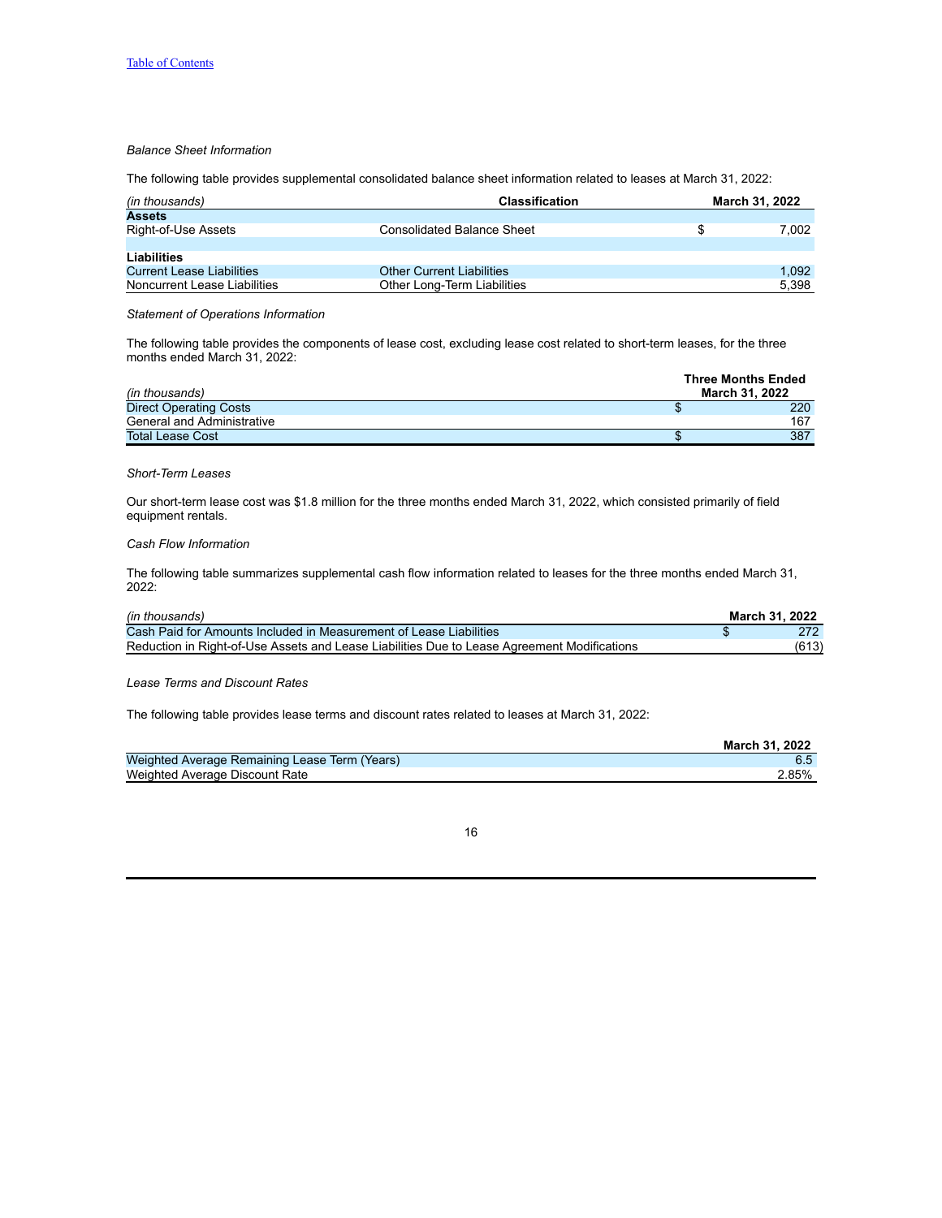## *Balance Sheet Information*

The following table provides supplemental consolidated balance sheet information related to leases at March 31, 2022:

| <b>Classification</b><br>(in thousands) |                                   |   | March 31, 2022 |  |  |
|-----------------------------------------|-----------------------------------|---|----------------|--|--|
| <b>Assets</b>                           |                                   |   |                |  |  |
| Right-of-Use Assets                     | <b>Consolidated Balance Sheet</b> | S | 7.002          |  |  |
|                                         |                                   |   |                |  |  |
| Liabilities                             |                                   |   |                |  |  |
| <b>Current Lease Liabilities</b>        | <b>Other Current Liabilities</b>  |   | 1.092          |  |  |
| Noncurrent Lease Liabilities            | Other Long-Term Liabilities       |   | 5.398          |  |  |

## *Statement of Operations Information*

The following table provides the components of lease cost, excluding lease cost related to short-term leases, for the three months ended March 31, 2022:

| (in thousands)                    | <b>Three Months Ended</b><br>March 31, 2022 |
|-----------------------------------|---------------------------------------------|
| <b>Direct Operating Costs</b>     | 220                                         |
| <b>General and Administrative</b> | 167                                         |
| <b>Total Lease Cost</b>           | 387                                         |

# *Short-Term Leases*

Our short-term lease cost was \$1.8 million for the three months ended March 31, 2022, which consisted primarily of field equipment rentals.

## *Cash Flow Information*

The following table summarizes supplemental cash flow information related to leases for the three months ended March 31, 2022:

| (in thousands)                                                                              | March 31, 2022 |
|---------------------------------------------------------------------------------------------|----------------|
| Cash Paid for Amounts Included in Measurement of Lease Liabilities                          |                |
| Reduction in Right-of-Use Assets and Lease Liabilities Due to Lease Agreement Modifications | (613)          |

### *Lease Terms and Discount Rates*

The following table provides lease terms and discount rates related to leases at March 31, 2022:

|                                               | March 31, 2022 |
|-----------------------------------------------|----------------|
| Weighted Average Remaining Lease Term (Years) |                |
| Weighted Average Discount Rate                | 2.85%          |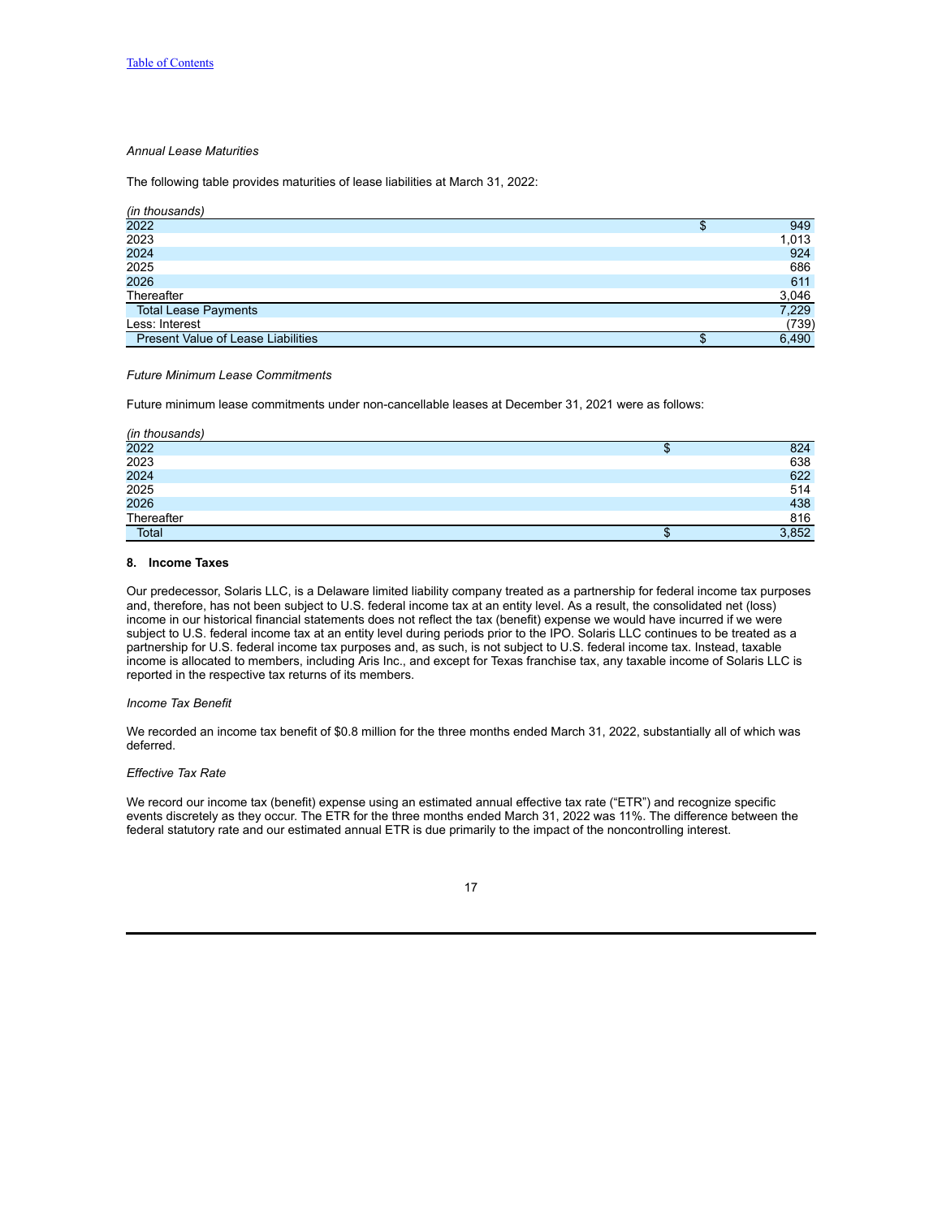## *Annual Lease Maturities*

The following table provides maturities of lease liabilities at March 31, 2022:

| (in thousands)                            |   |       |
|-------------------------------------------|---|-------|
| 2022                                      | Φ | 949   |
| 2023                                      |   | 1,013 |
| 2024                                      |   | 924   |
| 2025                                      |   | 686   |
| 2026                                      |   | 611   |
| Thereafter                                |   | 3,046 |
| <b>Total Lease Payments</b>               |   | 7,229 |
| Less: Interest                            |   | (739) |
| <b>Present Value of Lease Liabilities</b> |   | 6.490 |

### *Future Minimum Lease Commitments*

Future minimum lease commitments under non-cancellable leases at December 31, 2021 were as follows:

| (in thousands) |    |       |
|----------------|----|-------|
| 2022           | мD | 824   |
| 2023           |    | 638   |
| 2024           |    | 622   |
| 2025           |    | 514   |
| 2026           |    | 438   |
| Thereafter     |    | 816   |
| Total          |    | 3,852 |

### **8. Income Taxes**

Our predecessor, Solaris LLC, is a Delaware limited liability company treated as a partnership for federal income tax purposes and, therefore, has not been subject to U.S. federal income tax at an entity level. As a result, the consolidated net (loss) income in our historical financial statements does not reflect the tax (benefit) expense we would have incurred if we were subject to U.S. federal income tax at an entity level during periods prior to the IPO. Solaris LLC continues to be treated as a partnership for U.S. federal income tax purposes and, as such, is not subject to U.S. federal income tax. Instead, taxable income is allocated to members, including Aris Inc., and except for Texas franchise tax, any taxable income of Solaris LLC is reported in the respective tax returns of its members.

## *Income Tax Benefit*

We recorded an income tax benefit of \$0.8 million for the three months ended March 31, 2022, substantially all of which was deferred.

## *Effective Tax Rate*

We record our income tax (benefit) expense using an estimated annual effective tax rate ("ETR") and recognize specific events discretely as they occur. The ETR for the three months ended March 31, 2022 was 11%. The difference between the federal statutory rate and our estimated annual ETR is due primarily to the impact of the noncontrolling interest.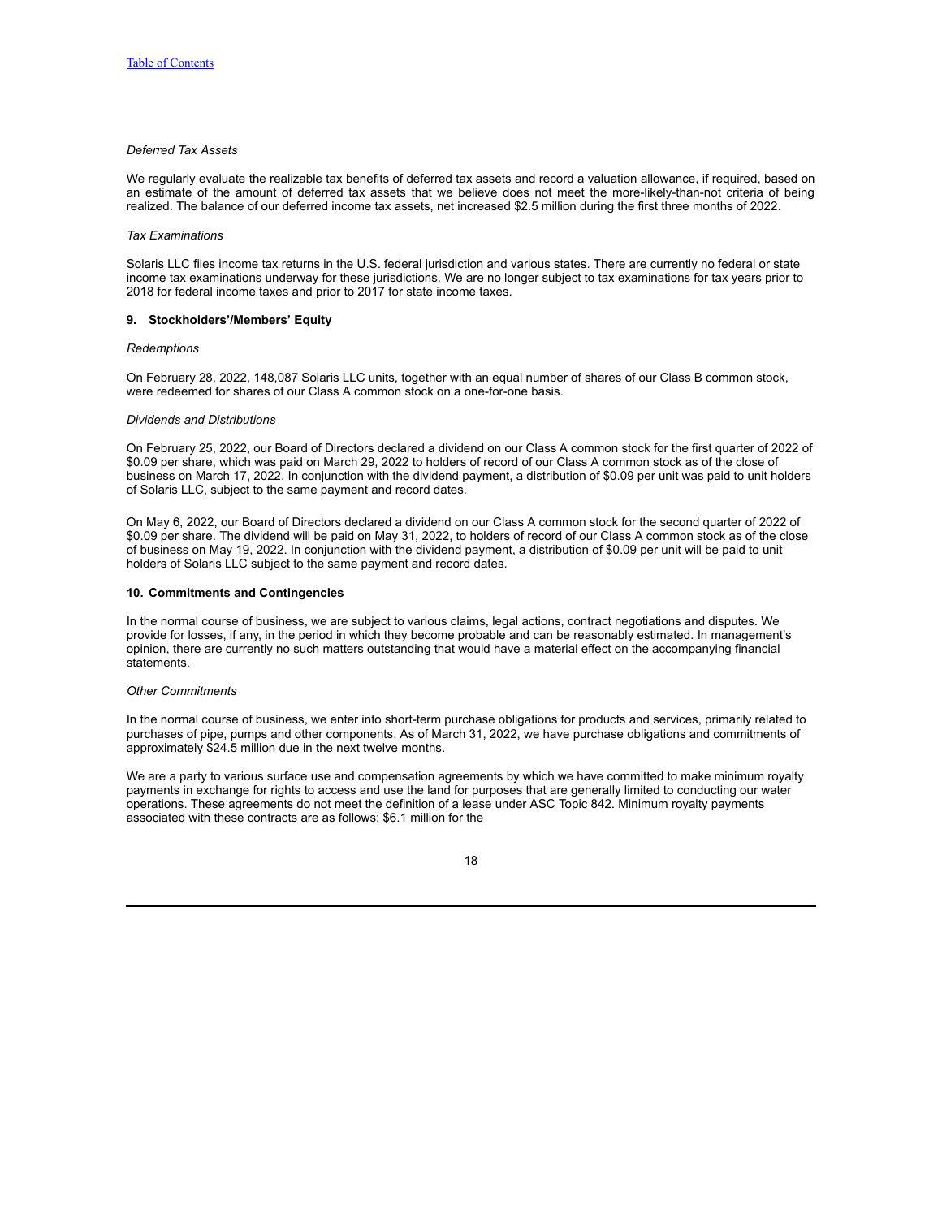## *Deferred Tax Assets*

We regularly evaluate the realizable tax benefits of deferred tax assets and record a valuation allowance, if required, based on an estimate of the amount of deferred tax assets that we believe does not meet the more-likely-than-not criteria of being realized. The balance of our deferred income tax assets, net increased \$2.5 million during the first three months of 2022.

### *Tax Examinations*

Solaris LLC files income tax returns in the U.S. federal jurisdiction and various states. There are currently no federal or state income tax examinations underway for these jurisdictions. We are no longer subject to tax examinations for tax years prior to 2018 for federal income taxes and prior to 2017 for state income taxes.

#### **9. Stockholders'/Members' Equity**

#### *Redemptions*

On February 28, 2022, 148,087 Solaris LLC units, together with an equal number of shares of our Class B common stock, were redeemed for shares of our Class A common stock on a one-for-one basis.

#### *Dividends and Distributions*

On February 25, 2022, our Board of Directors declared a dividend on our Class A common stock for the first quarter of 2022 of \$0.09 per share, which was paid on March 29, 2022 to holders of record of our Class A common stock as of the close of business on March 17, 2022. In conjunction with the dividend payment, a distribution of \$0.09 per unit was paid to unit holders of Solaris LLC, subject to the same payment and record dates.

On May 6, 2022, our Board of Directors declared a dividend on our Class A common stock for the second quarter of 2022 of \$0.09 per share. The dividend will be paid on May 31, 2022, to holders of record of our Class A common stock as of the close of business on May 19, 2022. In conjunction with the dividend payment, a distribution of \$0.09 per unit will be paid to unit holders of Solaris LLC subject to the same payment and record dates.

## **10. Commitments and Contingencies**

In the normal course of business, we are subject to various claims, legal actions, contract negotiations and disputes. We provide for losses, if any, in the period in which they become probable and can be reasonably estimated. In management's opinion, there are currently no such matters outstanding that would have a material effect on the accompanying financial statements.

#### *Other Commitments*

In the normal course of business, we enter into short-term purchase obligations for products and services, primarily related to purchases of pipe, pumps and other components. As of March 31, 2022, we have purchase obligations and commitments of approximately \$24.5 million due in the next twelve months.

We are a party to various surface use and compensation agreements by which we have committed to make minimum royalty payments in exchange for rights to access and use the land for purposes that are generally limited to conducting our water operations. These agreements do not meet the definition of a lease under ASC Topic 842. Minimum royalty payments associated with these contracts are as follows: \$6.1 million for the

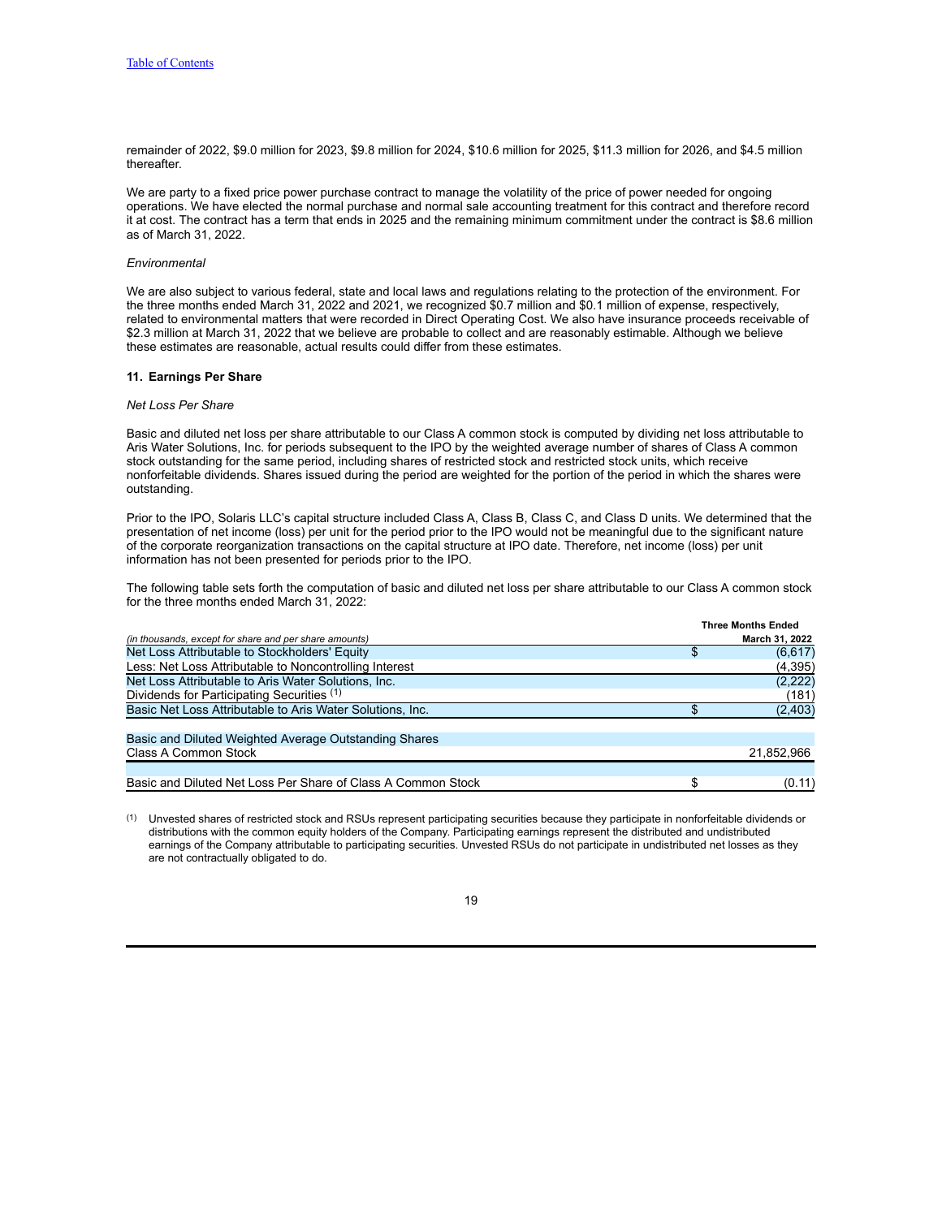remainder of 2022, \$9.0 million for 2023, \$9.8 million for 2024, \$10.6 million for 2025, \$11.3 million for 2026, and \$4.5 million thereafter.

We are party to a fixed price power purchase contract to manage the volatility of the price of power needed for ongoing operations. We have elected the normal purchase and normal sale accounting treatment for this contract and therefore record it at cost. The contract has a term that ends in 2025 and the remaining minimum commitment under the contract is \$8.6 million as of March 31, 2022.

#### *Environmental*

We are also subject to various federal, state and local laws and regulations relating to the protection of the environment. For the three months ended March 31, 2022 and 2021, we recognized \$0.7 million and \$0.1 million of expense, respectively, related to environmental matters that were recorded in Direct Operating Cost. We also have insurance proceeds receivable of \$2.3 million at March 31, 2022 that we believe are probable to collect and are reasonably estimable. Although we believe these estimates are reasonable, actual results could differ from these estimates.

#### **11. Earnings Per Share**

#### *Net Loss Per Share*

Basic and diluted net loss per share attributable to our Class A common stock is computed by dividing net loss attributable to Aris Water Solutions, Inc. for periods subsequent to the IPO by the weighted average number of shares of Class A common stock outstanding for the same period, including shares of restricted stock and restricted stock units, which receive nonforfeitable dividends. Shares issued during the period are weighted for the portion of the period in which the shares were outstanding.

Prior to the IPO, Solaris LLC's capital structure included Class A, Class B, Class C, and Class D units. We determined that the presentation of net income (loss) per unit for the period prior to the IPO would not be meaningful due to the significant nature of the corporate reorganization transactions on the capital structure at IPO date. Therefore, net income (loss) per unit information has not been presented for periods prior to the IPO.

The following table sets forth the computation of basic and diluted net loss per share attributable to our Class A common stock for the three months ended March 31, 2022:

|                                                              | <b>Three Months Ended</b> |
|--------------------------------------------------------------|---------------------------|
| (in thousands, except for share and per share amounts)       | March 31, 2022            |
| Net Loss Attributable to Stockholders' Equity                | (6,617)                   |
| Less: Net Loss Attributable to Noncontrolling Interest       | (4, 395)                  |
| Net Loss Attributable to Aris Water Solutions, Inc.          | (2, 222)                  |
| Dividends for Participating Securities (1)                   | (181)                     |
| Basic Net Loss Attributable to Aris Water Solutions, Inc.    | (2, 403)                  |
| Basic and Diluted Weighted Average Outstanding Shares        |                           |
| Class A Common Stock                                         | 21,852,966                |
|                                                              |                           |
| Basic and Diluted Net Loss Per Share of Class A Common Stock | (0.11)                    |

(1) Unvested shares of restricted stock and RSUs represent participating securities because they participate in nonforfeitable dividends or distributions with the common equity holders of the Company. Participating earnings represent the distributed and undistributed earnings of the Company attributable to participating securities. Unvested RSUs do not participate in undistributed net losses as they are not contractually obligated to do.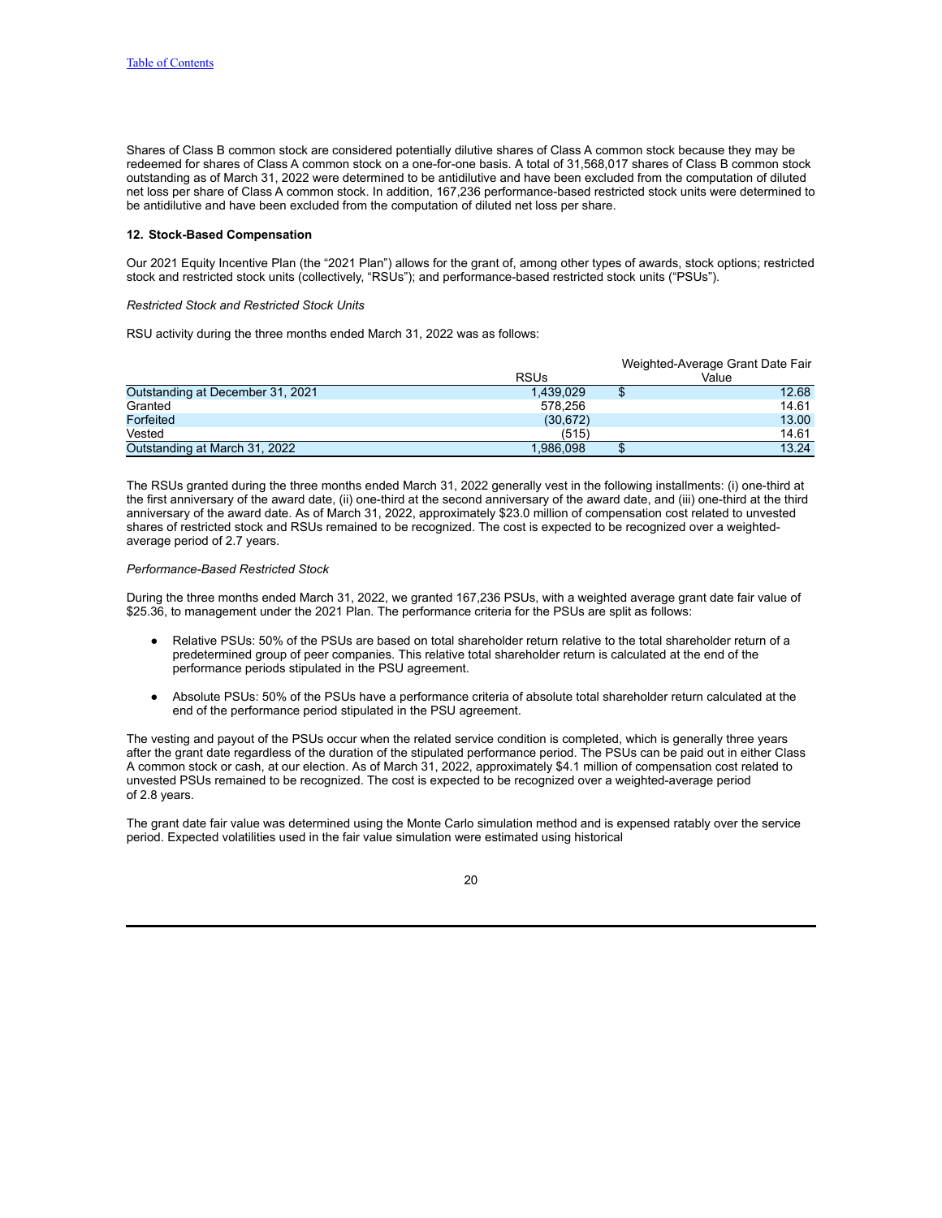Shares of Class B common stock are considered potentially dilutive shares of Class A common stock because they may be redeemed for shares of Class A common stock on a one-for-one basis. A total of 31,568,017 shares of Class B common stock outstanding as of March 31, 2022 were determined to be antidilutive and have been excluded from the computation of diluted net loss per share of Class A common stock. In addition, 167,236 performance-based restricted stock units were determined to be antidilutive and have been excluded from the computation of diluted net loss per share.

### **12. Stock-Based Compensation**

Our 2021 Equity Incentive Plan (the "2021 Plan") allows for the grant of, among other types of awards, stock options; restricted stock and restricted stock units (collectively, "RSUs"); and performance-based restricted stock units ("PSUs").

## *Restricted Stock and Restricted Stock Units*

RSU activity during the three months ended March 31, 2022 was as follows:

|                                  |             | Weighted-Average Grant Date Fair |       |  |  |  |
|----------------------------------|-------------|----------------------------------|-------|--|--|--|
|                                  | <b>RSUs</b> |                                  | Value |  |  |  |
| Outstanding at December 31, 2021 | 1,439,029   | Φ                                | 12.68 |  |  |  |
| Granted                          | 578.256     |                                  | 14.61 |  |  |  |
| Forfeited                        | (30, 672)   |                                  | 13.00 |  |  |  |
| Vested                           | (515)       |                                  | 14.61 |  |  |  |
| Outstanding at March 31, 2022    | 1.986.098   |                                  | 13.24 |  |  |  |

The RSUs granted during the three months ended March 31, 2022 generally vest in the following installments: (i) one-third at the first anniversary of the award date, (ii) one-third at the second anniversary of the award date, and (iii) one-third at the third anniversary of the award date. As of March 31, 2022, approximately \$23.0 million of compensation cost related to unvested shares of restricted stock and RSUs remained to be recognized. The cost is expected to be recognized over a weightedaverage period of 2.7 years.

#### *Performance-Based Restricted Stock*

During the three months ended March 31, 2022, we granted 167,236 PSUs, with a weighted average grant date fair value of \$25.36, to management under the 2021 Plan. The performance criteria for the PSUs are split as follows:

- Relative PSUs: 50% of the PSUs are based on total shareholder return relative to the total shareholder return of a predetermined group of peer companies. This relative total shareholder return is calculated at the end of the performance periods stipulated in the PSU agreement.
- Absolute PSUs: 50% of the PSUs have a performance criteria of absolute total shareholder return calculated at the end of the performance period stipulated in the PSU agreement.

The vesting and payout of the PSUs occur when the related service condition is completed, which is generally three years after the grant date regardless of the duration of the stipulated performance period. The PSUs can be paid out in either Class A common stock or cash, at our election. As of March 31, 2022, approximately \$4.1 million of compensation cost related to unvested PSUs remained to be recognized. The cost is expected to be recognized over a weighted-average period of 2.8 years.

The grant date fair value was determined using the Monte Carlo simulation method and is expensed ratably over the service period. Expected volatilities used in the fair value simulation were estimated using historical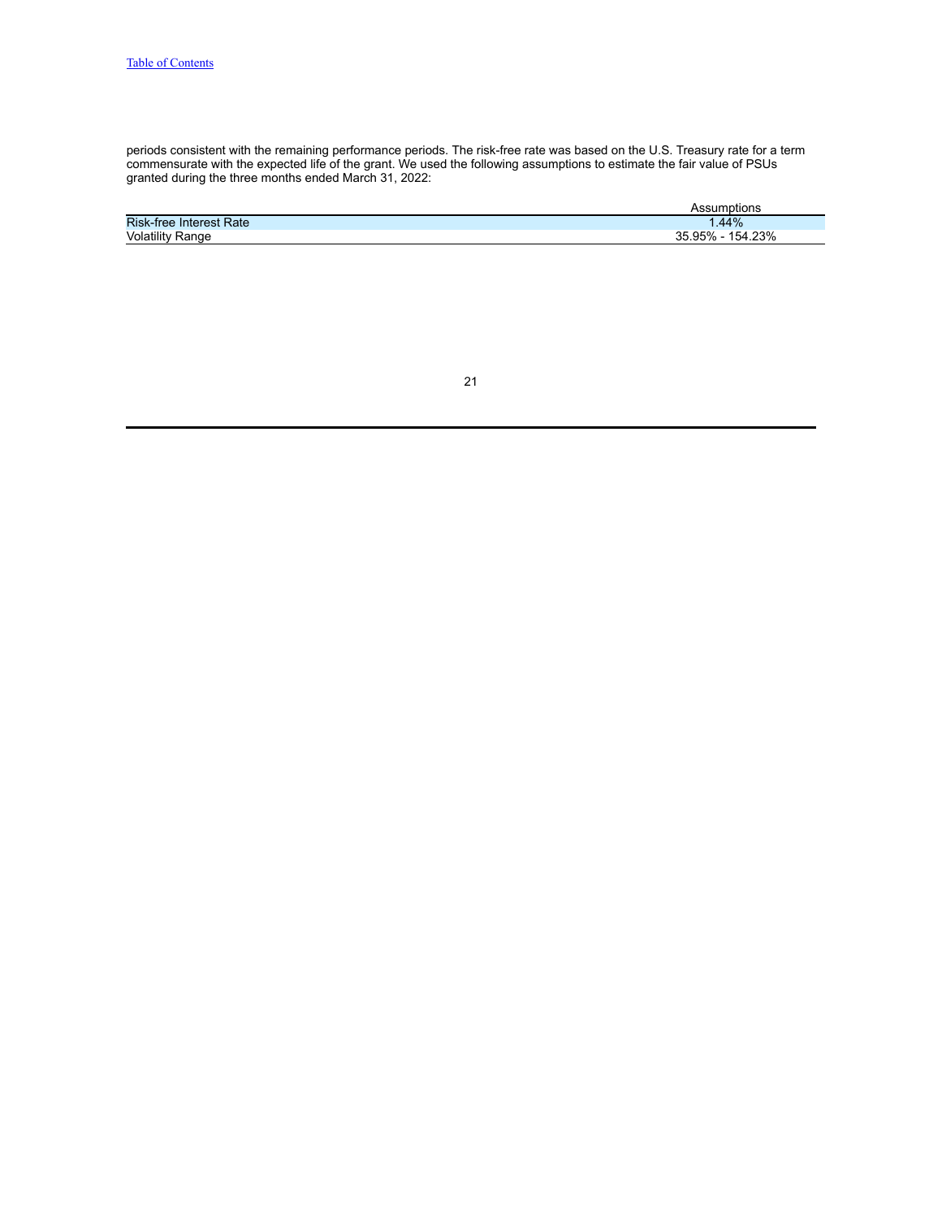periods consistent with the remaining performance periods. The risk-free rate was based on the U.S. Treasury rate for a term commensurate with the expected life of the grant. We used the following assumptions to estimate the fair value of PSUs granted during the three months ended March 31, 2022:

|                                | mptions                |
|--------------------------------|------------------------|
| <b>Risk-free Interest Rate</b> | .44%                   |
| Volatility<br>/ Range          | 154.23%<br>.95%<br>رزر |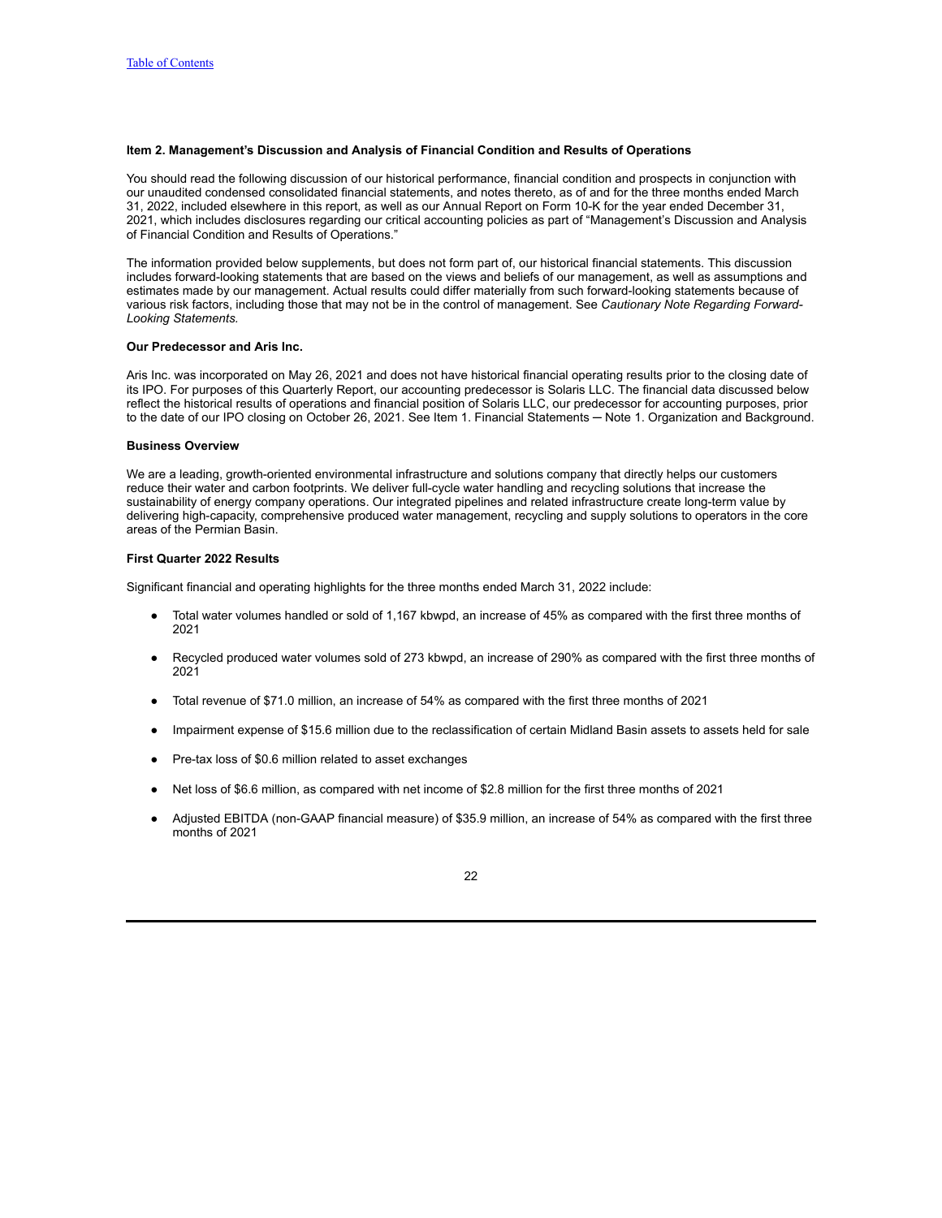## <span id="page-21-0"></span>**Item 2. Management's Discussion and Analysis of Financial Condition and Results of Operations**

You should read the following discussion of our historical performance, financial condition and prospects in conjunction with our unaudited condensed consolidated financial statements, and notes thereto, as of and for the three months ended March 31, 2022, included elsewhere in this report, as well as our Annual Report on Form 10-K for the year ended December 31, 2021, which includes disclosures regarding our critical accounting policies as part of "Management's Discussion and Analysis of Financial Condition and Results of Operations."

The information provided below supplements, but does not form part of, our historical financial statements. This discussion includes forward-looking statements that are based on the views and beliefs of our management, as well as assumptions and estimates made by our management. Actual results could differ materially from such forward-looking statements because of various risk factors, including those that may not be in the control of management. See *Cautionary Note Regarding Forward-Looking Statements.*

#### **Our Predecessor and Aris Inc.**

Aris Inc. was incorporated on May 26, 2021 and does not have historical financial operating results prior to the closing date of its IPO. For purposes of this Quarterly Report, our accounting predecessor is Solaris LLC. The financial data discussed below reflect the historical results of operations and financial position of Solaris LLC, our predecessor for accounting purposes, prior to the date of our IPO closing on October 26, 2021. See Item 1. Financial Statements — Note 1. Organization and Background.

#### **Business Overview**

We are a leading, growth-oriented environmental infrastructure and solutions company that directly helps our customers reduce their water and carbon footprints. We deliver full-cycle water handling and recycling solutions that increase the sustainability of energy company operations. Our integrated pipelines and related infrastructure create long-term value by delivering high-capacity, comprehensive produced water management, recycling and supply solutions to operators in the core areas of the Permian Basin.

#### **First Quarter 2022 Results**

Significant financial and operating highlights for the three months ended March 31, 2022 include:

- Total water volumes handled or sold of 1,167 kbwpd, an increase of 45% as compared with the first three months of 2021
- Recycled produced water volumes sold of 273 kbwpd, an increase of 290% as compared with the first three months of 2021
- Total revenue of \$71.0 million, an increase of 54% as compared with the first three months of 2021
- Impairment expense of \$15.6 million due to the reclassification of certain Midland Basin assets to assets held for sale
- Pre-tax loss of \$0.6 million related to asset exchanges
- Net loss of \$6.6 million, as compared with net income of \$2.8 million for the first three months of 2021
- Adjusted EBITDA (non-GAAP financial measure) of \$35.9 million, an increase of 54% as compared with the first three months of 2021

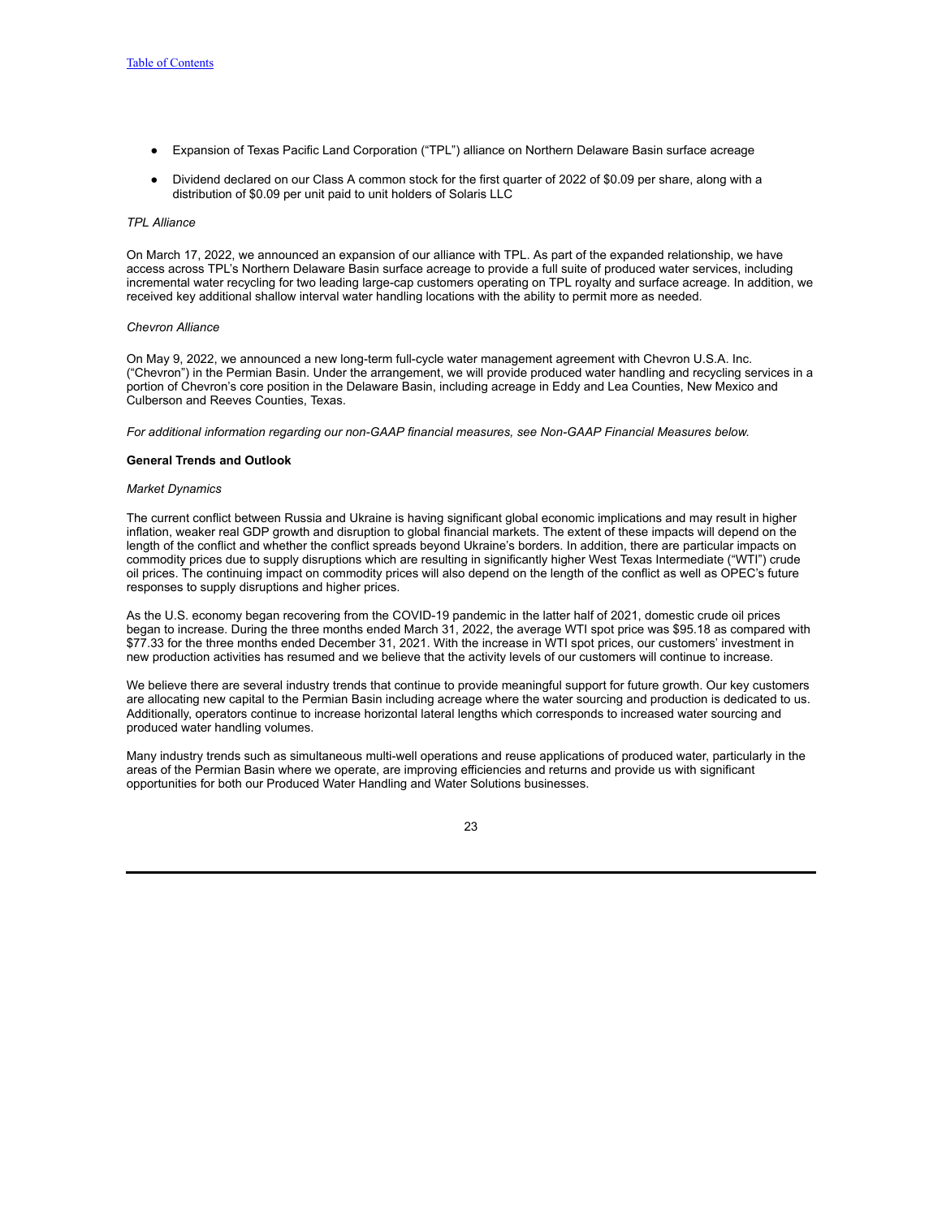- Expansion of Texas Pacific Land Corporation ("TPL") alliance on Northern Delaware Basin surface acreage
- Dividend declared on our Class A common stock for the first quarter of 2022 of \$0.09 per share, along with a distribution of \$0.09 per unit paid to unit holders of Solaris LLC

#### *TPL Alliance*

On March 17, 2022, we announced an expansion of our alliance with TPL. As part of the expanded relationship, we have access across TPL's Northern Delaware Basin surface acreage to provide a full suite of produced water services, including incremental water recycling for two leading large-cap customers operating on TPL royalty and surface acreage. In addition, we received key additional shallow interval water handling locations with the ability to permit more as needed.

#### *Chevron Alliance*

On May 9, 2022, we announced a new long-term full-cycle water management agreement with Chevron U.S.A. Inc. ("Chevron") in the Permian Basin. Under the arrangement, we will provide produced water handling and recycling services in a portion of Chevron's core position in the Delaware Basin, including acreage in Eddy and Lea Counties, New Mexico and Culberson and Reeves Counties, Texas.

*For additional information regarding our non-GAAP financial measures, see Non-GAAP Financial Measures below.*

### **General Trends and Outlook**

#### *Market Dynamics*

The current conflict between Russia and Ukraine is having significant global economic implications and may result in higher inflation, weaker real GDP growth and disruption to global financial markets. The extent of these impacts will depend on the length of the conflict and whether the conflict spreads beyond Ukraine's borders. In addition, there are particular impacts on commodity prices due to supply disruptions which are resulting in significantly higher West Texas Intermediate ("WTI") crude oil prices. The continuing impact on commodity prices will also depend on the length of the conflict as well as OPEC's future responses to supply disruptions and higher prices.

As the U.S. economy began recovering from the COVID-19 pandemic in the latter half of 2021, domestic crude oil prices began to increase. During the three months ended March 31, 2022, the average WTI spot price was \$95.18 as compared with \$77.33 for the three months ended December 31, 2021. With the increase in WTI spot prices, our customers' investment in new production activities has resumed and we believe that the activity levels of our customers will continue to increase.

We believe there are several industry trends that continue to provide meaningful support for future growth. Our key customers are allocating new capital to the Permian Basin including acreage where the water sourcing and production is dedicated to us. Additionally, operators continue to increase horizontal lateral lengths which corresponds to increased water sourcing and produced water handling volumes.

Many industry trends such as simultaneous multi-well operations and reuse applications of produced water, particularly in the areas of the Permian Basin where we operate, are improving efficiencies and returns and provide us with significant opportunities for both our Produced Water Handling and Water Solutions businesses.

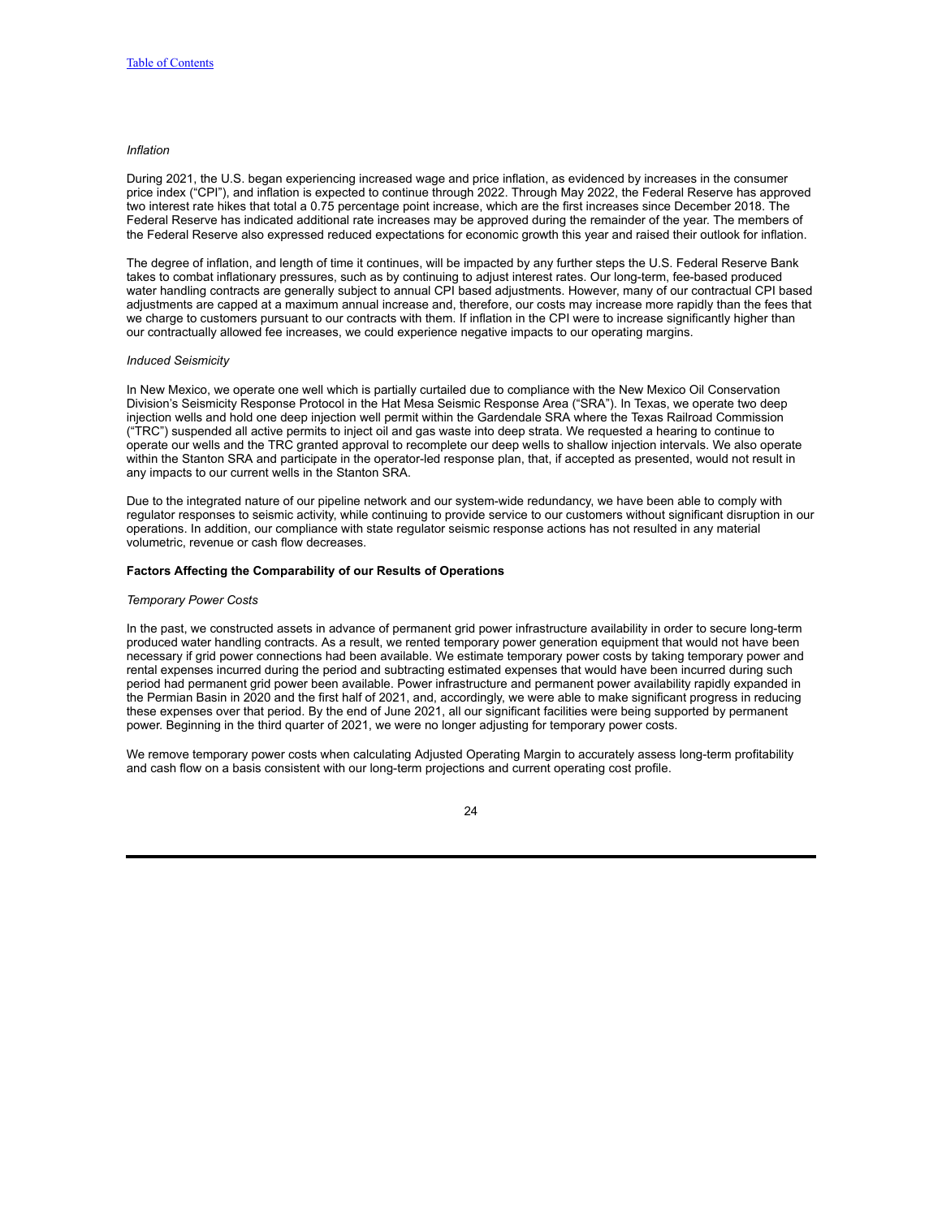## *Inflation*

During 2021, the U.S. began experiencing increased wage and price inflation, as evidenced by increases in the consumer price index ("CPI"), and inflation is expected to continue through 2022. Through May 2022, the Federal Reserve has approved two interest rate hikes that total a 0.75 percentage point increase, which are the first increases since December 2018. The Federal Reserve has indicated additional rate increases may be approved during the remainder of the year. The members of the Federal Reserve also expressed reduced expectations for economic growth this year and raised their outlook for inflation.

The degree of inflation, and length of time it continues, will be impacted by any further steps the U.S. Federal Reserve Bank takes to combat inflationary pressures, such as by continuing to adjust interest rates. Our long-term, fee-based produced water handling contracts are generally subject to annual CPI based adjustments. However, many of our contractual CPI based adjustments are capped at a maximum annual increase and, therefore, our costs may increase more rapidly than the fees that we charge to customers pursuant to our contracts with them. If inflation in the CPI were to increase significantly higher than our contractually allowed fee increases, we could experience negative impacts to our operating margins.

#### *Induced Seismicity*

In New Mexico, we operate one well which is partially curtailed due to compliance with the New Mexico Oil Conservation Division's Seismicity Response Protocol in the Hat Mesa Seismic Response Area ("SRA"). In Texas, we operate two deep injection wells and hold one deep injection well permit within the Gardendale SRA where the Texas Railroad Commission ("TRC") suspended all active permits to inject oil and gas waste into deep strata. We requested a hearing to continue to operate our wells and the TRC granted approval to recomplete our deep wells to shallow injection intervals. We also operate within the Stanton SRA and participate in the operator-led response plan, that, if accepted as presented, would not result in any impacts to our current wells in the Stanton SRA.

Due to the integrated nature of our pipeline network and our system-wide redundancy, we have been able to comply with regulator responses to seismic activity, while continuing to provide service to our customers without significant disruption in our operations. In addition, our compliance with state regulator seismic response actions has not resulted in any material volumetric, revenue or cash flow decreases.

#### **Factors Affecting the Comparability of our Results of Operations**

#### *Temporary Power Costs*

In the past, we constructed assets in advance of permanent grid power infrastructure availability in order to secure long-term produced water handling contracts. As a result, we rented temporary power generation equipment that would not have been necessary if grid power connections had been available. We estimate temporary power costs by taking temporary power and rental expenses incurred during the period and subtracting estimated expenses that would have been incurred during such period had permanent grid power been available. Power infrastructure and permanent power availability rapidly expanded in the Permian Basin in 2020 and the first half of 2021, and, accordingly, we were able to make significant progress in reducing these expenses over that period. By the end of June 2021, all our significant facilities were being supported by permanent power. Beginning in the third quarter of 2021, we were no longer adjusting for temporary power costs.

We remove temporary power costs when calculating Adjusted Operating Margin to accurately assess long-term profitability and cash flow on a basis consistent with our long-term projections and current operating cost profile.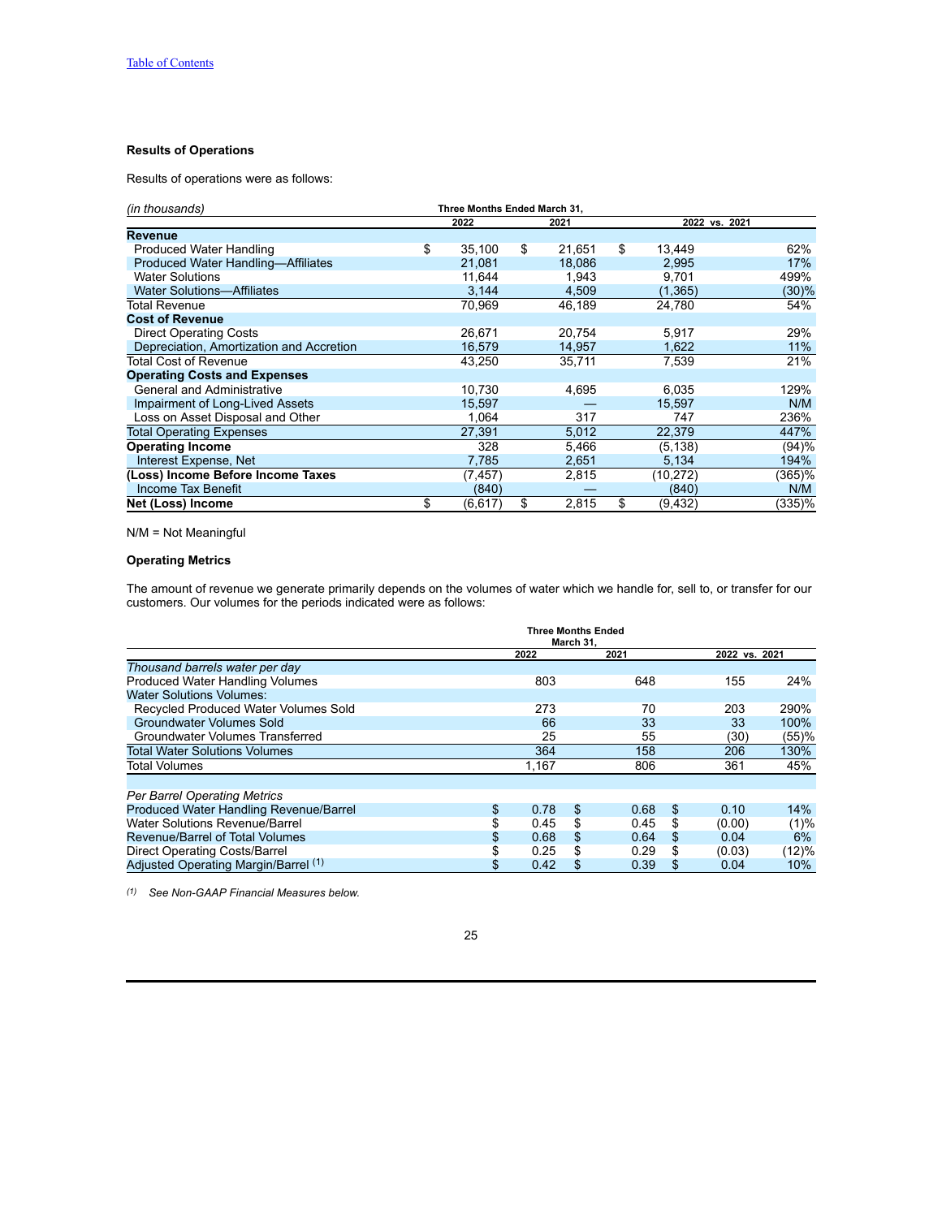## **Results of Operations**

Results of operations were as follows:

| (in thousands)                           |    | Three Months Ended March 31. |    |        |    |               |        |
|------------------------------------------|----|------------------------------|----|--------|----|---------------|--------|
|                                          |    | 2022                         |    | 2021   |    | 2022 vs. 2021 |        |
| <b>Revenue</b>                           |    |                              |    |        |    |               |        |
| Produced Water Handling                  | \$ | 35.100                       | \$ | 21.651 | \$ | 13.449        | 62%    |
| Produced Water Handling-Affiliates       |    | 21,081                       |    | 18,086 |    | 2,995         | 17%    |
| <b>Water Solutions</b>                   |    | 11,644                       |    | 1,943  |    | 9,701         | 499%   |
| <b>Water Solutions-Affiliates</b>        |    | 3,144                        |    | 4,509  |    | (1, 365)      | (30)%  |
| Total Revenue                            |    | 70,969                       |    | 46,189 |    | 24,780        | 54%    |
| <b>Cost of Revenue</b>                   |    |                              |    |        |    |               |        |
| <b>Direct Operating Costs</b>            |    | 26,671                       |    | 20,754 |    | 5,917         | 29%    |
| Depreciation, Amortization and Accretion |    | 16,579                       |    | 14,957 |    | 1,622         | 11%    |
| Total Cost of Revenue                    |    | 43,250                       |    | 35,711 |    | 7,539         | 21%    |
| <b>Operating Costs and Expenses</b>      |    |                              |    |        |    |               |        |
| <b>General and Administrative</b>        |    | 10,730                       |    | 4,695  |    | 6,035         | 129%   |
| Impairment of Long-Lived Assets          |    | 15,597                       |    |        |    | 15,597        | N/M    |
| Loss on Asset Disposal and Other         |    | 1,064                        |    | 317    |    | 747           | 236%   |
| <b>Total Operating Expenses</b>          |    | 27,391                       |    | 5,012  |    | 22,379        | 447%   |
| <b>Operating Income</b>                  |    | 328                          |    | 5,466  |    | (5, 138)      | (94)%  |
| Interest Expense, Net                    |    | 7,785                        |    | 2,651  |    | 5,134         | 194%   |
| (Loss) Income Before Income Taxes        |    | (7,457)                      |    | 2,815  |    | (10,272)      | (365)% |
| Income Tax Benefit                       |    | (840)                        |    |        |    | (840)         | N/M    |
| Net (Loss) Income                        | \$ | (6,617)                      | \$ | 2,815  | \$ | (9,432)       | (335)% |

N/M = Not Meaningful

# **Operating Metrics**

The amount of revenue we generate primarily depends on the volumes of water which we handle for, sell to, or transfer for our customers. Our volumes for the periods indicated were as follows:

|                                             | Three Months Ended<br>March 31. |    |      |     |               |       |
|---------------------------------------------|---------------------------------|----|------|-----|---------------|-------|
|                                             | 2022                            |    | 2021 |     | 2022 vs. 2021 |       |
| Thousand barrels water per day              |                                 |    |      |     |               |       |
| <b>Produced Water Handling Volumes</b>      | 803                             |    | 648  |     | 155           | 24%   |
| <b>Water Solutions Volumes:</b>             |                                 |    |      |     |               |       |
| <b>Recycled Produced Water Volumes Sold</b> | 273                             |    | 70   |     | 203           | 290%  |
| Groundwater Volumes Sold                    | 66                              |    | 33   |     | 33            | 100%  |
| Groundwater Volumes Transferred             | 25                              |    | 55   |     | (30)          | (55)% |
| <b>Total Water Solutions Volumes</b>        | 364                             |    | 158  |     | 206           | 130%  |
| <b>Total Volumes</b>                        | 1.167                           |    | 806  |     | 361           | 45%   |
|                                             |                                 |    |      |     |               |       |
| <b>Per Barrel Operating Metrics</b>         |                                 |    |      |     |               |       |
| Produced Water Handling Revenue/Barrel      | \$<br>0.78                      | \$ | 0.68 | \$. | 0.10          | 14%   |
| Water Solutions Revenue/Barrel              | 0.45                            | \$ | 0.45 | S   | (0.00)        | (1)%  |
| Revenue/Barrel of Total Volumes             | 0.68                            | \$ | 0.64 | \$. | 0.04          | 6%    |
| Direct Operating Costs/Barrel               | 0.25                            | \$ | 0.29 |     | (0.03)        | (12)% |
| Adjusted Operating Margin/Barrel (1)        | 0.42                            | \$ | 0.39 | \$. | 0.04          | 10%   |

*(1) See Non-GAAP Financial Measures below.*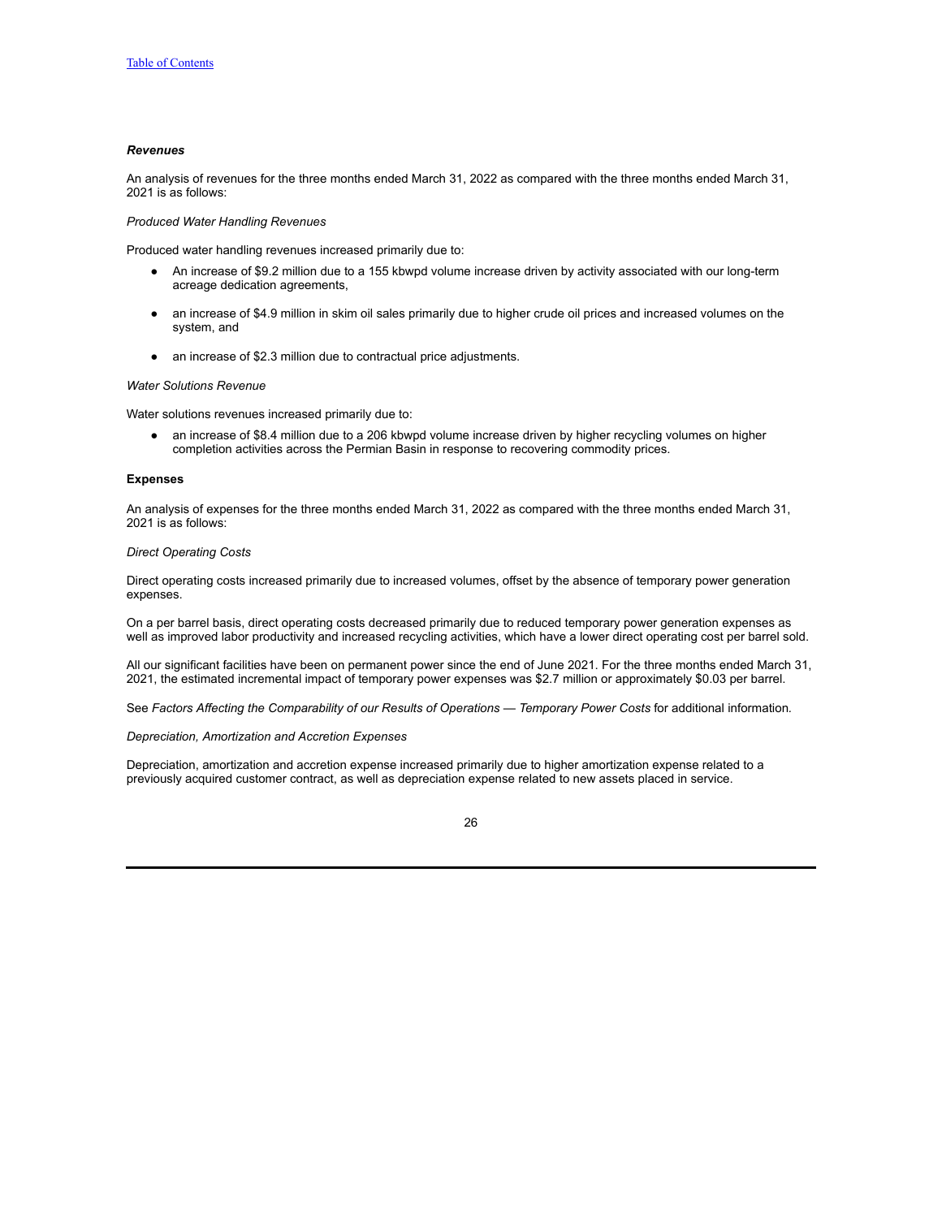## *Revenues*

An analysis of revenues for the three months ended March 31, 2022 as compared with the three months ended March 31, 2021 is as follows:

*Produced Water Handling Revenues*

Produced water handling revenues increased primarily due to:

- An increase of \$9.2 million due to a 155 kbwpd volume increase driven by activity associated with our long-term acreage dedication agreements,
- an increase of \$4.9 million in skim oil sales primarily due to higher crude oil prices and increased volumes on the system, and
- an increase of \$2.3 million due to contractual price adjustments.

#### *Water Solutions Revenue*

Water solutions revenues increased primarily due to:

● an increase of \$8.4 million due to a 206 kbwpd volume increase driven by higher recycling volumes on higher completion activities across the Permian Basin in response to recovering commodity prices.

#### **Expenses**

An analysis of expenses for the three months ended March 31, 2022 as compared with the three months ended March 31, 2021 is as follows:

### *Direct Operating Costs*

Direct operating costs increased primarily due to increased volumes, offset by the absence of temporary power generation expenses.

On a per barrel basis, direct operating costs decreased primarily due to reduced temporary power generation expenses as well as improved labor productivity and increased recycling activities, which have a lower direct operating cost per barrel sold.

All our significant facilities have been on permanent power since the end of June 2021. For the three months ended March 31, 2021, the estimated incremental impact of temporary power expenses was \$2.7 million or approximately \$0.03 per barrel.

See *Factors Affecting the Comparability of our Results of Operations — Temporary Power Costs* for additional information*.*

### *Depreciation, Amortization and Accretion Expenses*

Depreciation, amortization and accretion expense increased primarily due to higher amortization expense related to a previously acquired customer contract, as well as depreciation expense related to new assets placed in service.

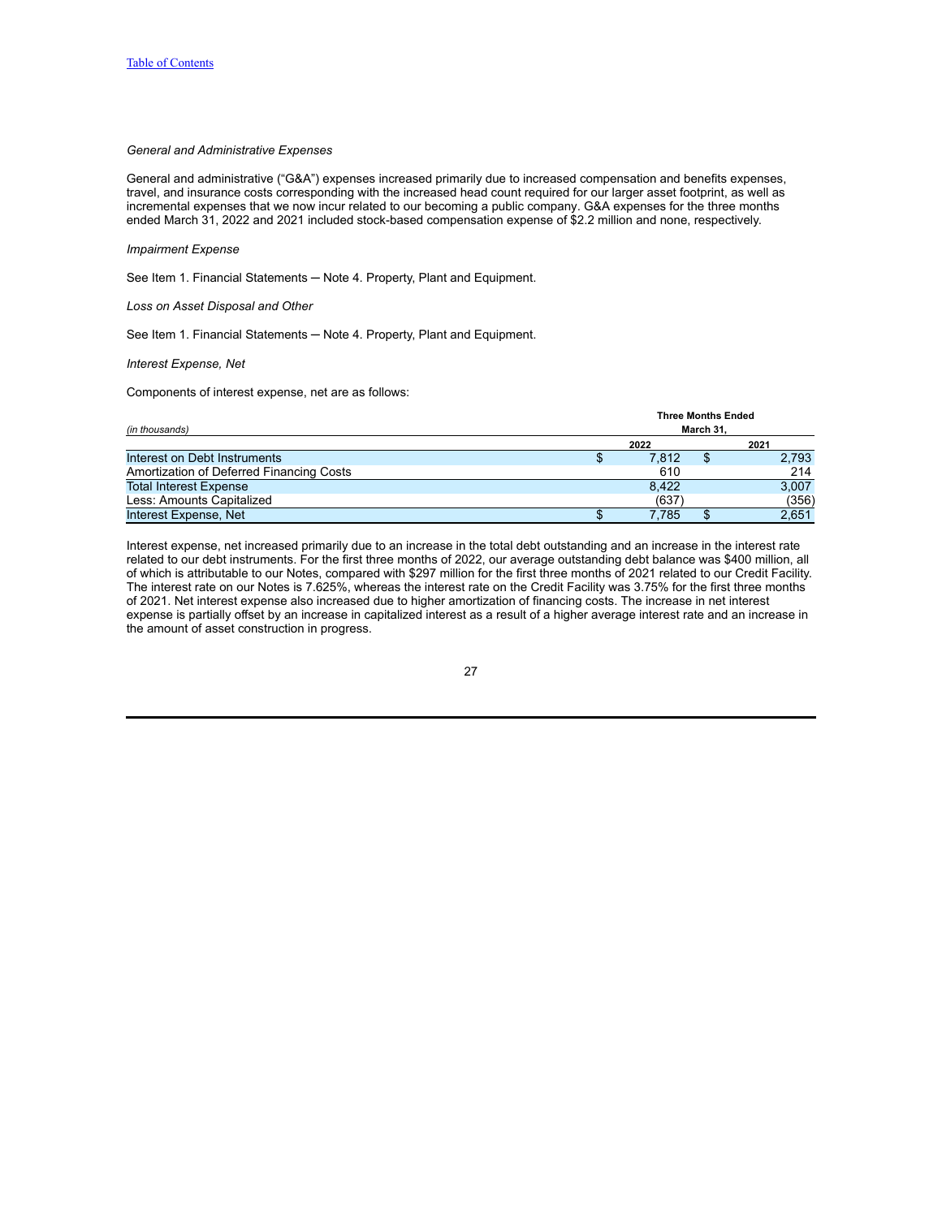## *General and Administrative Expenses*

General and administrative ("G&A") expenses increased primarily due to increased compensation and benefits expenses, travel, and insurance costs corresponding with the increased head count required for our larger asset footprint, as well as incremental expenses that we now incur related to our becoming a public company. G&A expenses for the three months ended March 31, 2022 and 2021 included stock-based compensation expense of \$2.2 million and none, respectively.

#### *Impairment Expense*

See Item 1. Financial Statements - Note 4. Property, Plant and Equipment.

*Loss on Asset Disposal and Other*

See Item 1. Financial Statements - Note 4. Property, Plant and Equipment.

### *Interest Expense, Net*

Components of interest expense, net are as follows:

|                                          | <b>Three Months Ended</b> |       |           |       |
|------------------------------------------|---------------------------|-------|-----------|-------|
| (in thousands)                           |                           |       | March 31. |       |
|                                          |                           | 2022  |           | 2021  |
| Interest on Debt Instruments             |                           | 7.812 |           | 2,793 |
| Amortization of Deferred Financing Costs |                           | 610   |           | 214   |
| <b>Total Interest Expense</b>            |                           | 8.422 |           | 3,007 |
| Less: Amounts Capitalized                |                           | (637) |           | (356) |
| Interest Expense, Net                    |                           | 7.785 |           | 2.651 |

Interest expense, net increased primarily due to an increase in the total debt outstanding and an increase in the interest rate related to our debt instruments. For the first three months of 2022, our average outstanding debt balance was \$400 million, all of which is attributable to our Notes, compared with \$297 million for the first three months of 2021 related to our Credit Facility. The interest rate on our Notes is 7.625%, whereas the interest rate on the Credit Facility was 3.75% for the first three months of 2021. Net interest expense also increased due to higher amortization of financing costs. The increase in net interest expense is partially offset by an increase in capitalized interest as a result of a higher average interest rate and an increase in the amount of asset construction in progress.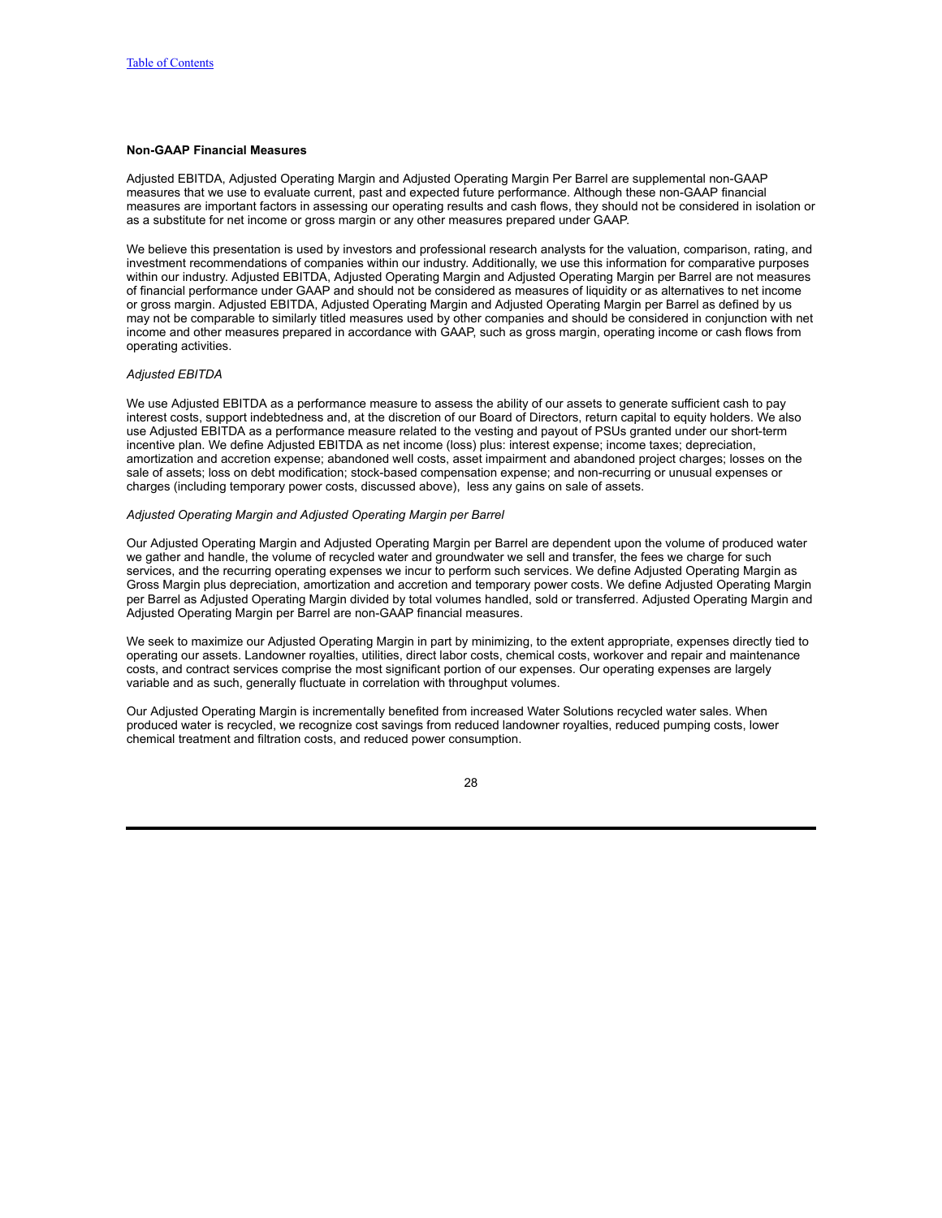## **Non-GAAP Financial Measures**

Adjusted EBITDA, Adjusted Operating Margin and Adjusted Operating Margin Per Barrel are supplemental non-GAAP measures that we use to evaluate current, past and expected future performance. Although these non-GAAP financial measures are important factors in assessing our operating results and cash flows, they should not be considered in isolation or as a substitute for net income or gross margin or any other measures prepared under GAAP.

We believe this presentation is used by investors and professional research analysts for the valuation, comparison, rating, and investment recommendations of companies within our industry. Additionally, we use this information for comparative purposes within our industry. Adjusted EBITDA, Adjusted Operating Margin and Adjusted Operating Margin per Barrel are not measures of financial performance under GAAP and should not be considered as measures of liquidity or as alternatives to net income or gross margin. Adjusted EBITDA, Adjusted Operating Margin and Adjusted Operating Margin per Barrel as defined by us may not be comparable to similarly titled measures used by other companies and should be considered in conjunction with net income and other measures prepared in accordance with GAAP, such as gross margin, operating income or cash flows from operating activities.

### *Adjusted EBITDA*

We use Adjusted EBITDA as a performance measure to assess the ability of our assets to generate sufficient cash to pay interest costs, support indebtedness and, at the discretion of our Board of Directors, return capital to equity holders. We also use Adjusted EBITDA as a performance measure related to the vesting and payout of PSUs granted under our short-term incentive plan. We define Adjusted EBITDA as net income (loss) plus: interest expense; income taxes; depreciation, amortization and accretion expense; abandoned well costs, asset impairment and abandoned project charges; losses on the sale of assets; loss on debt modification; stock-based compensation expense; and non-recurring or unusual expenses or charges (including temporary power costs, discussed above), less any gains on sale of assets.

### *Adjusted Operating Margin and Adjusted Operating Margin per Barrel*

Our Adjusted Operating Margin and Adjusted Operating Margin per Barrel are dependent upon the volume of produced water we gather and handle, the volume of recycled water and groundwater we sell and transfer, the fees we charge for such services, and the recurring operating expenses we incur to perform such services. We define Adjusted Operating Margin as Gross Margin plus depreciation, amortization and accretion and temporary power costs. We define Adjusted Operating Margin per Barrel as Adjusted Operating Margin divided by total volumes handled, sold or transferred. Adjusted Operating Margin and Adjusted Operating Margin per Barrel are non-GAAP financial measures.

We seek to maximize our Adjusted Operating Margin in part by minimizing, to the extent appropriate, expenses directly tied to operating our assets. Landowner royalties, utilities, direct labor costs, chemical costs, workover and repair and maintenance costs, and contract services comprise the most significant portion of our expenses. Our operating expenses are largely variable and as such, generally fluctuate in correlation with throughput volumes.

Our Adjusted Operating Margin is incrementally benefited from increased Water Solutions recycled water sales. When produced water is recycled, we recognize cost savings from reduced landowner royalties, reduced pumping costs, lower chemical treatment and filtration costs, and reduced power consumption.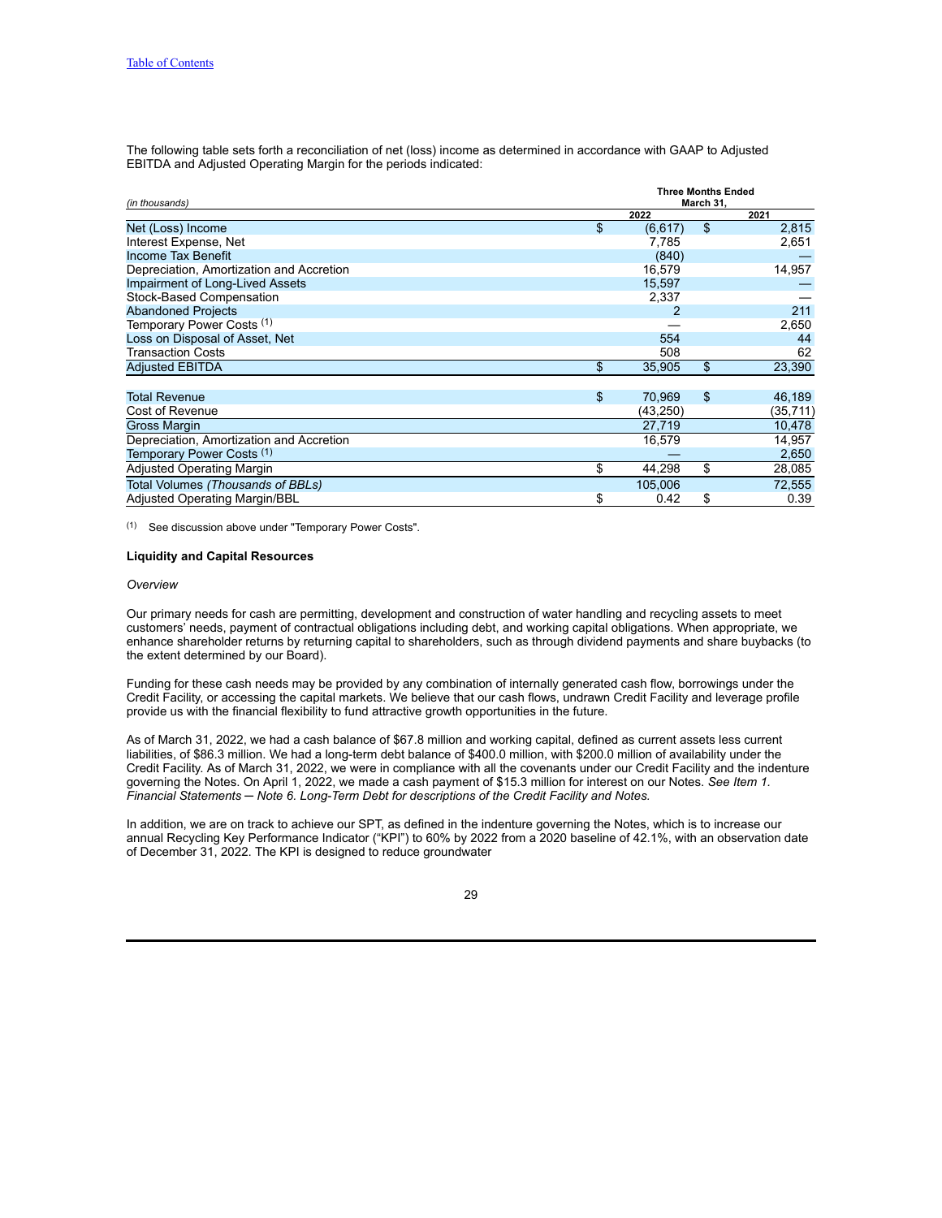The following table sets forth a reconciliation of net (loss) income as determined in accordance with GAAP to Adjusted EBITDA and Adjusted Operating Margin for the periods indicated:

| (in thousands)                           | <b>Three Months Ended</b><br>March 31, |    |          |  |
|------------------------------------------|----------------------------------------|----|----------|--|
|                                          | 2022                                   |    | 2021     |  |
| Net (Loss) Income                        | \$<br>(6, 617)                         | \$ | 2,815    |  |
| Interest Expense, Net                    | 7,785                                  |    | 2,651    |  |
| Income Tax Benefit                       | (840)                                  |    |          |  |
| Depreciation, Amortization and Accretion | 16,579                                 |    | 14,957   |  |
| <b>Impairment of Long-Lived Assets</b>   | 15,597                                 |    |          |  |
| Stock-Based Compensation                 | 2,337                                  |    |          |  |
| <b>Abandoned Projects</b>                |                                        |    | 211      |  |
| Temporary Power Costs (1)                |                                        |    | 2,650    |  |
| Loss on Disposal of Asset, Net           | 554                                    |    | 44       |  |
| Transaction Costs                        | 508                                    |    | 62       |  |
| <b>Adjusted EBITDA</b>                   | \$<br>35,905                           | \$ | 23,390   |  |
| <b>Total Revenue</b>                     | \$<br>70,969                           | \$ | 46,189   |  |
| Cost of Revenue                          | (43,250)                               |    | (35,711) |  |
| <b>Gross Margin</b>                      | 27,719                                 |    | 10,478   |  |
| Depreciation, Amortization and Accretion | 16,579                                 |    | 14,957   |  |
| Temporary Power Costs (1)                |                                        |    | 2,650    |  |
| <b>Adjusted Operating Margin</b>         | \$<br>44,298                           | \$ | 28,085   |  |
| Total Volumes (Thousands of BBLs)        | 105,006                                |    | 72,555   |  |
| <b>Adjusted Operating Margin/BBL</b>     | \$<br>0.42                             | \$ | 0.39     |  |

(1) See discussion above under "Temporary Power Costs".

## **Liquidity and Capital Resources**

#### *Overview*

Our primary needs for cash are permitting, development and construction of water handling and recycling assets to meet customers' needs, payment of contractual obligations including debt, and working capital obligations. When appropriate, we enhance shareholder returns by returning capital to shareholders, such as through dividend payments and share buybacks (to the extent determined by our Board).

Funding for these cash needs may be provided by any combination of internally generated cash flow, borrowings under the Credit Facility, or accessing the capital markets. We believe that our cash flows, undrawn Credit Facility and leverage profile provide us with the financial flexibility to fund attractive growth opportunities in the future.

As of March 31, 2022, we had a cash balance of \$67.8 million and working capital, defined as current assets less current liabilities, of \$86.3 million. We had a long-term debt balance of \$400.0 million, with \$200.0 million of availability under the Credit Facility. As of March 31, 2022, we were in compliance with all the covenants under our Credit Facility and the indenture governing the Notes. On April 1, 2022, we made a cash payment of \$15.3 million for interest on our Notes. *See Item 1. Financial Statements ─ Note 6. Long-Term Debt for descriptions of the Credit Facility and Notes.*

In addition, we are on track to achieve our SPT, as defined in the indenture governing the Notes, which is to increase our annual Recycling Key Performance Indicator ("KPI") to 60% by 2022 from a 2020 baseline of 42.1%, with an observation date of December 31, 2022. The KPI is designed to reduce groundwater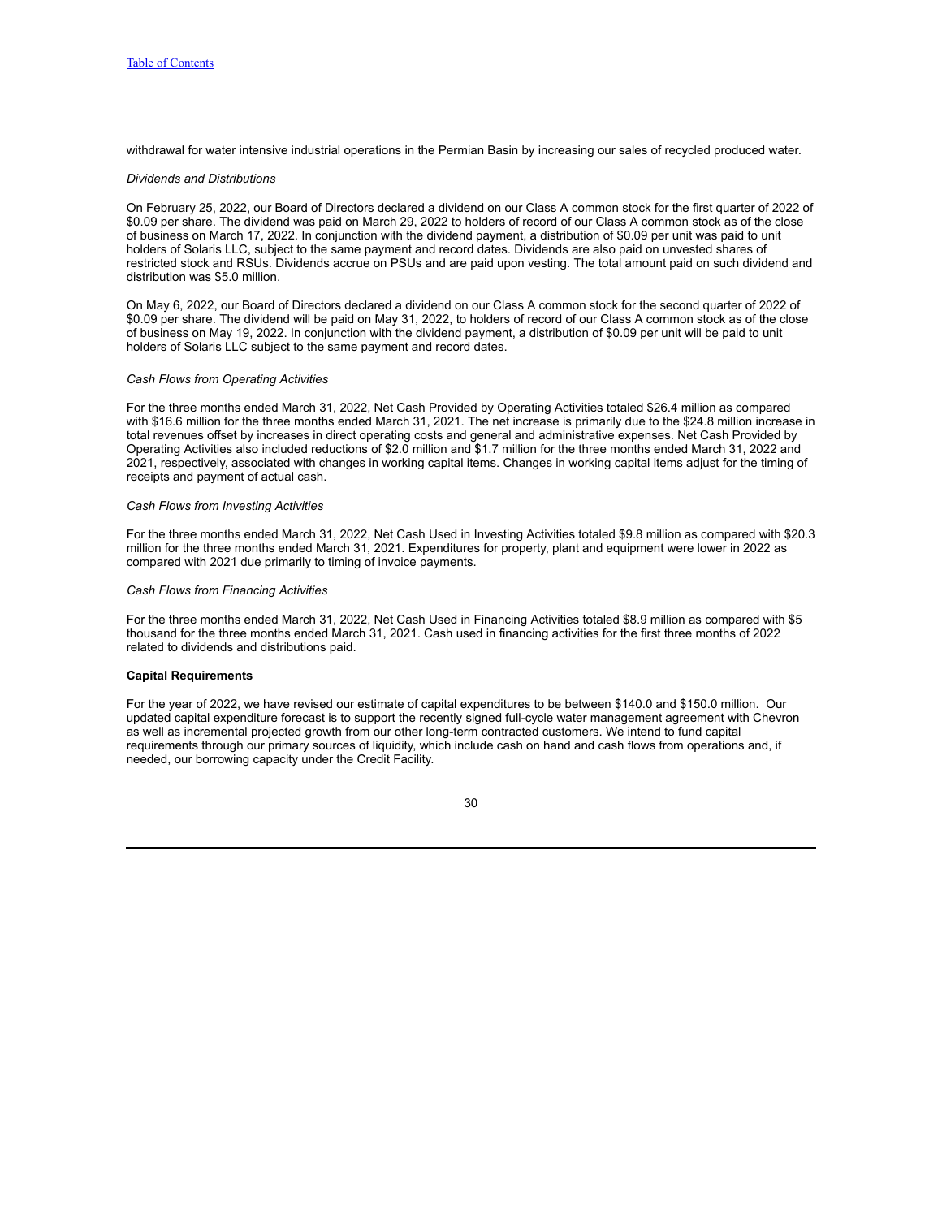withdrawal for water intensive industrial operations in the Permian Basin by increasing our sales of recycled produced water.

#### *Dividends and Distributions*

On February 25, 2022, our Board of Directors declared a dividend on our Class A common stock for the first quarter of 2022 of \$0.09 per share. The dividend was paid on March 29, 2022 to holders of record of our Class A common stock as of the close of business on March 17, 2022. In conjunction with the dividend payment, a distribution of \$0.09 per unit was paid to unit holders of Solaris LLC, subject to the same payment and record dates. Dividends are also paid on unvested shares of restricted stock and RSUs. Dividends accrue on PSUs and are paid upon vesting. The total amount paid on such dividend and distribution was \$5.0 million.

On May 6, 2022, our Board of Directors declared a dividend on our Class A common stock for the second quarter of 2022 of \$0.09 per share. The dividend will be paid on May 31, 2022, to holders of record of our Class A common stock as of the close of business on May 19, 2022. In conjunction with the dividend payment, a distribution of \$0.09 per unit will be paid to unit holders of Solaris LLC subject to the same payment and record dates.

#### *Cash Flows from Operating Activities*

For the three months ended March 31, 2022, Net Cash Provided by Operating Activities totaled \$26.4 million as compared with \$16.6 million for the three months ended March 31, 2021. The net increase is primarily due to the \$24.8 million increase in total revenues offset by increases in direct operating costs and general and administrative expenses. Net Cash Provided by Operating Activities also included reductions of \$2.0 million and \$1.7 million for the three months ended March 31, 2022 and 2021, respectively, associated with changes in working capital items. Changes in working capital items adjust for the timing of receipts and payment of actual cash.

### *Cash Flows from Investing Activities*

For the three months ended March 31, 2022, Net Cash Used in Investing Activities totaled \$9.8 million as compared with \$20.3 million for the three months ended March 31, 2021. Expenditures for property, plant and equipment were lower in 2022 as compared with 2021 due primarily to timing of invoice payments.

#### *Cash Flows from Financing Activities*

For the three months ended March 31, 2022, Net Cash Used in Financing Activities totaled \$8.9 million as compared with \$5 thousand for the three months ended March 31, 2021. Cash used in financing activities for the first three months of 2022 related to dividends and distributions paid.

#### **Capital Requirements**

For the year of 2022, we have revised our estimate of capital expenditures to be between \$140.0 and \$150.0 million. Our updated capital expenditure forecast is to support the recently signed full-cycle water management agreement with Chevron as well as incremental projected growth from our other long-term contracted customers. We intend to fund capital requirements through our primary sources of liquidity, which include cash on hand and cash flows from operations and, if needed, our borrowing capacity under the Credit Facility.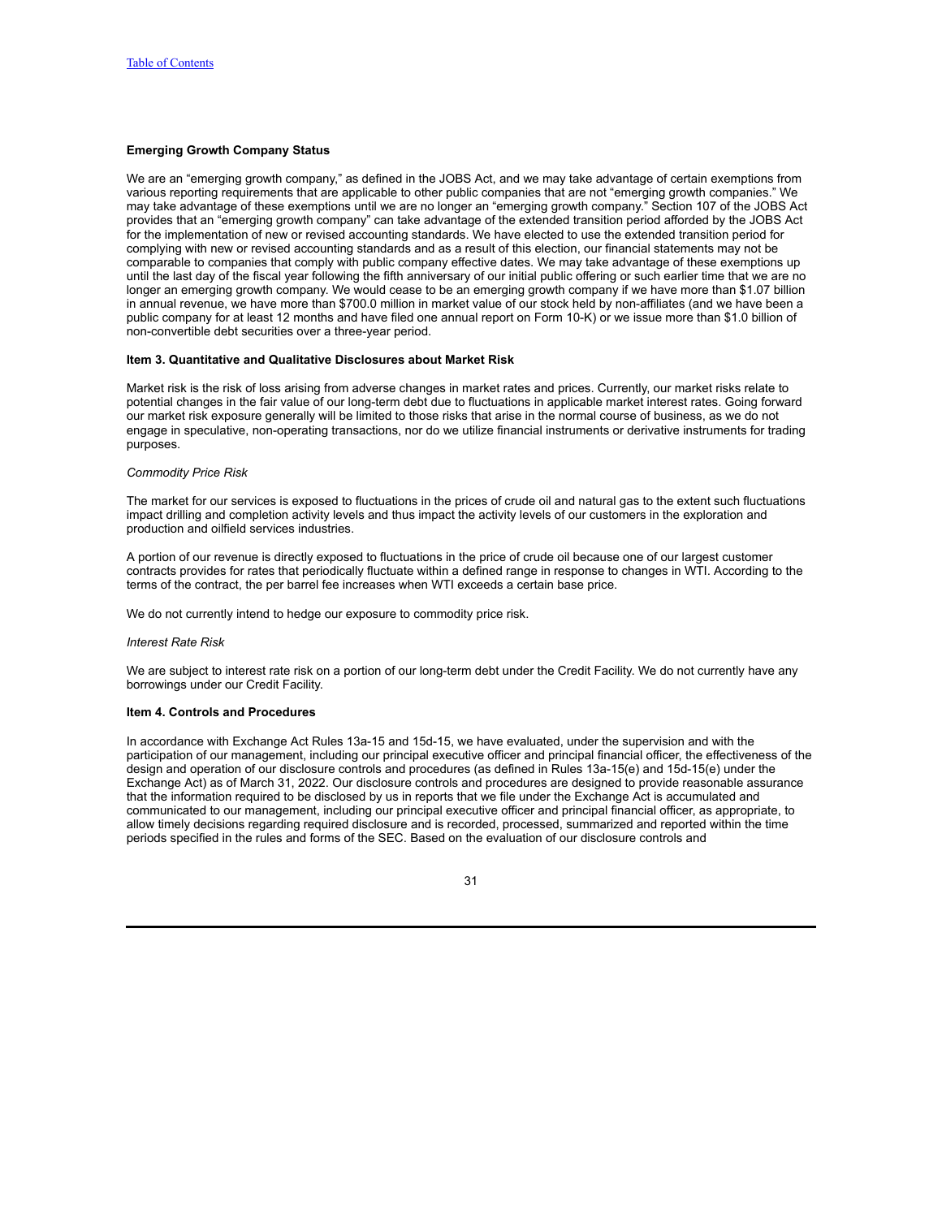## **Emerging Growth Company Status**

We are an "emerging growth company," as defined in the JOBS Act, and we may take advantage of certain exemptions from various reporting requirements that are applicable to other public companies that are not "emerging growth companies." We may take advantage of these exemptions until we are no longer an "emerging growth company." Section 107 of the JOBS Act provides that an "emerging growth company" can take advantage of the extended transition period afforded by the JOBS Act for the implementation of new or revised accounting standards. We have elected to use the extended transition period for complying with new or revised accounting standards and as a result of this election, our financial statements may not be comparable to companies that comply with public company effective dates. We may take advantage of these exemptions up until the last day of the fiscal year following the fifth anniversary of our initial public offering or such earlier time that we are no longer an emerging growth company. We would cease to be an emerging growth company if we have more than \$1.07 billion in annual revenue, we have more than \$700.0 million in market value of our stock held by non-affiliates (and we have been a public company for at least 12 months and have filed one annual report on Form 10-K) or we issue more than \$1.0 billion of non-convertible debt securities over a three-year period.

#### <span id="page-30-0"></span>**Item 3. Quantitative and Qualitative Disclosures about Market Risk**

Market risk is the risk of loss arising from adverse changes in market rates and prices. Currently, our market risks relate to potential changes in the fair value of our long-term debt due to fluctuations in applicable market interest rates. Going forward our market risk exposure generally will be limited to those risks that arise in the normal course of business, as we do not engage in speculative, non-operating transactions, nor do we utilize financial instruments or derivative instruments for trading purposes.

## *Commodity Price Risk*

The market for our services is exposed to fluctuations in the prices of crude oil and natural gas to the extent such fluctuations impact drilling and completion activity levels and thus impact the activity levels of our customers in the exploration and production and oilfield services industries.

A portion of our revenue is directly exposed to fluctuations in the price of crude oil because one of our largest customer contracts provides for rates that periodically fluctuate within a defined range in response to changes in WTI. According to the terms of the contract, the per barrel fee increases when WTI exceeds a certain base price.

We do not currently intend to hedge our exposure to commodity price risk.

### *Interest Rate Risk*

We are subject to interest rate risk on a portion of our long-term debt under the Credit Facility. We do not currently have any borrowings under our Credit Facility.

#### <span id="page-30-1"></span>**Item 4. Controls and Procedures**

In accordance with Exchange Act Rules 13a-15 and 15d-15, we have evaluated, under the supervision and with the participation of our management, including our principal executive officer and principal financial officer, the effectiveness of the design and operation of our disclosure controls and procedures (as defined in Rules 13a-15(e) and 15d-15(e) under the Exchange Act) as of March 31, 2022. Our disclosure controls and procedures are designed to provide reasonable assurance that the information required to be disclosed by us in reports that we file under the Exchange Act is accumulated and communicated to our management, including our principal executive officer and principal financial officer, as appropriate, to allow timely decisions regarding required disclosure and is recorded, processed, summarized and reported within the time periods specified in the rules and forms of the SEC. Based on the evaluation of our disclosure controls and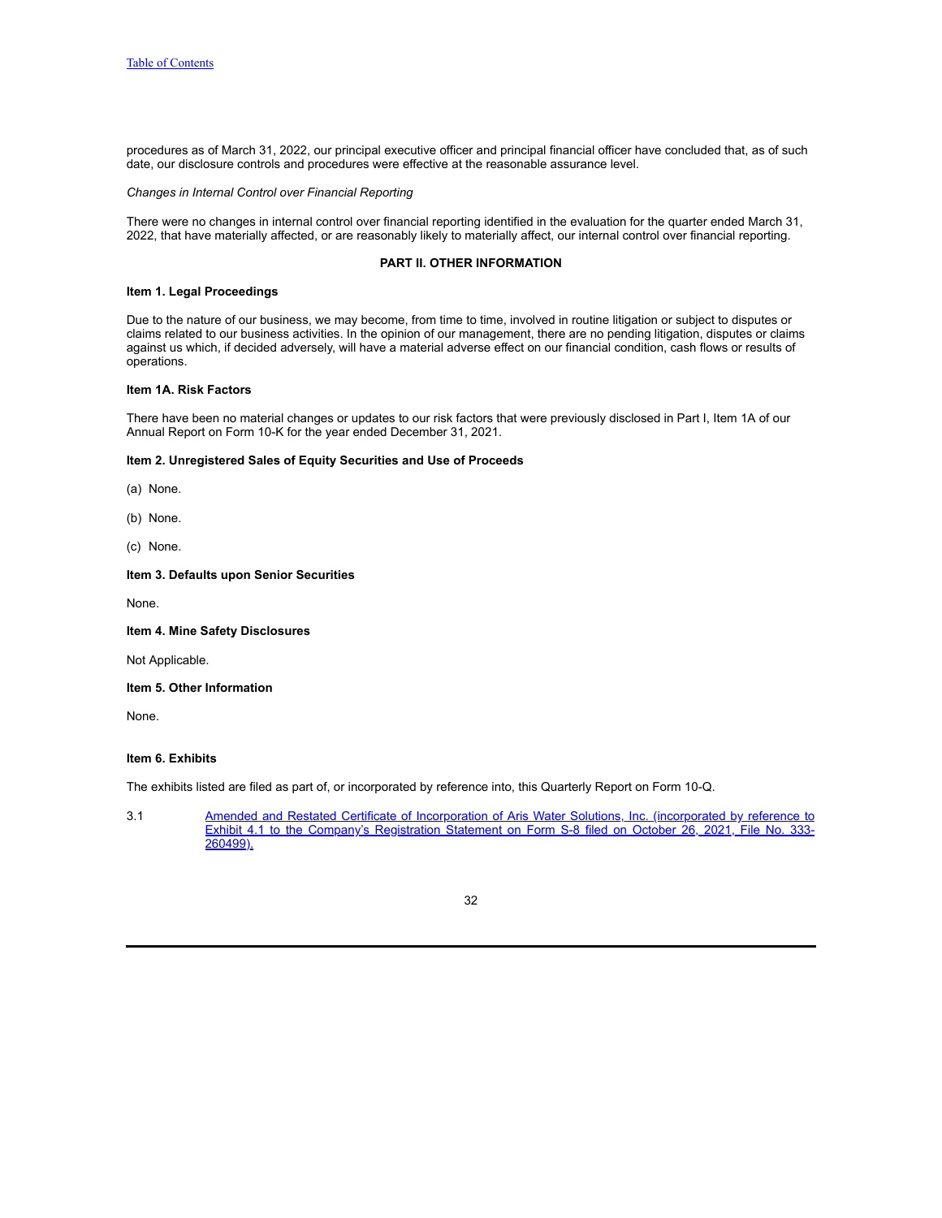procedures as of March 31, 2022, our principal executive officer and principal financial officer have concluded that, as of such date, our disclosure controls and procedures were effective at the reasonable assurance level.

## *Changes in Internal Control over Financial Reporting*

There were no changes in internal control over financial reporting identified in the evaluation for the quarter ended March 31, 2022, that have materially affected, or are reasonably likely to materially affect, our internal control over financial reporting.

## **PART II. OTHER INFORMATION**

### <span id="page-31-1"></span><span id="page-31-0"></span>**Item 1. Legal Proceedings**

Due to the nature of our business, we may become, from time to time, involved in routine litigation or subject to disputes or claims related to our business activities. In the opinion of our management, there are no pending litigation, disputes or claims against us which, if decided adversely, will have a material adverse effect on our financial condition, cash flows or results of operations.

## <span id="page-31-2"></span>**Item 1A. Risk Factors**

There have been no material changes or updates to our risk factors that were previously disclosed in Part I, Item 1A of our Annual Report on Form 10-K for the year ended December 31, 2021.

## <span id="page-31-3"></span>**Item 2. Unregistered Sales of Equity Securities and Use of Proceeds**

(a) None.

- (b) None.
- (c) None.

## <span id="page-31-4"></span>**Item 3. Defaults upon Senior Securities**

None.

## <span id="page-31-5"></span>**Item 4. Mine Safety Disclosures**

Not Applicable.

# <span id="page-31-6"></span>**Item 5. Other Information**

None.

## <span id="page-31-7"></span>**Item 6. Exhibits**

The exhibits listed are filed as part of, or incorporated by reference into, this Quarterly Report on Form 10-Q.

3.1 Amended and Restated Certificate of Incorporation of Aris Water Solutions, Inc. [\(incorporated](https://www.sec.gov/Archives/edgar/data/1865187/000114036121035451/nt10025419x23_ex4-1.htm) by reference to Exhibit 4.1 to the Company's Registration Statement on Form S-8 filed on October 26, 2021, File No. 333- 260499).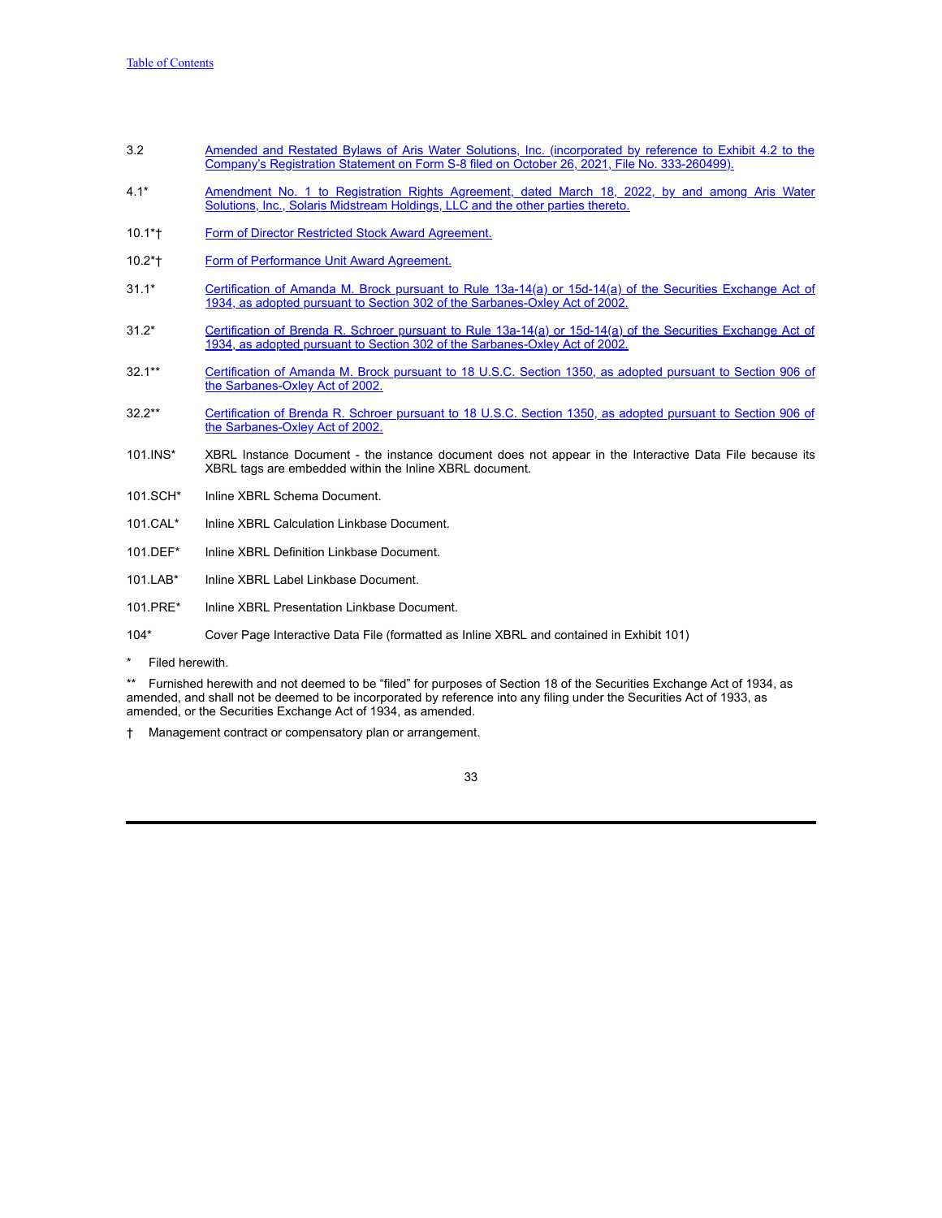- 3.2 **Amended and Restated Bylaws of Aris Water Solutions, Inc. [\(incorporated](https://www.sec.gov/Archives/edgar/data/1865187/000114036121035451/nt10025419x23_ex4-2.htm) by reference to Exhibit 4.2 to the** Company's Registration Statement on Form S-8 filed on October 26, 2021, File No. 333-260499).
- 4.1\* Amendment No. 1 to [Registration](https://s3.amazonaws.com/content.stockpr.com/sec/0001558370-22-008087/aris-20220331xex4d1.htm) Rights Agreement, dated March 18, 2022, by and among Aris Water Solutions, Inc., Solaris Midstream Holdings, LLC and the other parties thereto.
- 10.1\*† Form of Director Restricted Stock Award [Agreement.](https://s3.amazonaws.com/content.stockpr.com/sec/0001558370-22-008087/aris-20220331xex10d1.htm)
- 10.2\*† Form of [Performance](https://s3.amazonaws.com/content.stockpr.com/sec/0001558370-22-008087/aris-20220331xex10d2.htm) Unit Award Agreement.
- 31.1\* Certification of Amanda M. Brock pursuant to Rule 13a-14(a) or 15d-14(a) of the Securities Exchange Act of 1934, as adopted pursuant to Section 302 of the [Sarbanes-Oxley](https://s3.amazonaws.com/content.stockpr.com/sec/0001558370-22-008087/aris-20220331xex31d1.htm) Act of 2002.
- 31.2\* Certification of Brenda R. Schroer pursuant to Rule 13a-14(a) or 15d-14(a) of the Securities Exchange Act of 1934, as adopted pursuant to Section 302 of the [Sarbanes-Oxley](https://s3.amazonaws.com/content.stockpr.com/sec/0001558370-22-008087/aris-20220331xex31d2.htm) Act of 2002.
- 32.1\*\* Certification of Amanda M. Brock pursuant to 18 U.S.C. Section 1350, as adopted pursuant to Section 906 of the [Sarbanes-Oxley](https://s3.amazonaws.com/content.stockpr.com/sec/0001558370-22-008087/aris-20220331xex32d1.htm) Act of 2002.
- 32.2\*\* Certification of Brenda R. Schroer pursuant to 18 U.S.C. Section 1350, as adopted pursuant to Section 906 of the [Sarbanes-Oxley](https://s3.amazonaws.com/content.stockpr.com/sec/0001558370-22-008087/aris-20220331xex32d2.htm) Act of 2002.
- 101.INS\* XBRL Instance Document the instance document does not appear in the Interactive Data File because its XBRL tags are embedded within the Inline XBRL document.
- 101.SCH\* Inline XBRL Schema Document.
- 101.CAL\* Inline XBRL Calculation Linkbase Document.
- 101.DEF\* Inline XBRL Definition Linkbase Document.
- 101.LAB\* Inline XBRL Label Linkbase Document.
- 101.PRE\* Inline XBRL Presentation Linkbase Document.
- 104\* Cover Page Interactive Data File (formatted as Inline XBRL and contained in Exhibit 101)
- \* Filed herewith.

\*\* Furnished herewith and not deemed to be "filed" for purposes of Section 18 of the Securities Exchange Act of 1934, as amended, and shall not be deemed to be incorporated by reference into any filing under the Securities Act of 1933, as amended, or the Securities Exchange Act of 1934, as amended.

† Management contract or compensatory plan or arrangement.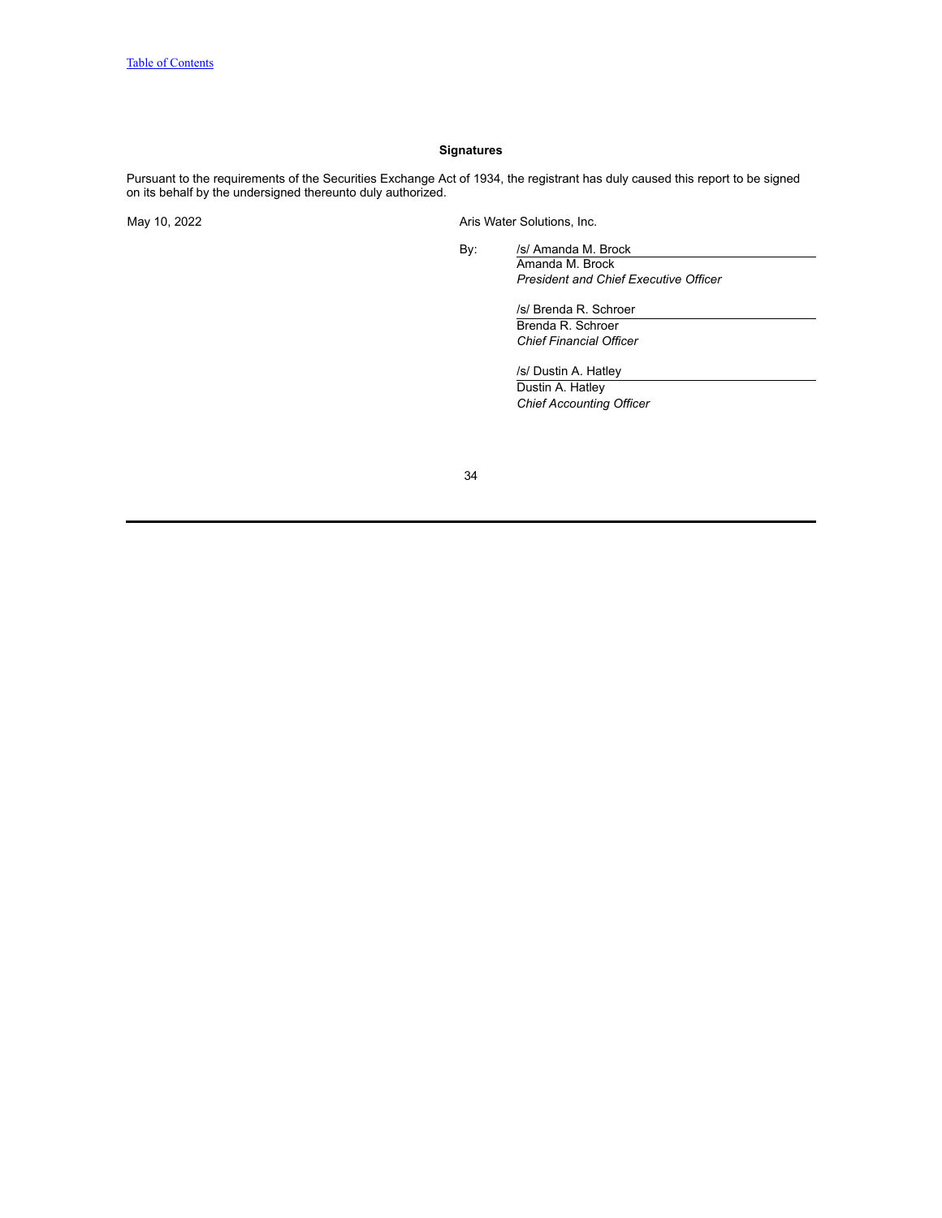## **Signatures**

<span id="page-33-0"></span>Pursuant to the requirements of the Securities Exchange Act of 1934, the registrant has duly caused this report to be signed on its behalf by the undersigned thereunto duly authorized.

May 10, 2022 **Aris Water Solutions, Inc.** 

By: /s/ Amanda M. Brock Amanda M. Brock *President and Chief Executive Officer*

> /s/ Brenda R. Schroer Brenda R. Schroer *Chief Financial Officer*

/s/ Dustin A. Hatley Dustin A. Hatley *Chief Accounting Officer*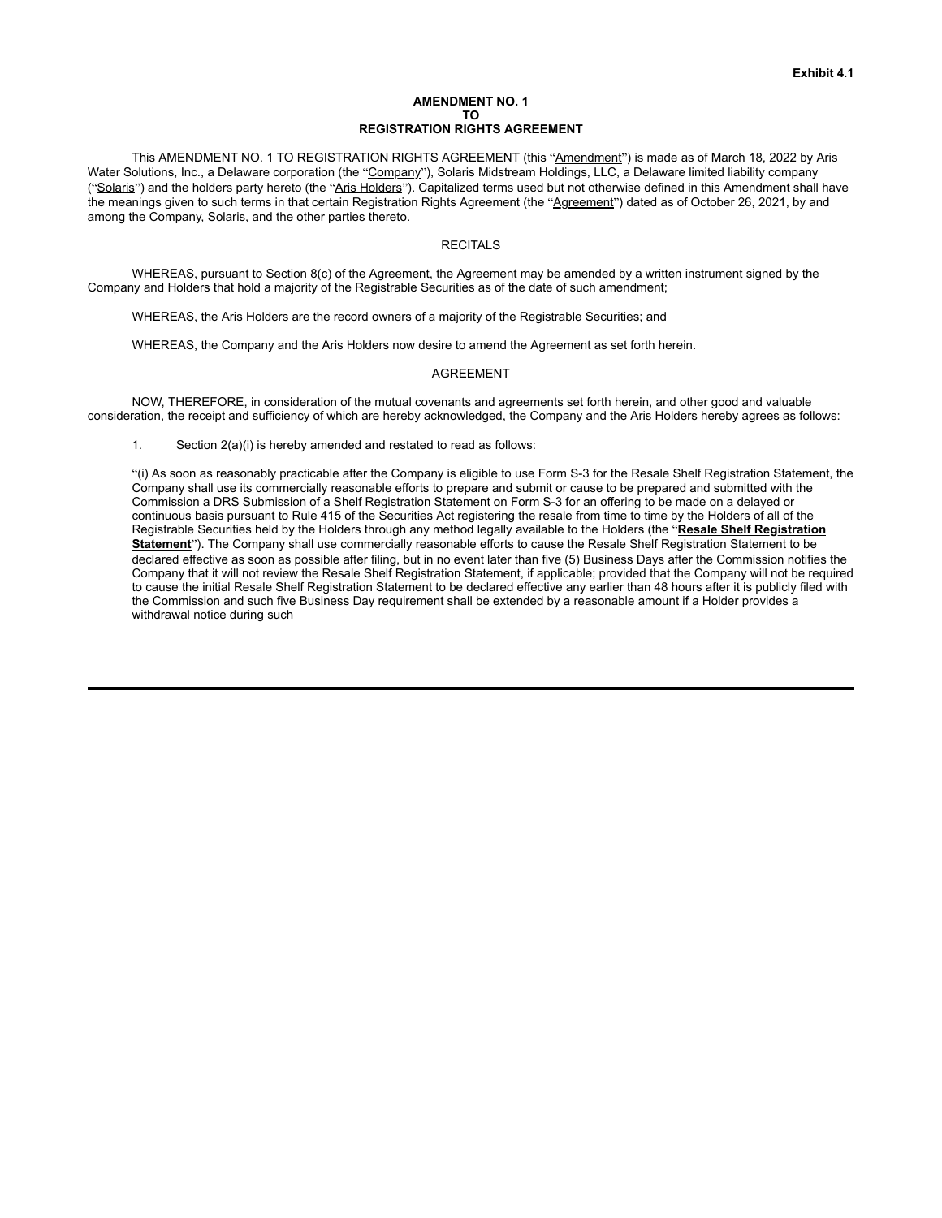#### **AMENDMENT NO. 1 TO REGISTRATION RIGHTS AGREEMENT**

This AMENDMENT NO. 1 TO REGISTRATION RIGHTS AGREEMENT (this "Amendment") is made as of March 18, 2022 by Aris Water Solutions, Inc., a Delaware corporation (the "Company"), Solaris Midstream Holdings, LLC, a Delaware limited liability company ("Solaris") and the holders party hereto (the "Aris Holders"). Capitalized terms used but not otherwise defined in this Amendment shall have the meanings given to such terms in that certain Registration Rights Agreement (the "Agreement") dated as of October 26, 2021, by and among the Company, Solaris, and the other parties thereto.

# RECITALS

WHEREAS, pursuant to Section 8(c) of the Agreement, the Agreement may be amended by a written instrument signed by the Company and Holders that hold a majority of the Registrable Securities as of the date of such amendment;

WHEREAS, the Aris Holders are the record owners of a majority of the Registrable Securities; and

WHEREAS, the Company and the Aris Holders now desire to amend the Agreement as set forth herein.

#### AGREEMENT

NOW, THEREFORE, in consideration of the mutual covenants and agreements set forth herein, and other good and valuable consideration, the receipt and sufficiency of which are hereby acknowledged, the Company and the Aris Holders hereby agrees as follows:

1. Section 2(a)(i) is hereby amended and restated to read as follows:

"(i) As soon as reasonably practicable after the Company is eligible to use Form S-3 for the Resale Shelf Registration Statement, the Company shall use its commercially reasonable efforts to prepare and submit or cause to be prepared and submitted with the Commission a DRS Submission of a Shelf Registration Statement on Form S-3 for an offering to be made on a delayed or continuous basis pursuant to Rule 415 of the Securities Act registering the resale from time to time by the Holders of all of the Registrable Securities held by the Holders through any method legally available to the Holders (the "**Resale Shelf Registration Statement**"). The Company shall use commercially reasonable efforts to cause the Resale Shelf Registration Statement to be declared effective as soon as possible after filing, but in no event later than five (5) Business Days after the Commission notifies the Company that it will not review the Resale Shelf Registration Statement, if applicable; provided that the Company will not be required to cause the initial Resale Shelf Registration Statement to be declared effective any earlier than 48 hours after it is publicly filed with the Commission and such five Business Day requirement shall be extended by a reasonable amount if a Holder provides a withdrawal notice during such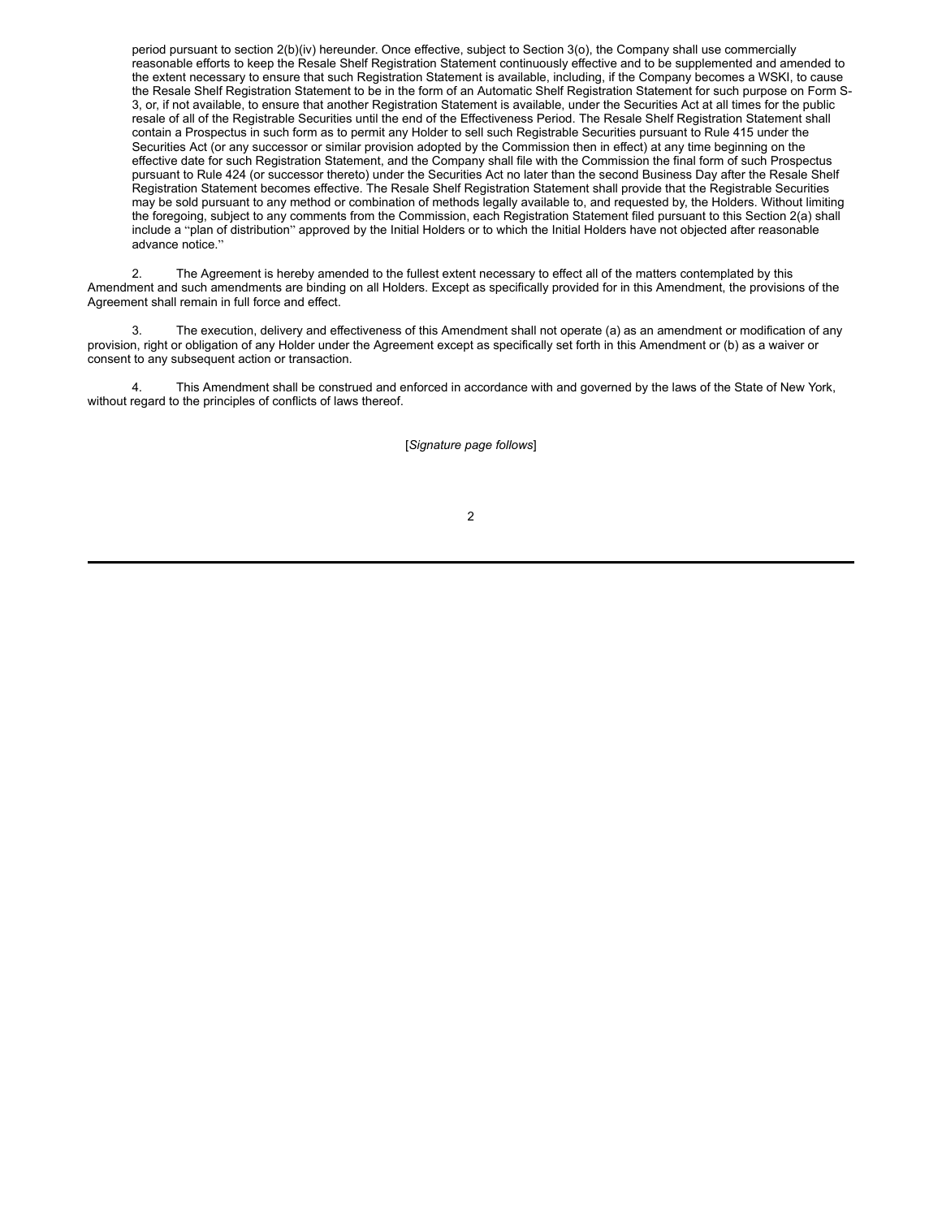period pursuant to section 2(b)(iv) hereunder. Once effective, subject to Section 3(o), the Company shall use commercially reasonable efforts to keep the Resale Shelf Registration Statement continuously effective and to be supplemented and amended to the extent necessary to ensure that such Registration Statement is available, including, if the Company becomes a WSKI, to cause the Resale Shelf Registration Statement to be in the form of an Automatic Shelf Registration Statement for such purpose on Form S-3, or, if not available, to ensure that another Registration Statement is available, under the Securities Act at all times for the public resale of all of the Registrable Securities until the end of the Effectiveness Period. The Resale Shelf Registration Statement shall contain a Prospectus in such form as to permit any Holder to sell such Registrable Securities pursuant to Rule 415 under the Securities Act (or any successor or similar provision adopted by the Commission then in effect) at any time beginning on the effective date for such Registration Statement, and the Company shall file with the Commission the final form of such Prospectus pursuant to Rule 424 (or successor thereto) under the Securities Act no later than the second Business Day after the Resale Shelf Registration Statement becomes effective. The Resale Shelf Registration Statement shall provide that the Registrable Securities may be sold pursuant to any method or combination of methods legally available to, and requested by, the Holders. Without limiting the foregoing, subject to any comments from the Commission, each Registration Statement filed pursuant to this Section 2(a) shall include a "plan of distribution" approved by the Initial Holders or to which the Initial Holders have not objected after reasonable advance notice."

2. The Agreement is hereby amended to the fullest extent necessary to effect all of the matters contemplated by this Amendment and such amendments are binding on all Holders. Except as specifically provided for in this Amendment, the provisions of the Agreement shall remain in full force and effect.

3. The execution, delivery and effectiveness of this Amendment shall not operate (a) as an amendment or modification of any provision, right or obligation of any Holder under the Agreement except as specifically set forth in this Amendment or (b) as a waiver or consent to any subsequent action or transaction.

This Amendment shall be construed and enforced in accordance with and governed by the laws of the State of New York, without regard to the principles of conflicts of laws thereof.

[*Signature page follows*]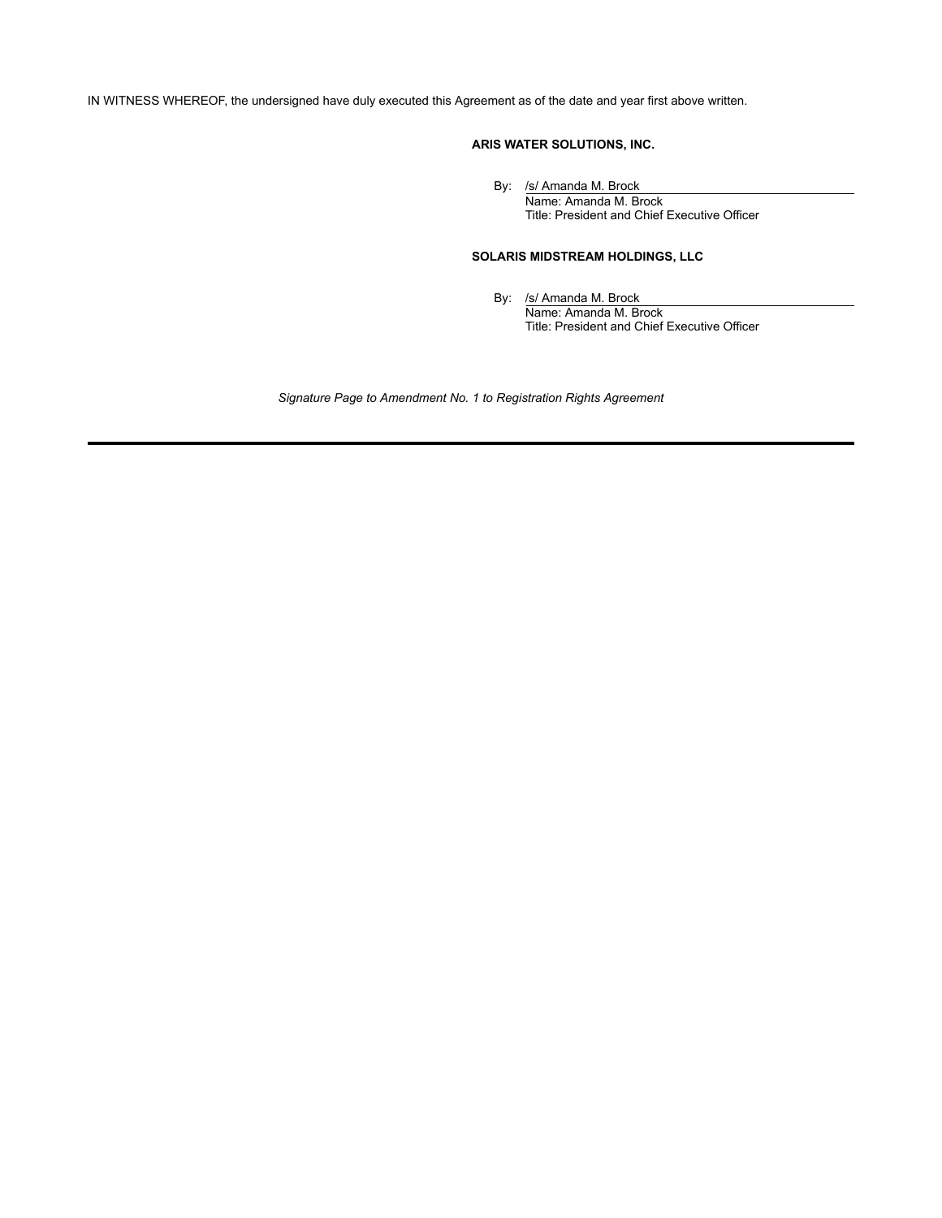IN WITNESS WHEREOF, the undersigned have duly executed this Agreement as of the date and year first above written.

# **ARIS WATER SOLUTIONS, INC.**

By: /s/ Amanda M. Brock

Name: Amanda M. Brock Title: President and Chief Executive Officer

# **SOLARIS MIDSTREAM HOLDINGS, LLC**

By: /s/ Amanda M. Brock Name: Amanda M. Brock Title: President and Chief Executive Officer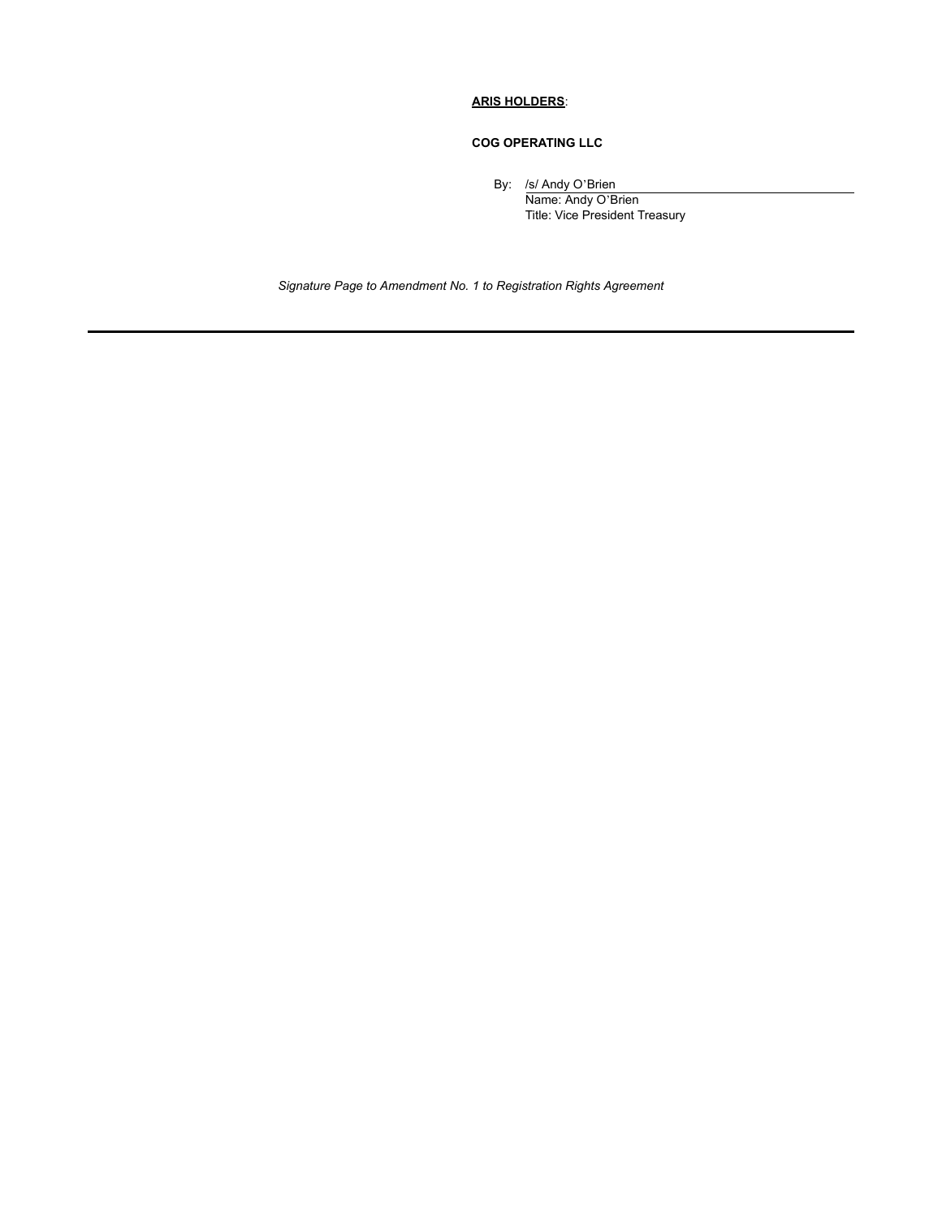# **ARIS HOLDERS**:

# **COG OPERATING LLC**

By: /s/ Andy O'Brien

Name: Andy O'Brien Title: Vice President Treasury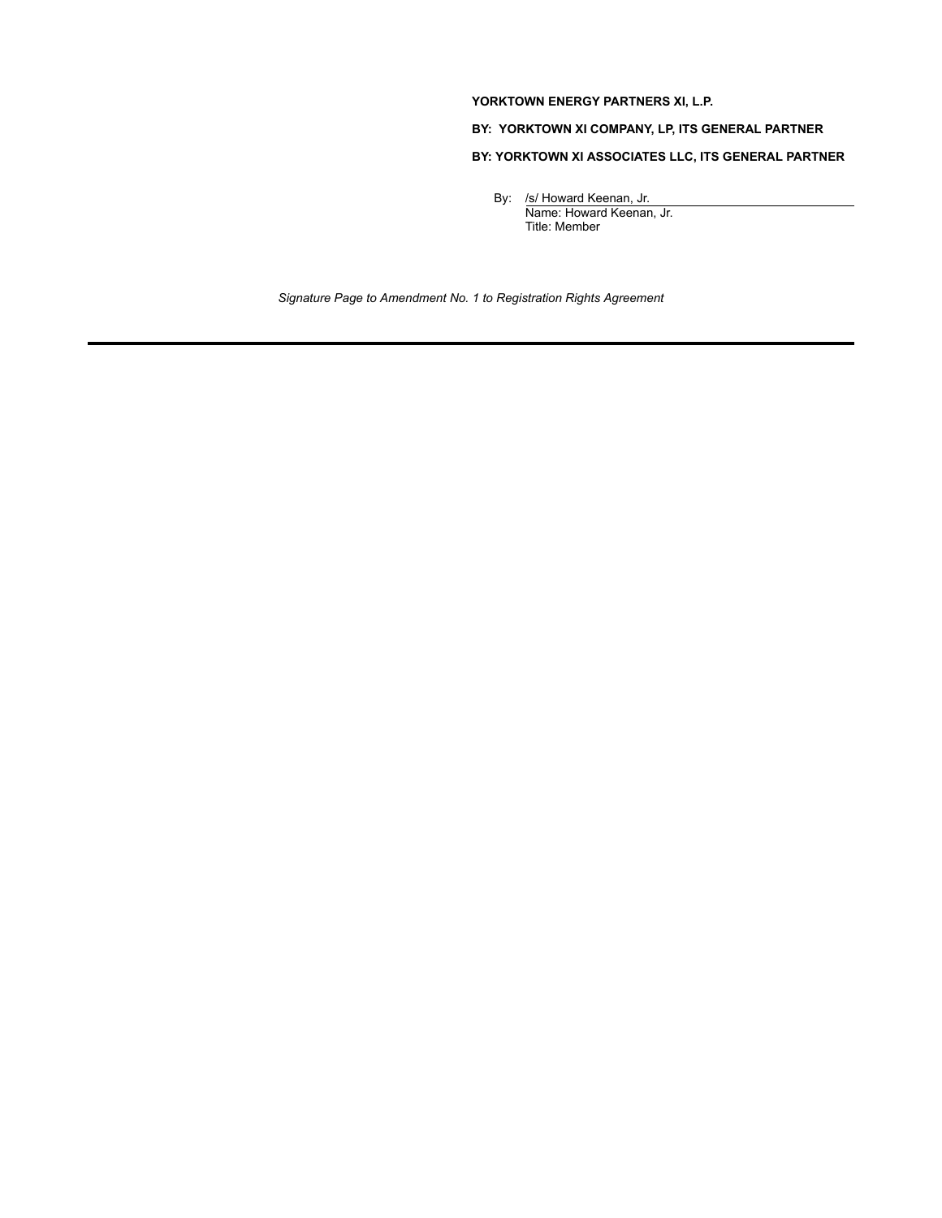# **YORKTOWN ENERGY PARTNERS XI, L.P.**

**BY: YORKTOWN XI COMPANY, LP, ITS GENERAL PARTNER**

# **BY: YORKTOWN XI ASSOCIATES LLC, ITS GENERAL PARTNER**

By: /s/ Howard Keenan, Jr. Name: Howard Keenan, Jr. Title: Member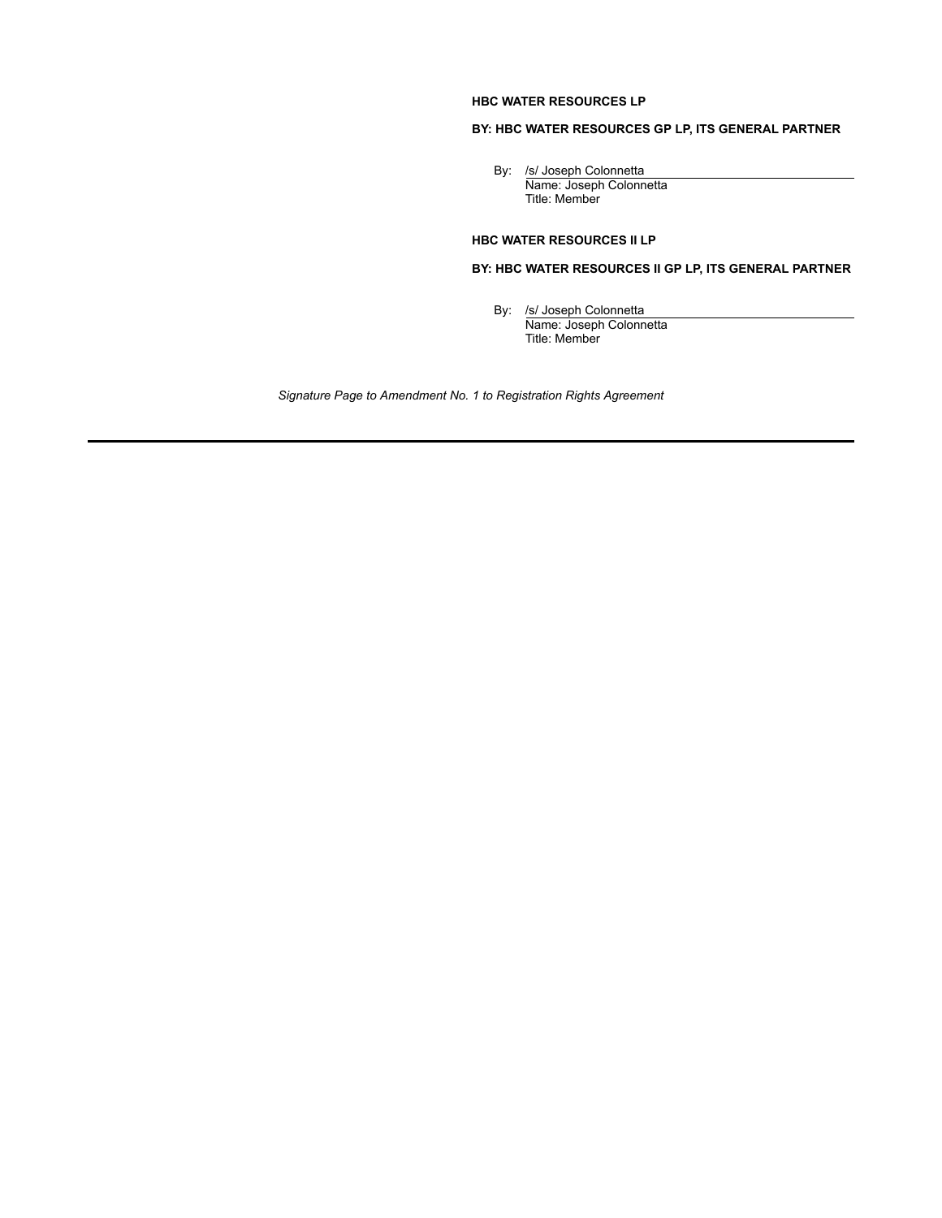# **HBC WATER RESOURCES LP**

# **BY: HBC WATER RESOURCES GP LP, ITS GENERAL PARTNER**

By: /s/ Joseph Colonnetta Name: Joseph Colonnetta Title: Member

# **HBC WATER RESOURCES II LP**

**BY: HBC WATER RESOURCES II GP LP, ITS GENERAL PARTNER**

By: /s/ Joseph Colonnetta Name: Joseph Colonnetta Title: Member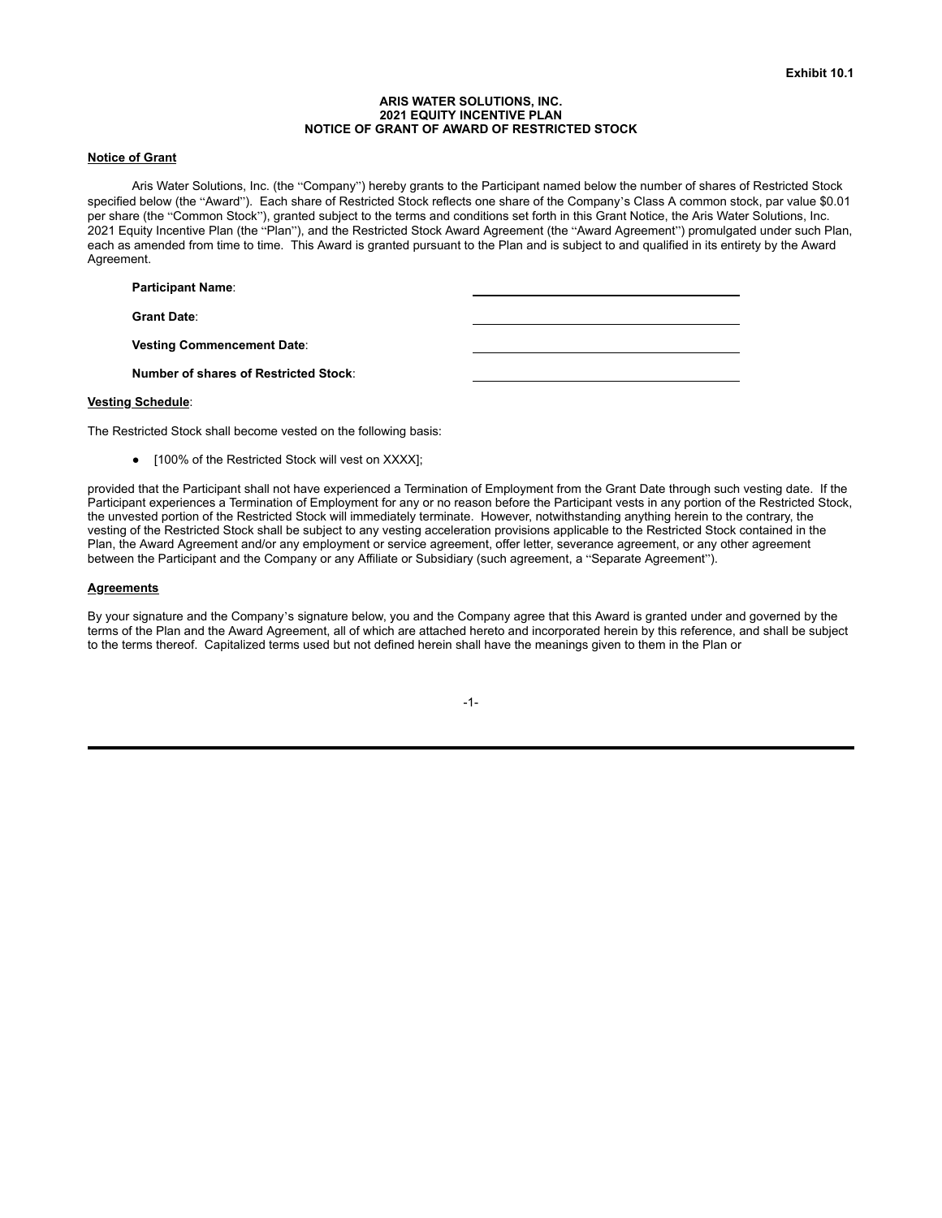### **ARIS WATER SOLUTIONS, INC. 2021 EQUITY INCENTIVE PLAN NOTICE OF GRANT OF AWARD OF RESTRICTED STOCK**

### **Notice of Grant**

Aris Water Solutions, Inc. (the "Company") hereby grants to the Participant named below the number of shares of Restricted Stock specified below (the "Award"). Each share of Restricted Stock reflects one share of the Company's Class A common stock, par value \$0.01 per share (the "Common Stock"), granted subject to the terms and conditions set forth in this Grant Notice, the Aris Water Solutions, Inc. 2021 Equity Incentive Plan (the "Plan"), and the Restricted Stock Award Agreement (the "Award Agreement") promulgated under such Plan, each as amended from time to time. This Award is granted pursuant to the Plan and is subject to and qualified in its entirety by the Award Agreement.

#### **Participant Name**:

**Grant Date**:

**Vesting Commencement Date**:

**Number of shares of Restricted Stock**:

### **Vesting Schedule**:

The Restricted Stock shall become vested on the following basis:

● [100% of the Restricted Stock will vest on XXXX];

provided that the Participant shall not have experienced a Termination of Employment from the Grant Date through such vesting date. If the Participant experiences a Termination of Employment for any or no reason before the Participant vests in any portion of the Restricted Stock, the unvested portion of the Restricted Stock will immediately terminate. However, notwithstanding anything herein to the contrary, the vesting of the Restricted Stock shall be subject to any vesting acceleration provisions applicable to the Restricted Stock contained in the Plan, the Award Agreement and/or any employment or service agreement, offer letter, severance agreement, or any other agreement between the Participant and the Company or any Affiliate or Subsidiary (such agreement, a "Separate Agreement").

#### **Agreements**

By your signature and the Company's signature below, you and the Company agree that this Award is granted under and governed by the terms of the Plan and the Award Agreement, all of which are attached hereto and incorporated herein by this reference, and shall be subject to the terms thereof. Capitalized terms used but not defined herein shall have the meanings given to them in the Plan or

| ۰ |  |
|---|--|
|   |  |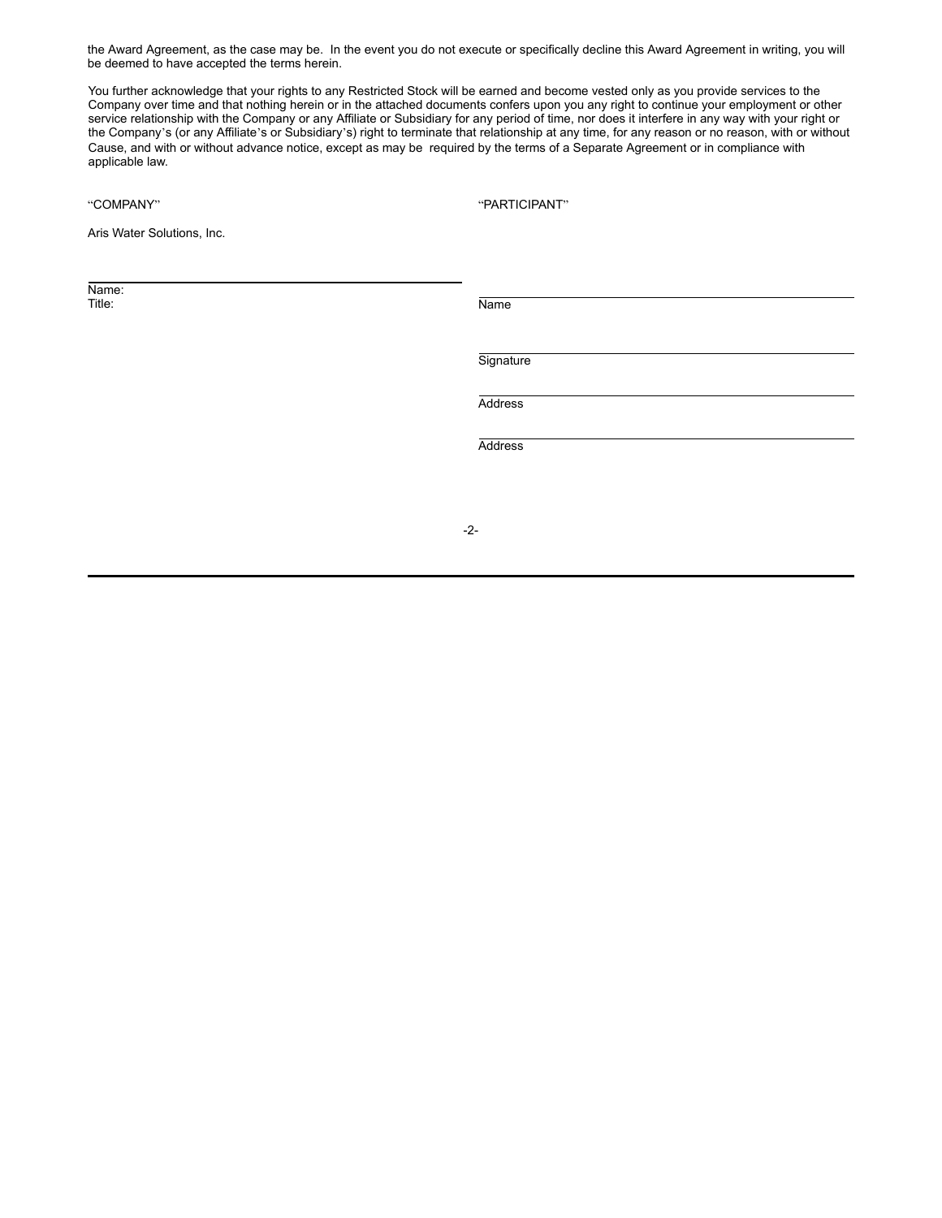the Award Agreement, as the case may be. In the event you do not execute or specifically decline this Award Agreement in writing, you will be deemed to have accepted the terms herein.

You further acknowledge that your rights to any Restricted Stock will be earned and become vested only as you provide services to the Company over time and that nothing herein or in the attached documents confers upon you any right to continue your employment or other service relationship with the Company or any Affiliate or Subsidiary for any period of time, nor does it interfere in any way with your right or the Company's (or any Affiliate's or Subsidiary's) right to terminate that relationship at any time, for any reason or no reason, with or without Cause, and with or without advance notice, except as may be required by the terms of a Separate Agreement or in compliance with applicable law.

"COMPANY" "PARTICIPANT"

Aris Water Solutions, Inc.

Name:<br>Title:

Title: Name

**Signature** 

Address

Address

-2-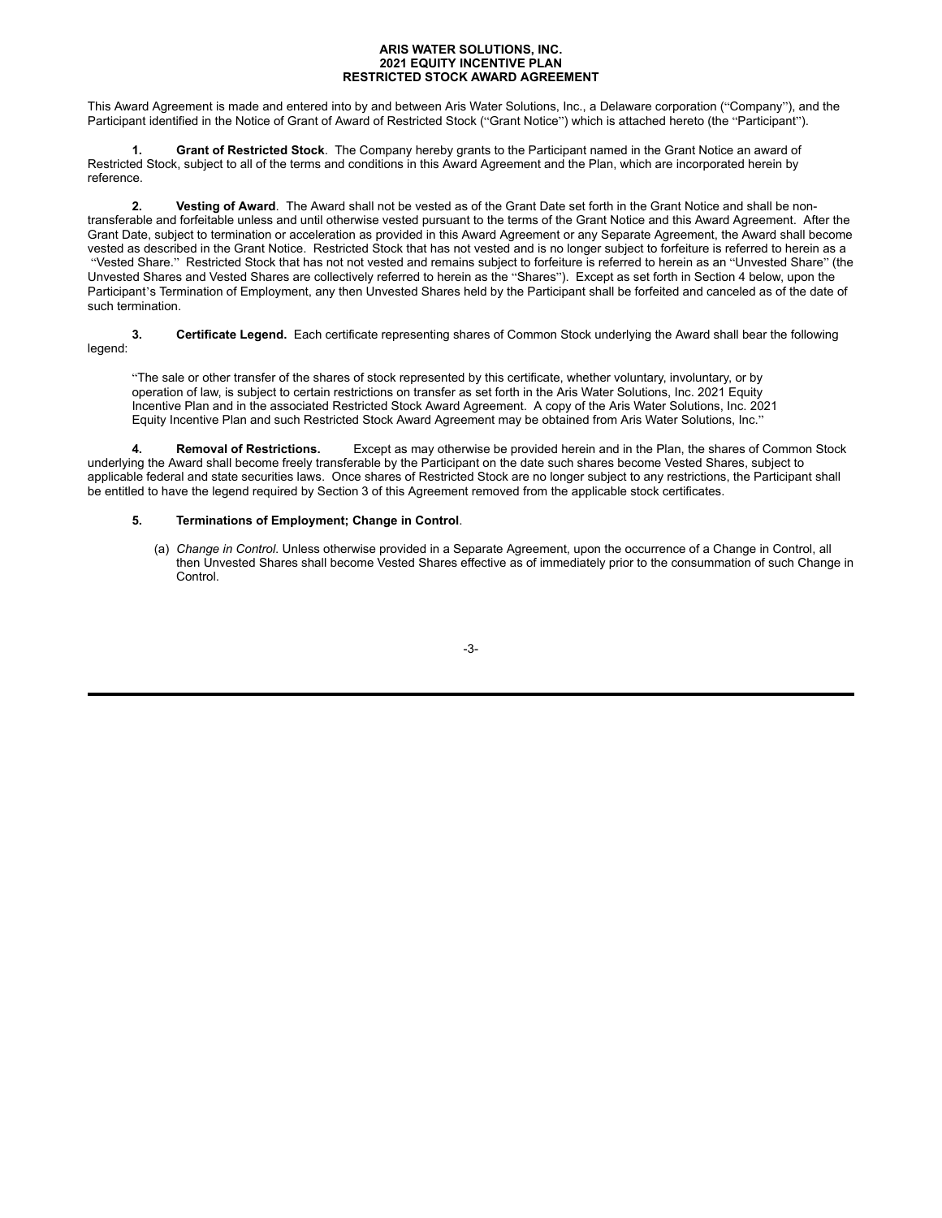### **ARIS WATER SOLUTIONS, INC. 2021 EQUITY INCENTIVE PLAN RESTRICTED STOCK AWARD AGREEMENT**

This Award Agreement is made and entered into by and between Aris Water Solutions, Inc., a Delaware corporation ("Company"), and the Participant identified in the Notice of Grant of Award of Restricted Stock ("Grant Notice") which is attached hereto (the "Participant").

**1. Grant of Restricted Stock**. The Company hereby grants to the Participant named in the Grant Notice an award of Restricted Stock, subject to all of the terms and conditions in this Award Agreement and the Plan, which are incorporated herein by reference.

**2. Vesting of Award**. The Award shall not be vested as of the Grant Date set forth in the Grant Notice and shall be nontransferable and forfeitable unless and until otherwise vested pursuant to the terms of the Grant Notice and this Award Agreement. After the Grant Date, subject to termination or acceleration as provided in this Award Agreement or any Separate Agreement, the Award shall become vested as described in the Grant Notice. Restricted Stock that has not vested and is no longer subject to forfeiture is referred to herein as a "Vested Share." Restricted Stock that has not not vested and remains subject to forfeiture is referred to herein as an "Unvested Share" (the Unvested Shares and Vested Shares are collectively referred to herein as the "Shares"). Except as set forth in Section 4 below, upon the Participant's Termination of Employment, any then Unvested Shares held by the Participant shall be forfeited and canceled as of the date of such termination.

**3. Certificate Legend.** Each certificate representing shares of Common Stock underlying the Award shall bear the following legend:

"The sale or other transfer of the shares of stock represented by this certificate, whether voluntary, involuntary, or by operation of law, is subject to certain restrictions on transfer as set forth in the Aris Water Solutions, Inc. 2021 Equity Incentive Plan and in the associated Restricted Stock Award Agreement. A copy of the Aris Water Solutions, Inc. 2021 Equity Incentive Plan and such Restricted Stock Award Agreement may be obtained from Aris Water Solutions, Inc."

**4. Removal of Restrictions.** Except as may otherwise be provided herein and in the Plan, the shares of Common Stock underlying the Award shall become freely transferable by the Participant on the date such shares become Vested Shares, subject to applicable federal and state securities laws. Once shares of Restricted Stock are no longer subject to any restrictions, the Participant shall be entitled to have the legend required by Section 3 of this Agreement removed from the applicable stock certificates.

## **5. Terminations of Employment; Change in Control**.

(a) *Change in Control*. Unless otherwise provided in a Separate Agreement, upon the occurrence of a Change in Control, all then Unvested Shares shall become Vested Shares effective as of immediately prior to the consummation of such Change in **Control** 

-3-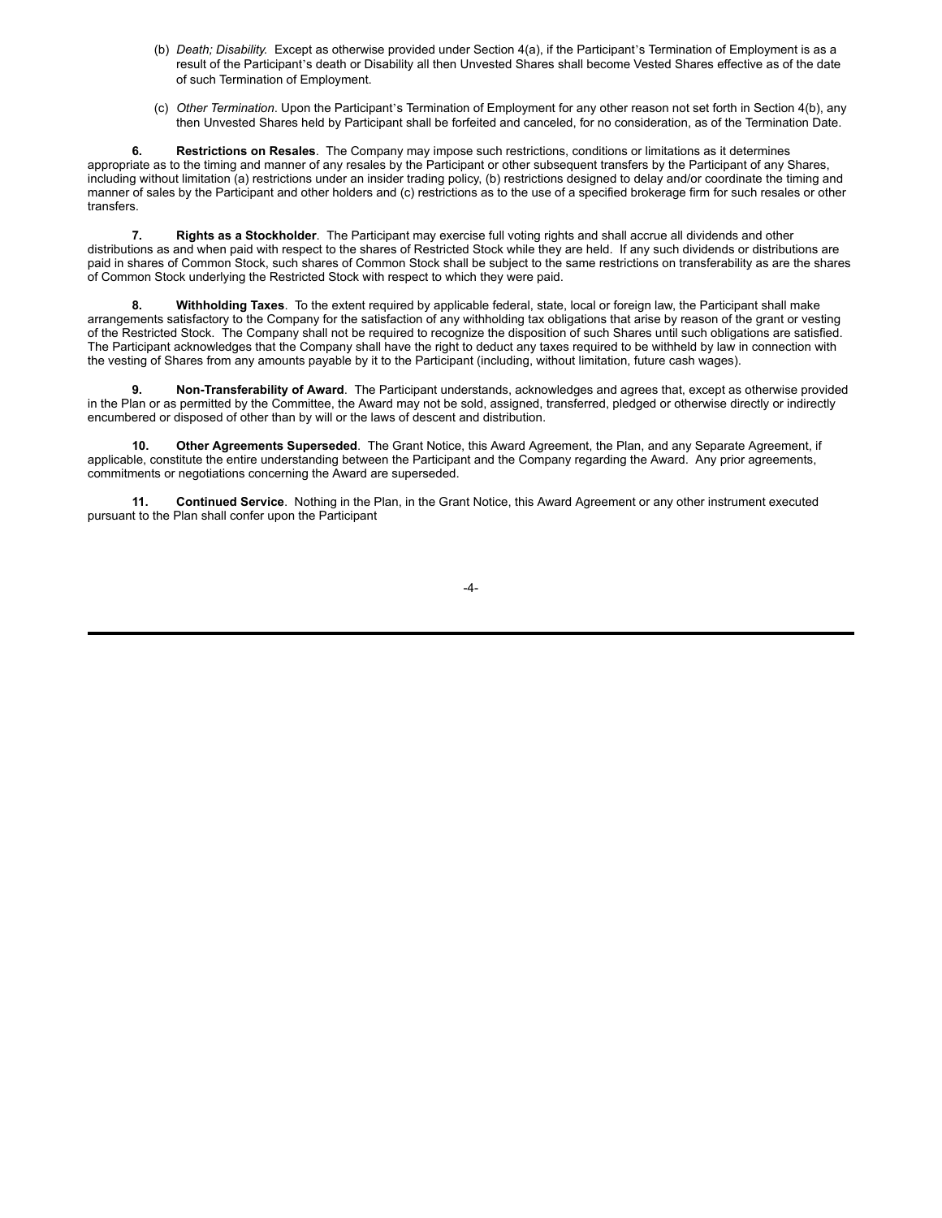- (b) *Death; Disability.* Except as otherwise provided under Section 4(a), if the Participant's Termination of Employment is as a result of the Participant's death or Disability all then Unvested Shares shall become Vested Shares effective as of the date of such Termination of Employment.
- (c) *Other Termination*. Upon the Participant's Termination of Employment for any other reason not set forth in Section 4(b), any then Unvested Shares held by Participant shall be forfeited and canceled, for no consideration, as of the Termination Date.

**6. Restrictions on Resales**. The Company may impose such restrictions, conditions or limitations as it determines appropriate as to the timing and manner of any resales by the Participant or other subsequent transfers by the Participant of any Shares, including without limitation (a) restrictions under an insider trading policy, (b) restrictions designed to delay and/or coordinate the timing and manner of sales by the Participant and other holders and (c) restrictions as to the use of a specified brokerage firm for such resales or other transfers.

**7. Rights as a Stockholder**. The Participant may exercise full voting rights and shall accrue all dividends and other distributions as and when paid with respect to the shares of Restricted Stock while they are held. If any such dividends or distributions are paid in shares of Common Stock, such shares of Common Stock shall be subject to the same restrictions on transferability as are the shares of Common Stock underlying the Restricted Stock with respect to which they were paid.

**8. Withholding Taxes**. To the extent required by applicable federal, state, local or foreign law, the Participant shall make arrangements satisfactory to the Company for the satisfaction of any withholding tax obligations that arise by reason of the grant or vesting of the Restricted Stock. The Company shall not be required to recognize the disposition of such Shares until such obligations are satisfied. The Participant acknowledges that the Company shall have the right to deduct any taxes required to be withheld by law in connection with the vesting of Shares from any amounts payable by it to the Participant (including, without limitation, future cash wages).

**9. Non-Transferability of Award**. The Participant understands, acknowledges and agrees that, except as otherwise provided in the Plan or as permitted by the Committee, the Award may not be sold, assigned, transferred, pledged or otherwise directly or indirectly encumbered or disposed of other than by will or the laws of descent and distribution.

**10. Other Agreements Superseded**. The Grant Notice, this Award Agreement, the Plan, and any Separate Agreement, if applicable, constitute the entire understanding between the Participant and the Company regarding the Award. Any prior agreements, commitments or negotiations concerning the Award are superseded.

**11. Continued Service**. Nothing in the Plan, in the Grant Notice, this Award Agreement or any other instrument executed pursuant to the Plan shall confer upon the Participant

-4-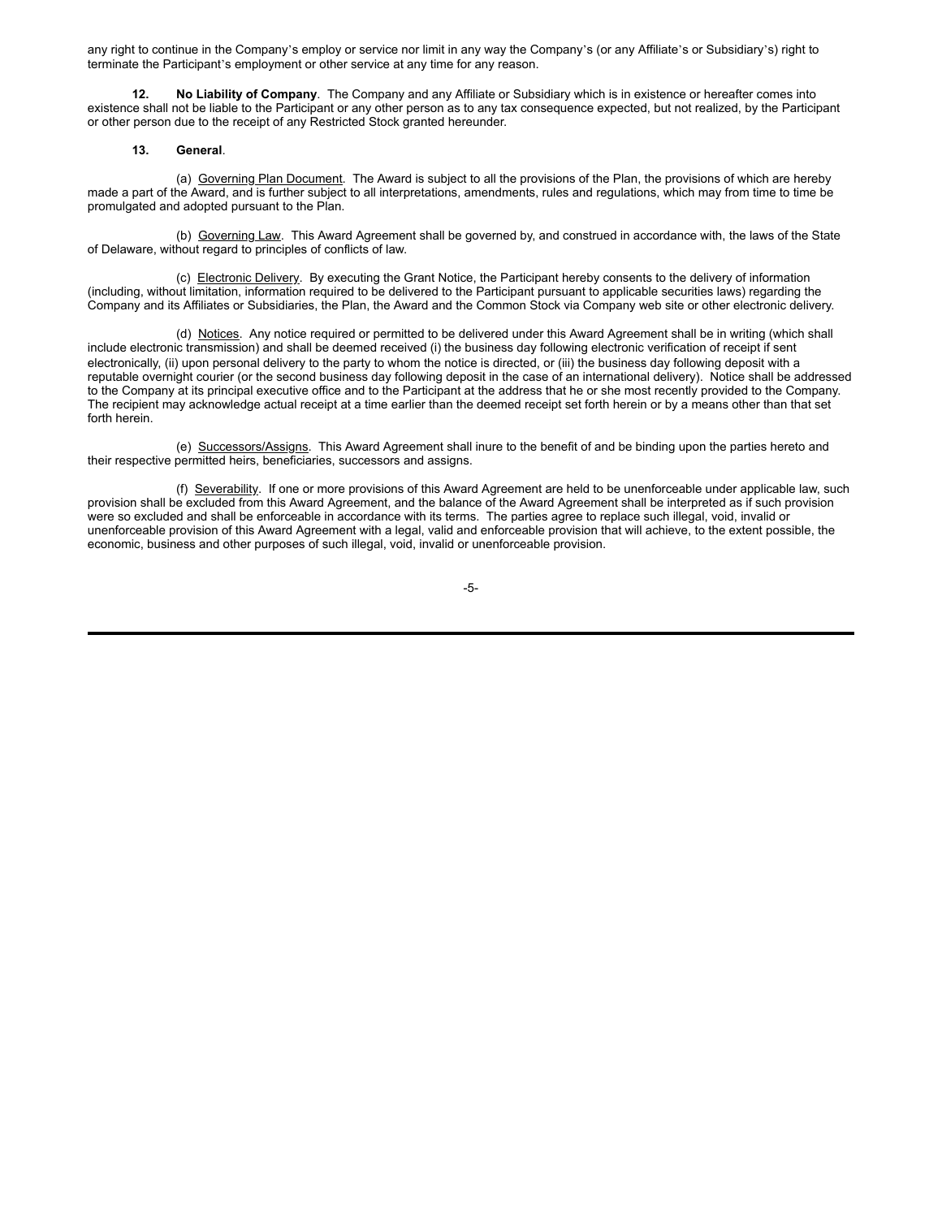any right to continue in the Company's employ or service nor limit in any way the Company's (or any Affiliate's or Subsidiary's) right to terminate the Participant's employment or other service at any time for any reason.

**12. No Liability of Company**. The Company and any Affiliate or Subsidiary which is in existence or hereafter comes into existence shall not be liable to the Participant or any other person as to any tax consequence expected, but not realized, by the Participant or other person due to the receipt of any Restricted Stock granted hereunder.

### **13. General**.

(a) Governing Plan Document. The Award is subject to all the provisions of the Plan, the provisions of which are hereby made a part of the Award, and is further subject to all interpretations, amendments, rules and regulations, which may from time to time be promulgated and adopted pursuant to the Plan.

(b) Governing Law. This Award Agreement shall be governed by, and construed in accordance with, the laws of the State of Delaware, without regard to principles of conflicts of law.

(c) Electronic Delivery. By executing the Grant Notice, the Participant hereby consents to the delivery of information (including, without limitation, information required to be delivered to the Participant pursuant to applicable securities laws) regarding the Company and its Affiliates or Subsidiaries, the Plan, the Award and the Common Stock via Company web site or other electronic delivery.

(d) Notices. Any notice required or permitted to be delivered under this Award Agreement shall be in writing (which shall include electronic transmission) and shall be deemed received (i) the business day following electronic verification of receipt if sent electronically, (ii) upon personal delivery to the party to whom the notice is directed, or (iii) the business day following deposit with a reputable overnight courier (or the second business day following deposit in the case of an international delivery). Notice shall be addressed to the Company at its principal executive office and to the Participant at the address that he or she most recently provided to the Company. The recipient may acknowledge actual receipt at a time earlier than the deemed receipt set forth herein or by a means other than that set forth herein.

(e) Successors/Assigns. This Award Agreement shall inure to the benefit of and be binding upon the parties hereto and their respective permitted heirs, beneficiaries, successors and assigns.

(f) Severability. If one or more provisions of this Award Agreement are held to be unenforceable under applicable law, such provision shall be excluded from this Award Agreement, and the balance of the Award Agreement shall be interpreted as if such provision were so excluded and shall be enforceable in accordance with its terms. The parties agree to replace such illegal, void, invalid or unenforceable provision of this Award Agreement with a legal, valid and enforceable provision that will achieve, to the extent possible, the economic, business and other purposes of such illegal, void, invalid or unenforceable provision.

## -5-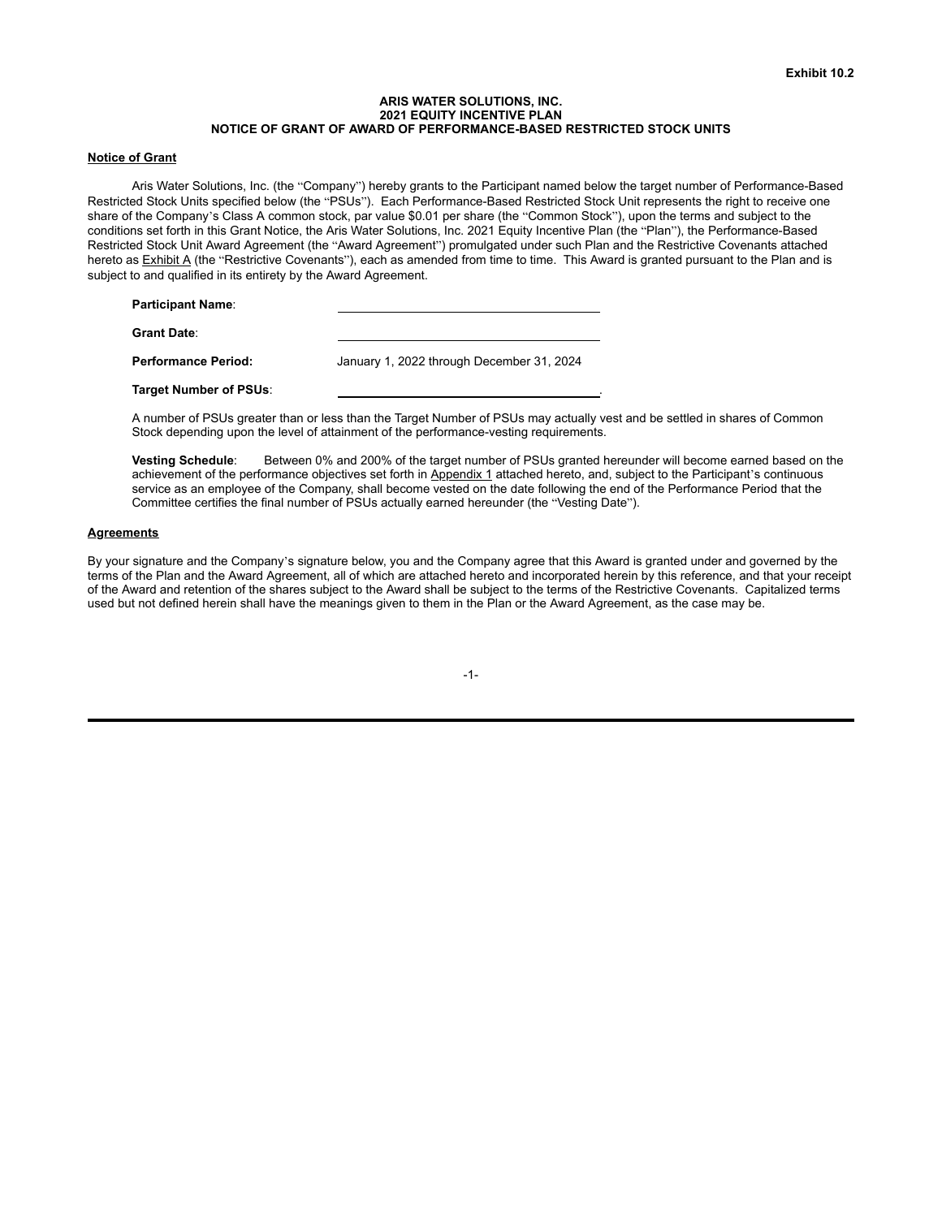### **ARIS WATER SOLUTIONS, INC. 2021 EQUITY INCENTIVE PLAN NOTICE OF GRANT OF AWARD OF PERFORMANCE-BASED RESTRICTED STOCK UNITS**

### **Notice of Grant**

Aris Water Solutions, Inc. (the "Company") hereby grants to the Participant named below the target number of Performance-Based Restricted Stock Units specified below (the "PSUs"). Each Performance-Based Restricted Stock Unit represents the right to receive one share of the Company's Class A common stock, par value \$0.01 per share (the "Common Stock"), upon the terms and subject to the conditions set forth in this Grant Notice, the Aris Water Solutions, Inc. 2021 Equity Incentive Plan (the "Plan"), the Performance-Based Restricted Stock Unit Award Agreement (the "Award Agreement") promulgated under such Plan and the Restrictive Covenants attached hereto as Exhibit A (the "Restrictive Covenants"), each as amended from time to time. This Award is granted pursuant to the Plan and is subject to and qualified in its entirety by the Award Agreement.

| <b>Participant Name:</b>   |                                           |
|----------------------------|-------------------------------------------|
| <b>Grant Date:</b>         |                                           |
| <b>Performance Period:</b> | January 1, 2022 through December 31, 2024 |

A number of PSUs greater than or less than the Target Number of PSUs may actually vest and be settled in shares of Common Stock depending upon the level of attainment of the performance-vesting requirements.

**Vesting Schedule**: Between 0% and 200% of the target number of PSUs granted hereunder will become earned based on the achievement of the performance objectives set forth in Appendix 1 attached hereto, and, subject to the Participant's continuous service as an employee of the Company, shall become vested on the date following the end of the Performance Period that the Committee certifies the final number of PSUs actually earned hereunder (the "Vesting Date").

## **Agreements**

**Target Number of PSUs**: .

By your signature and the Company's signature below, you and the Company agree that this Award is granted under and governed by the terms of the Plan and the Award Agreement, all of which are attached hereto and incorporated herein by this reference, and that your receipt of the Award and retention of the shares subject to the Award shall be subject to the terms of the Restrictive Covenants. Capitalized terms used but not defined herein shall have the meanings given to them in the Plan or the Award Agreement, as the case may be.

-1-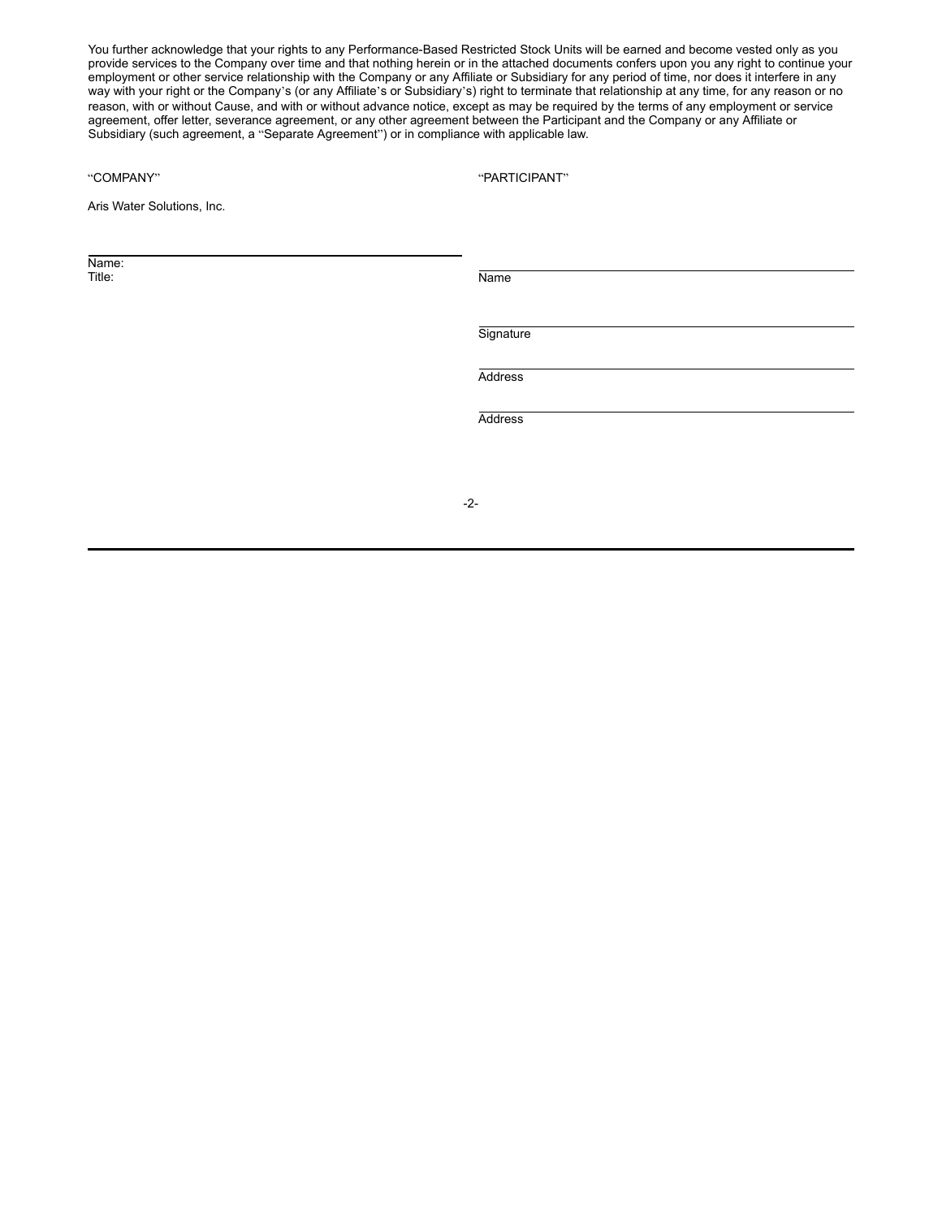You further acknowledge that your rights to any Performance-Based Restricted Stock Units will be earned and become vested only as you provide services to the Company over time and that nothing herein or in the attached documents confers upon you any right to continue your employment or other service relationship with the Company or any Affiliate or Subsidiary for any period of time, nor does it interfere in any way with your right or the Company's (or any Affiliate's or Subsidiary's) right to terminate that relationship at any time, for any reason or no reason, with or without Cause, and with or without advance notice, except as may be required by the terms of any employment or service agreement, offer letter, severance agreement, or any other agreement between the Participant and the Company or any Affiliate or Subsidiary (such agreement, a "Separate Agreement") or in compliance with applicable law.

"PARTICIPANT"

Aris Water Solutions, Inc.

Name:<br>Title:

Title: Name

**Signature** 

Address

Address

-2-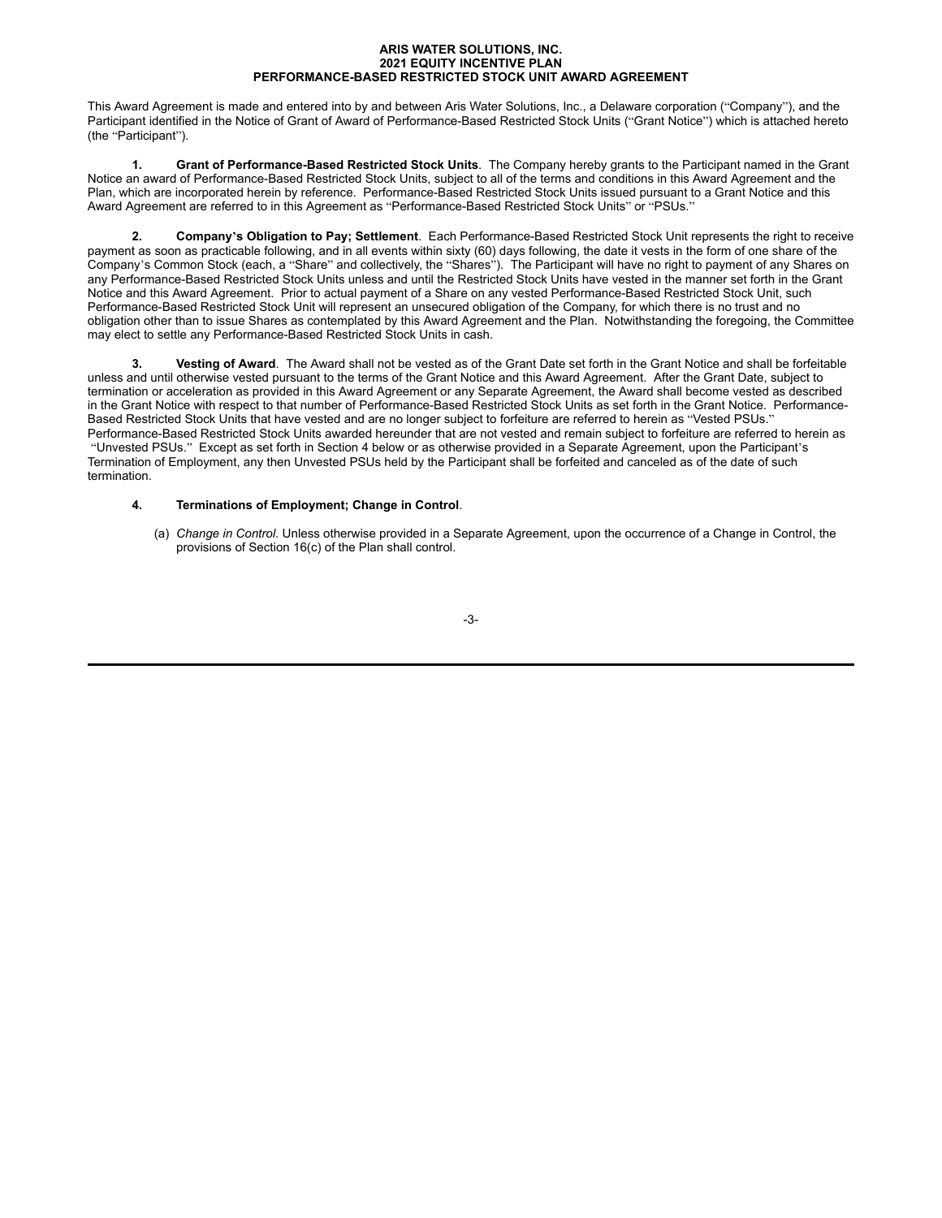### **ARIS WATER SOLUTIONS, INC. 2021 EQUITY INCENTIVE PLAN PERFORMANCE-BASED RESTRICTED STOCK UNIT AWARD AGREEMENT**

This Award Agreement is made and entered into by and between Aris Water Solutions, Inc., a Delaware corporation ("Company"), and the Participant identified in the Notice of Grant of Award of Performance-Based Restricted Stock Units ("Grant Notice") which is attached hereto (the "Participant").

**1. Grant of Performance-Based Restricted Stock Units**. The Company hereby grants to the Participant named in the Grant Notice an award of Performance-Based Restricted Stock Units, subject to all of the terms and conditions in this Award Agreement and the Plan, which are incorporated herein by reference. Performance-Based Restricted Stock Units issued pursuant to a Grant Notice and this Award Agreement are referred to in this Agreement as "Performance-Based Restricted Stock Units" or "PSUs."

**2. Company's Obligation to Pay; Settlement**. Each Performance-Based Restricted Stock Unit represents the right to receive payment as soon as practicable following, and in all events within sixty (60) days following, the date it vests in the form of one share of the Company's Common Stock (each, a "Share" and collectively, the "Shares"). The Participant will have no right to payment of any Shares on any Performance-Based Restricted Stock Units unless and until the Restricted Stock Units have vested in the manner set forth in the Grant Notice and this Award Agreement. Prior to actual payment of a Share on any vested Performance-Based Restricted Stock Unit, such Performance-Based Restricted Stock Unit will represent an unsecured obligation of the Company, for which there is no trust and no obligation other than to issue Shares as contemplated by this Award Agreement and the Plan. Notwithstanding the foregoing, the Committee may elect to settle any Performance-Based Restricted Stock Units in cash.

**3. Vesting of Award**. The Award shall not be vested as of the Grant Date set forth in the Grant Notice and shall be forfeitable unless and until otherwise vested pursuant to the terms of the Grant Notice and this Award Agreement. After the Grant Date, subject to termination or acceleration as provided in this Award Agreement or any Separate Agreement, the Award shall become vested as described in the Grant Notice with respect to that number of Performance-Based Restricted Stock Units as set forth in the Grant Notice. Performance-Based Restricted Stock Units that have vested and are no longer subject to forfeiture are referred to herein as "Vested PSUs." Performance-Based Restricted Stock Units awarded hereunder that are not vested and remain subject to forfeiture are referred to herein as "Unvested PSUs." Except as set forth in Section 4 below or as otherwise provided in a Separate Agreement, upon the Participant's Termination of Employment, any then Unvested PSUs held by the Participant shall be forfeited and canceled as of the date of such termination.

## **4. Terminations of Employment; Change in Control**.

(a) *Change in Control*. Unless otherwise provided in a Separate Agreement, upon the occurrence of a Change in Control, the provisions of Section 16(c) of the Plan shall control.

-3-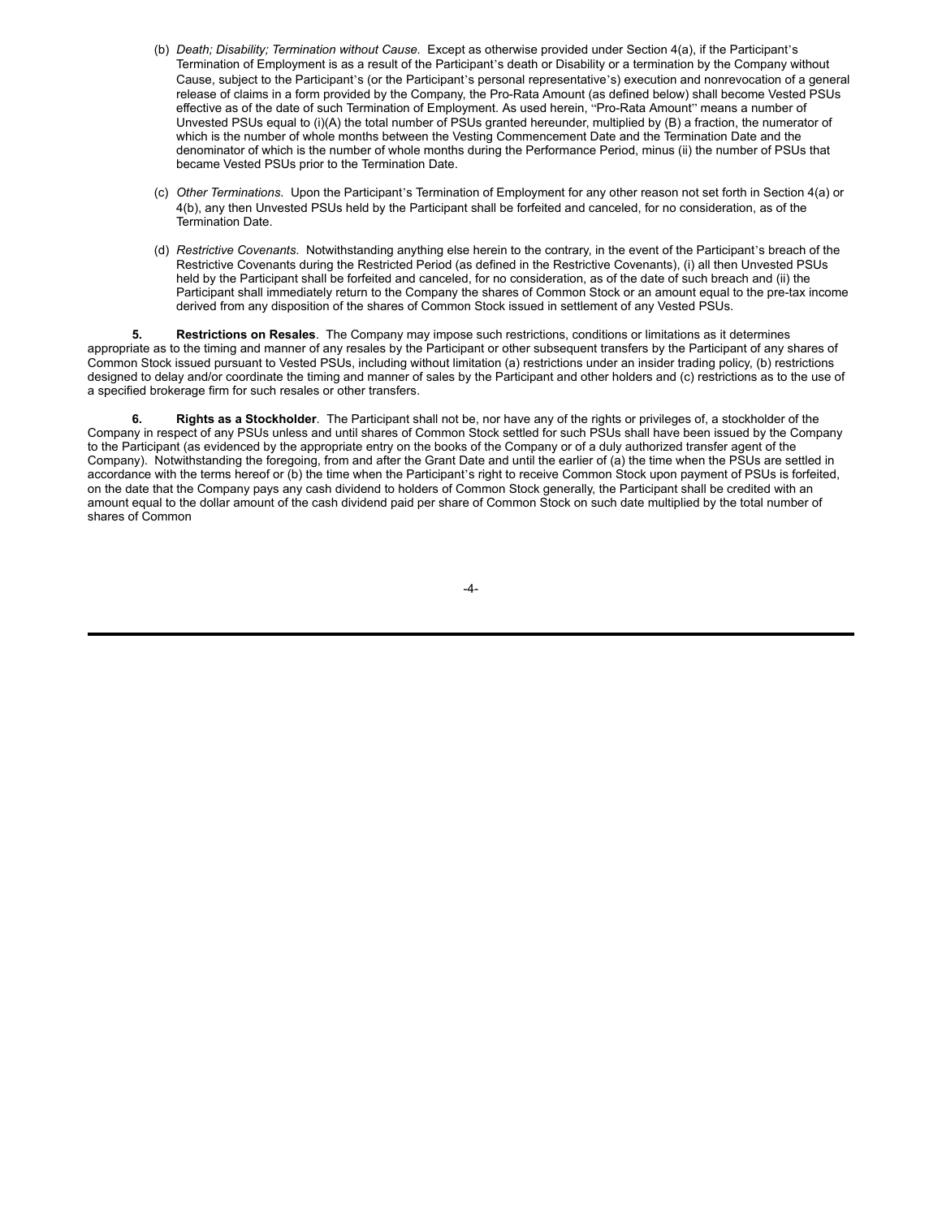- (b) *Death; Disability; Termination without Cause.* Except as otherwise provided under Section 4(a), if the Participant's Termination of Employment is as a result of the Participant's death or Disability or a termination by the Company without Cause, subject to the Participant's (or the Participant's personal representative's) execution and nonrevocation of a general release of claims in a form provided by the Company, the Pro-Rata Amount (as defined below) shall become Vested PSUs effective as of the date of such Termination of Employment. As used herein, "Pro-Rata Amount" means a number of Unvested PSUs equal to (i)(A) the total number of PSUs granted hereunder, multiplied by (B) a fraction, the numerator of which is the number of whole months between the Vesting Commencement Date and the Termination Date and the denominator of which is the number of whole months during the Performance Period, minus (ii) the number of PSUs that became Vested PSUs prior to the Termination Date.
- (c) *Other Terminations*. Upon the Participant's Termination of Employment for any other reason not set forth in Section 4(a) or 4(b), any then Unvested PSUs held by the Participant shall be forfeited and canceled, for no consideration, as of the Termination Date.
- (d) *Restrictive Covenants*. Notwithstanding anything else herein to the contrary, in the event of the Participant's breach of the Restrictive Covenants during the Restricted Period (as defined in the Restrictive Covenants), (i) all then Unvested PSUs held by the Participant shall be forfeited and canceled, for no consideration, as of the date of such breach and (ii) the Participant shall immediately return to the Company the shares of Common Stock or an amount equal to the pre-tax income derived from any disposition of the shares of Common Stock issued in settlement of any Vested PSUs.

**5. Restrictions on Resales**. The Company may impose such restrictions, conditions or limitations as it determines appropriate as to the timing and manner of any resales by the Participant or other subsequent transfers by the Participant of any shares of Common Stock issued pursuant to Vested PSUs, including without limitation (a) restrictions under an insider trading policy, (b) restrictions designed to delay and/or coordinate the timing and manner of sales by the Participant and other holders and (c) restrictions as to the use of a specified brokerage firm for such resales or other transfers.

**6. Rights as a Stockholder**. The Participant shall not be, nor have any of the rights or privileges of, a stockholder of the Company in respect of any PSUs unless and until shares of Common Stock settled for such PSUs shall have been issued by the Company to the Participant (as evidenced by the appropriate entry on the books of the Company or of a duly authorized transfer agent of the Company). Notwithstanding the foregoing, from and after the Grant Date and until the earlier of (a) the time when the PSUs are settled in accordance with the terms hereof or (b) the time when the Participant's right to receive Common Stock upon payment of PSUs is forfeited, on the date that the Company pays any cash dividend to holders of Common Stock generally, the Participant shall be credited with an amount equal to the dollar amount of the cash dividend paid per share of Common Stock on such date multiplied by the total number of shares of Common

-4-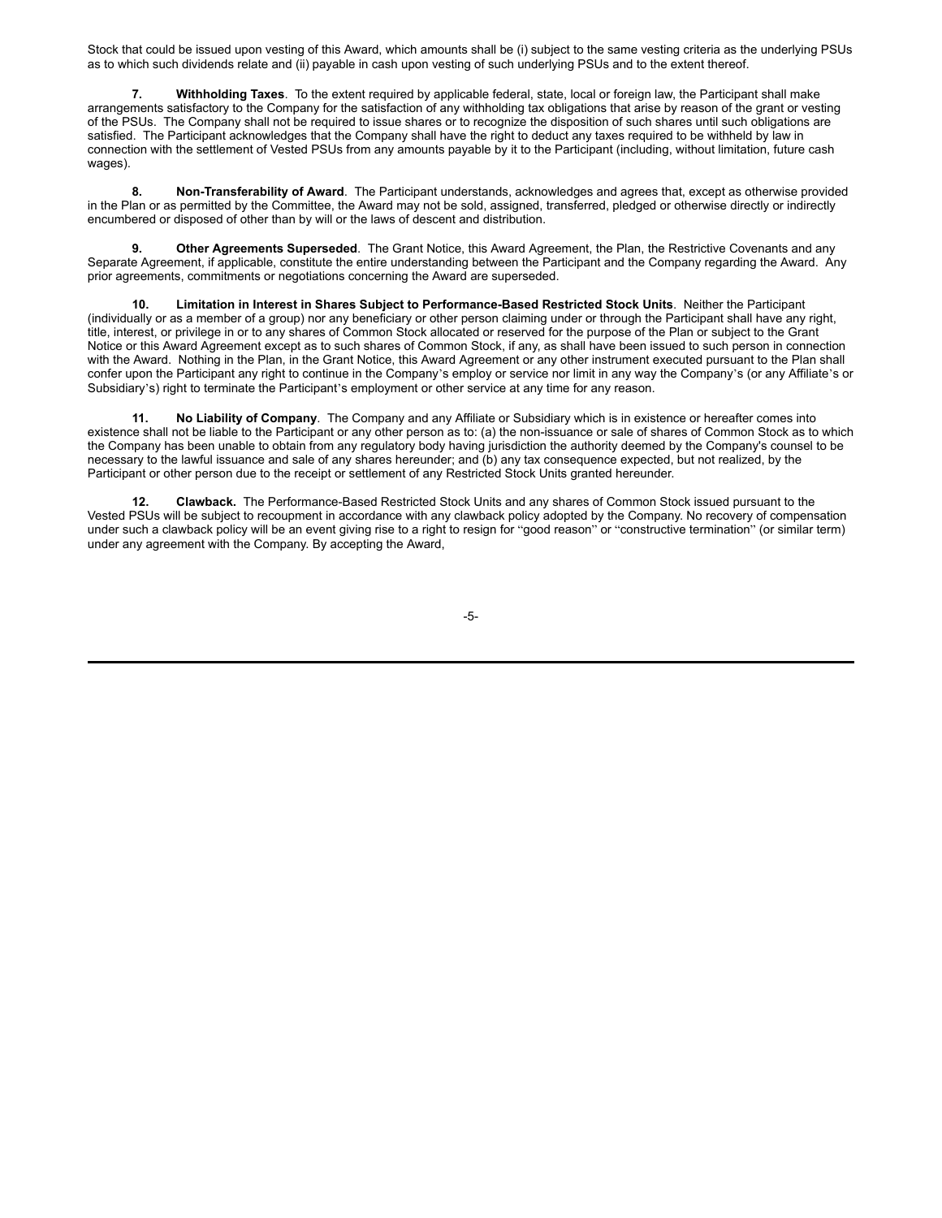Stock that could be issued upon vesting of this Award, which amounts shall be (i) subject to the same vesting criteria as the underlying PSUs as to which such dividends relate and (ii) payable in cash upon vesting of such underlying PSUs and to the extent thereof.

**7. Withholding Taxes**. To the extent required by applicable federal, state, local or foreign law, the Participant shall make arrangements satisfactory to the Company for the satisfaction of any withholding tax obligations that arise by reason of the grant or vesting of the PSUs. The Company shall not be required to issue shares or to recognize the disposition of such shares until such obligations are satisfied. The Participant acknowledges that the Company shall have the right to deduct any taxes required to be withheld by law in connection with the settlement of Vested PSUs from any amounts payable by it to the Participant (including, without limitation, future cash wages).

**8. Non-Transferability of Award**. The Participant understands, acknowledges and agrees that, except as otherwise provided in the Plan or as permitted by the Committee, the Award may not be sold, assigned, transferred, pledged or otherwise directly or indirectly encumbered or disposed of other than by will or the laws of descent and distribution.

**9. Other Agreements Superseded**. The Grant Notice, this Award Agreement, the Plan, the Restrictive Covenants and any Separate Agreement, if applicable, constitute the entire understanding between the Participant and the Company regarding the Award. Any prior agreements, commitments or negotiations concerning the Award are superseded.

**10. Limitation in Interest in Shares Subject to Performance-Based Restricted Stock Units**. Neither the Participant (individually or as a member of a group) nor any beneficiary or other person claiming under or through the Participant shall have any right, title, interest, or privilege in or to any shares of Common Stock allocated or reserved for the purpose of the Plan or subject to the Grant Notice or this Award Agreement except as to such shares of Common Stock, if any, as shall have been issued to such person in connection with the Award. Nothing in the Plan, in the Grant Notice, this Award Agreement or any other instrument executed pursuant to the Plan shall confer upon the Participant any right to continue in the Company's employ or service nor limit in any way the Company's (or any Affiliate's or Subsidiary's) right to terminate the Participant's employment or other service at any time for any reason.

**11. No Liability of Company**. The Company and any Affiliate or Subsidiary which is in existence or hereafter comes into existence shall not be liable to the Participant or any other person as to: (a) the non-issuance or sale of shares of Common Stock as to which the Company has been unable to obtain from any regulatory body having jurisdiction the authority deemed by the Company's counsel to be necessary to the lawful issuance and sale of any shares hereunder; and (b) any tax consequence expected, but not realized, by the Participant or other person due to the receipt or settlement of any Restricted Stock Units granted hereunder.

**12. Clawback.** The Performance-Based Restricted Stock Units and any shares of Common Stock issued pursuant to the Vested PSUs will be subject to recoupment in accordance with any clawback policy adopted by the Company. No recovery of compensation under such a clawback policy will be an event giving rise to a right to resign for "good reason" or "constructive termination" (or similar term) under any agreement with the Company. By accepting the Award,

-5-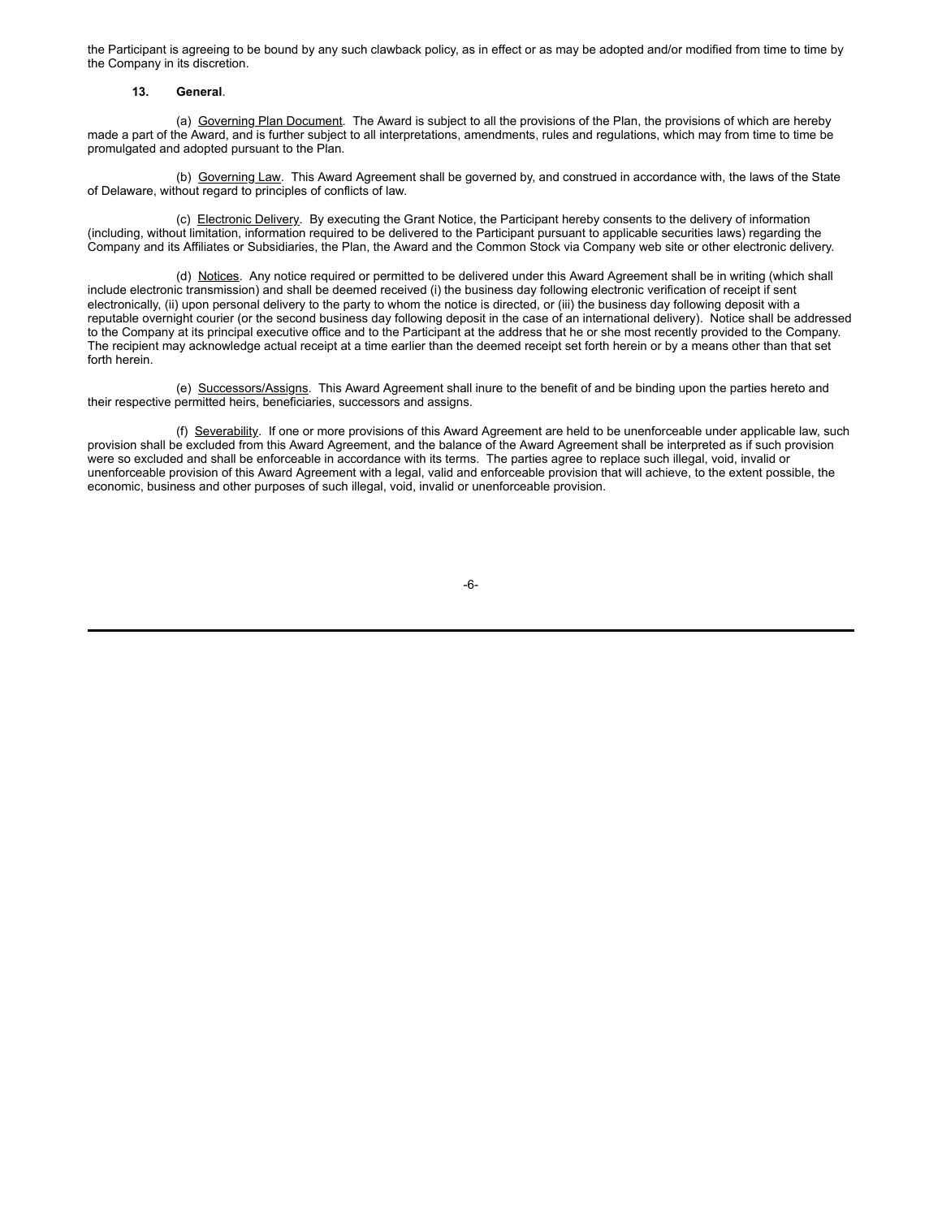the Participant is agreeing to be bound by any such clawback policy, as in effect or as may be adopted and/or modified from time to time by the Company in its discretion.

### **13. General**.

(a) Governing Plan Document. The Award is subject to all the provisions of the Plan, the provisions of which are hereby made a part of the Award, and is further subject to all interpretations, amendments, rules and regulations, which may from time to time be promulgated and adopted pursuant to the Plan.

(b) Governing Law. This Award Agreement shall be governed by, and construed in accordance with, the laws of the State of Delaware, without regard to principles of conflicts of law.

(c) Electronic Delivery. By executing the Grant Notice, the Participant hereby consents to the delivery of information (including, without limitation, information required to be delivered to the Participant pursuant to applicable securities laws) regarding the Company and its Affiliates or Subsidiaries, the Plan, the Award and the Common Stock via Company web site or other electronic delivery.

(d) Notices. Any notice required or permitted to be delivered under this Award Agreement shall be in writing (which shall include electronic transmission) and shall be deemed received (i) the business day following electronic verification of receipt if sent electronically, (ii) upon personal delivery to the party to whom the notice is directed, or (iii) the business day following deposit with a reputable overnight courier (or the second business day following deposit in the case of an international delivery). Notice shall be addressed to the Company at its principal executive office and to the Participant at the address that he or she most recently provided to the Company. The recipient may acknowledge actual receipt at a time earlier than the deemed receipt set forth herein or by a means other than that set forth herein.

(e) Successors/Assigns. This Award Agreement shall inure to the benefit of and be binding upon the parties hereto and their respective permitted heirs, beneficiaries, successors and assigns.

(f) Severability. If one or more provisions of this Award Agreement are held to be unenforceable under applicable law, such provision shall be excluded from this Award Agreement, and the balance of the Award Agreement shall be interpreted as if such provision were so excluded and shall be enforceable in accordance with its terms. The parties agree to replace such illegal, void, invalid or unenforceable provision of this Award Agreement with a legal, valid and enforceable provision that will achieve, to the extent possible, the economic, business and other purposes of such illegal, void, invalid or unenforceable provision.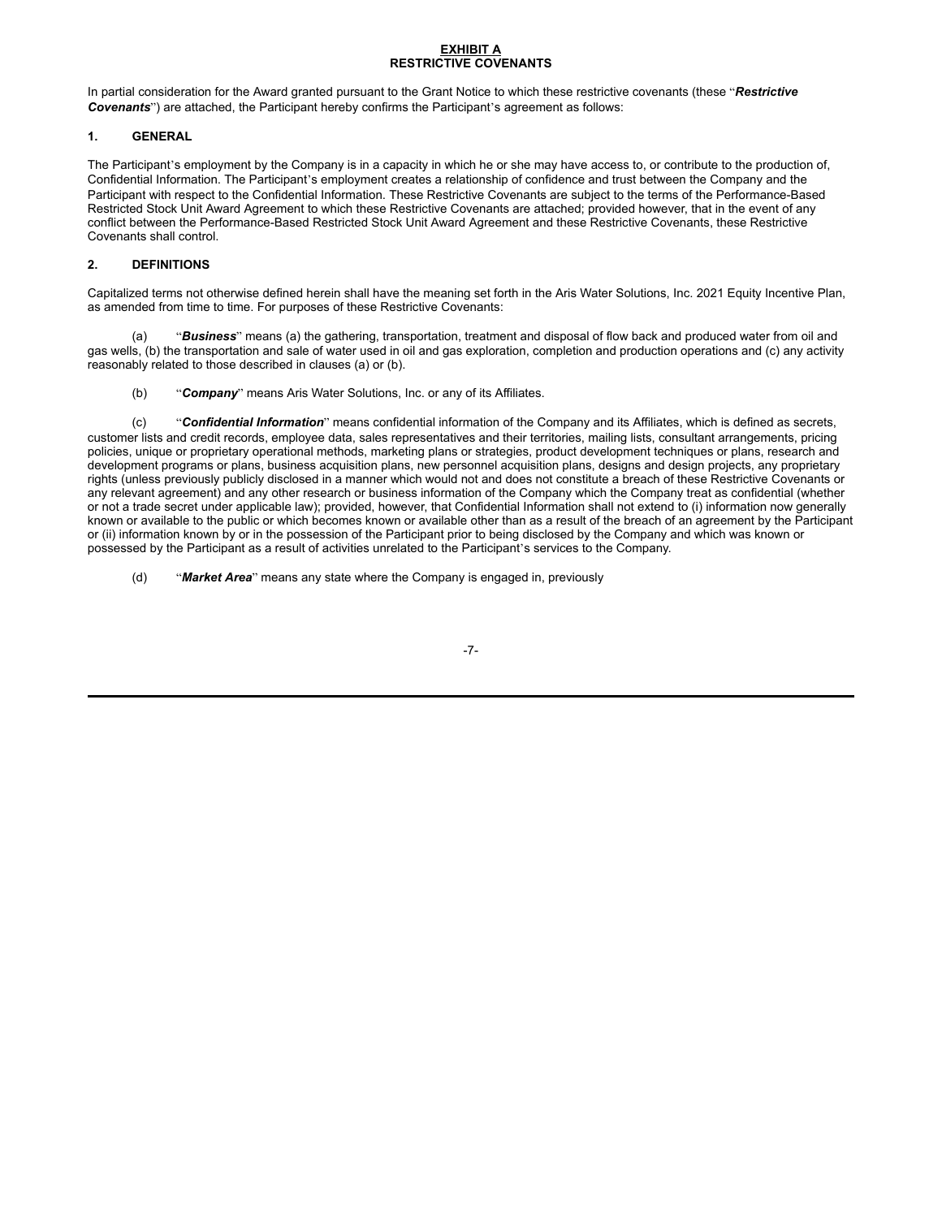## **EXHIBIT A RESTRICTIVE COVENANTS**

In partial consideration for the Award granted pursuant to the Grant Notice to which these restrictive covenants (these "*Restrictive Covenants*") are attached, the Participant hereby confirms the Participant's agreement as follows:

# **1. GENERAL**

The Participant's employment by the Company is in a capacity in which he or she may have access to, or contribute to the production of, Confidential Information. The Participant's employment creates a relationship of confidence and trust between the Company and the Participant with respect to the Confidential Information. These Restrictive Covenants are subject to the terms of the Performance-Based Restricted Stock Unit Award Agreement to which these Restrictive Covenants are attached; provided however, that in the event of any conflict between the Performance-Based Restricted Stock Unit Award Agreement and these Restrictive Covenants, these Restrictive Covenants shall control.

# **2. DEFINITIONS**

Capitalized terms not otherwise defined herein shall have the meaning set forth in the Aris Water Solutions, Inc. 2021 Equity Incentive Plan, as amended from time to time. For purposes of these Restrictive Covenants:

(a) "*Business*" means (a) the gathering, transportation, treatment and disposal of flow back and produced water from oil and gas wells, (b) the transportation and sale of water used in oil and gas exploration, completion and production operations and (c) any activity reasonably related to those described in clauses (a) or (b).

(b) "*Company*" means Aris Water Solutions, Inc. or any of its Affiliates.

(c) "*Confidential Information*" means confidential information of the Company and its Affiliates, which is defined as secrets, customer lists and credit records, employee data, sales representatives and their territories, mailing lists, consultant arrangements, pricing policies, unique or proprietary operational methods, marketing plans or strategies, product development techniques or plans, research and development programs or plans, business acquisition plans, new personnel acquisition plans, designs and design projects, any proprietary rights (unless previously publicly disclosed in a manner which would not and does not constitute a breach of these Restrictive Covenants or any relevant agreement) and any other research or business information of the Company which the Company treat as confidential (whether or not a trade secret under applicable law); provided, however, that Confidential Information shall not extend to (i) information now generally known or available to the public or which becomes known or available other than as a result of the breach of an agreement by the Participant or (ii) information known by or in the possession of the Participant prior to being disclosed by the Company and which was known or possessed by the Participant as a result of activities unrelated to the Participant's services to the Company.

(d) "*Market Area*" means any state where the Company is engaged in, previously

-7-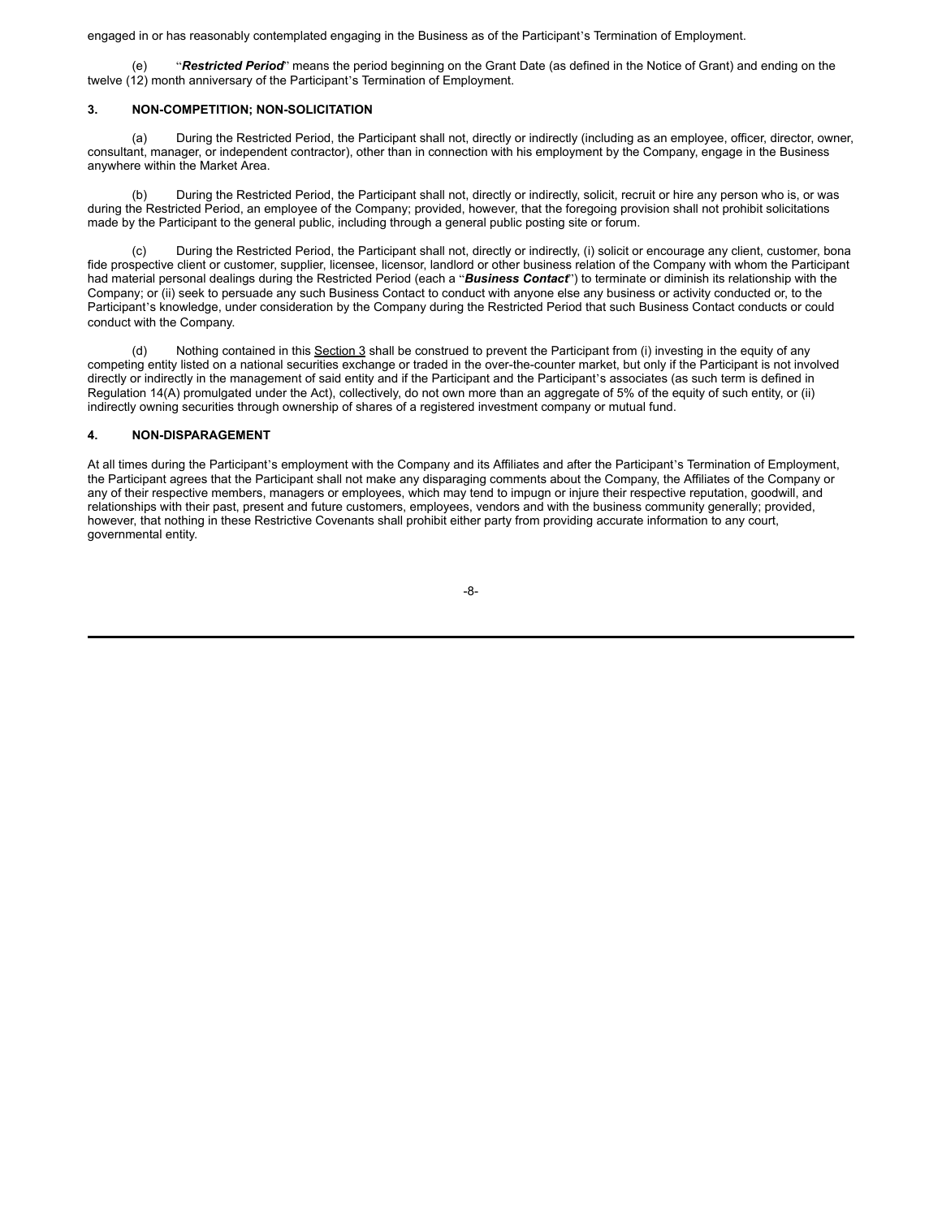engaged in or has reasonably contemplated engaging in the Business as of the Participant's Termination of Employment.

"Restricted Period" means the period beginning on the Grant Date (as defined in the Notice of Grant) and ending on the twelve (12) month anniversary of the Participant's Termination of Employment.

## **3. NON-COMPETITION; NON-SOLICITATION**

(a) During the Restricted Period, the Participant shall not, directly or indirectly (including as an employee, officer, director, owner, consultant, manager, or independent contractor), other than in connection with his employment by the Company, engage in the Business anywhere within the Market Area.

(b) During the Restricted Period, the Participant shall not, directly or indirectly, solicit, recruit or hire any person who is, or was during the Restricted Period, an employee of the Company; provided, however, that the foregoing provision shall not prohibit solicitations made by the Participant to the general public, including through a general public posting site or forum.

During the Restricted Period, the Participant shall not, directly or indirectly, (i) solicit or encourage any client, customer, bona fide prospective client or customer, supplier, licensee, licensor, landlord or other business relation of the Company with whom the Participant had material personal dealings during the Restricted Period (each a "*Business Contact*") to terminate or diminish its relationship with the Company; or (ii) seek to persuade any such Business Contact to conduct with anyone else any business or activity conducted or, to the Participant's knowledge, under consideration by the Company during the Restricted Period that such Business Contact conducts or could conduct with the Company.

(d) Nothing contained in this Section 3 shall be construed to prevent the Participant from (i) investing in the equity of any competing entity listed on a national securities exchange or traded in the over-the-counter market, but only if the Participant is not involved directly or indirectly in the management of said entity and if the Participant and the Participant's associates (as such term is defined in Regulation 14(A) promulgated under the Act), collectively, do not own more than an aggregate of 5% of the equity of such entity, or (ii) indirectly owning securities through ownership of shares of a registered investment company or mutual fund.

## **4. NON-DISPARAGEMENT**

At all times during the Participant's employment with the Company and its Affiliates and after the Participant's Termination of Employment, the Participant agrees that the Participant shall not make any disparaging comments about the Company, the Affiliates of the Company or any of their respective members, managers or employees, which may tend to impugn or injure their respective reputation, goodwill, and relationships with their past, present and future customers, employees, vendors and with the business community generally; provided, however, that nothing in these Restrictive Covenants shall prohibit either party from providing accurate information to any court, governmental entity.

-8-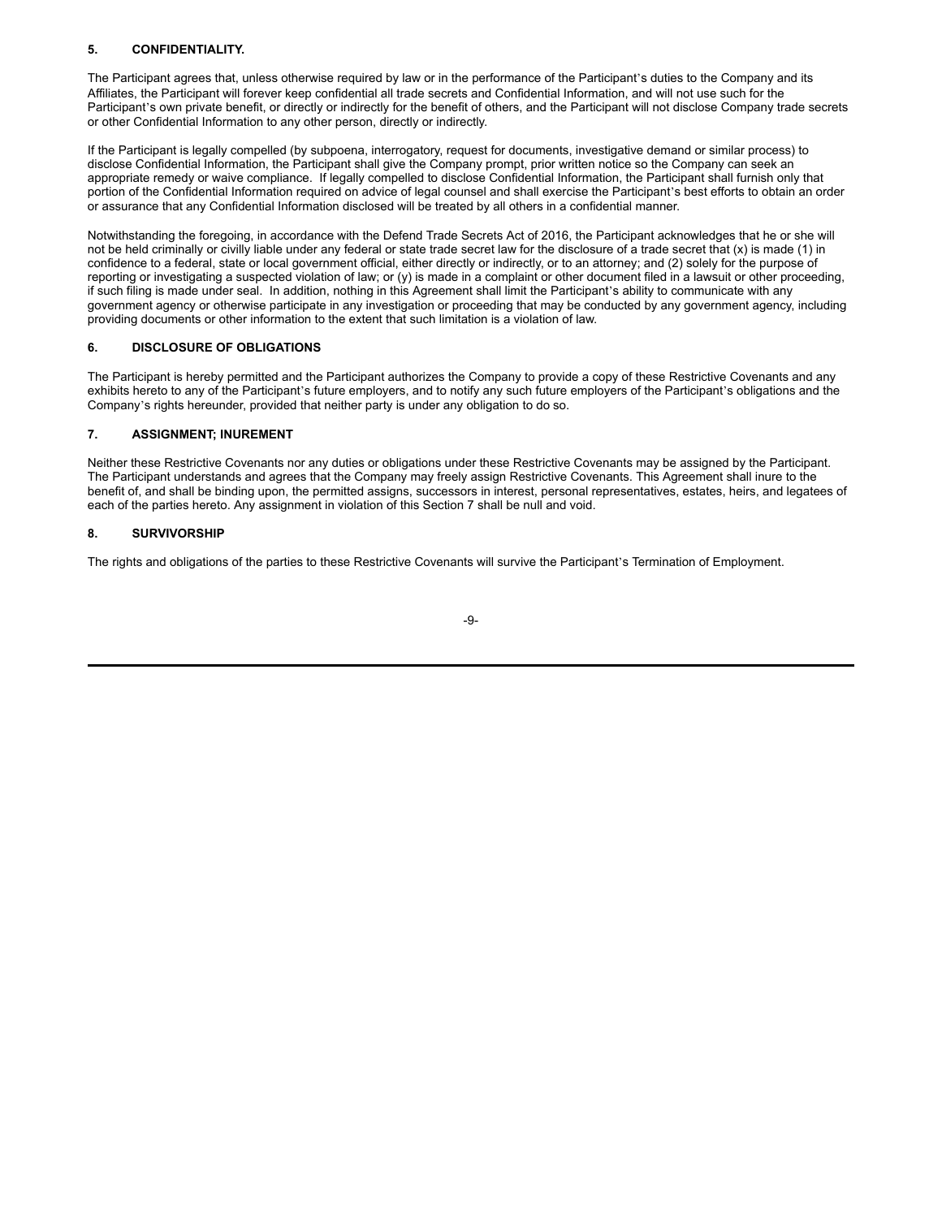# **5. CONFIDENTIALITY.**

The Participant agrees that, unless otherwise required by law or in the performance of the Participant's duties to the Company and its Affiliates, the Participant will forever keep confidential all trade secrets and Confidential Information, and will not use such for the Participant's own private benefit, or directly or indirectly for the benefit of others, and the Participant will not disclose Company trade secrets or other Confidential Information to any other person, directly or indirectly.

If the Participant is legally compelled (by subpoena, interrogatory, request for documents, investigative demand or similar process) to disclose Confidential Information, the Participant shall give the Company prompt, prior written notice so the Company can seek an appropriate remedy or waive compliance. If legally compelled to disclose Confidential Information, the Participant shall furnish only that portion of the Confidential Information required on advice of legal counsel and shall exercise the Participant's best efforts to obtain an order or assurance that any Confidential Information disclosed will be treated by all others in a confidential manner.

Notwithstanding the foregoing, in accordance with the Defend Trade Secrets Act of 2016, the Participant acknowledges that he or she will not be held criminally or civilly liable under any federal or state trade secret law for the disclosure of a trade secret that (x) is made (1) in confidence to a federal, state or local government official, either directly or indirectly, or to an attorney; and (2) solely for the purpose of reporting or investigating a suspected violation of law; or (y) is made in a complaint or other document filed in a lawsuit or other proceeding, if such filing is made under seal. In addition, nothing in this Agreement shall limit the Participant's ability to communicate with any government agency or otherwise participate in any investigation or proceeding that may be conducted by any government agency, including providing documents or other information to the extent that such limitation is a violation of law.

# **6. DISCLOSURE OF OBLIGATIONS**

The Participant is hereby permitted and the Participant authorizes the Company to provide a copy of these Restrictive Covenants and any exhibits hereto to any of the Participant's future employers, and to notify any such future employers of the Participant's obligations and the Company's rights hereunder, provided that neither party is under any obligation to do so.

## **7. ASSIGNMENT; INUREMENT**

Neither these Restrictive Covenants nor any duties or obligations under these Restrictive Covenants may be assigned by the Participant. The Participant understands and agrees that the Company may freely assign Restrictive Covenants. This Agreement shall inure to the benefit of, and shall be binding upon, the permitted assigns, successors in interest, personal representatives, estates, heirs, and legatees of each of the parties hereto. Any assignment in violation of this Section 7 shall be null and void.

# **8. SURVIVORSHIP**

The rights and obligations of the parties to these Restrictive Covenants will survive the Participant's Termination of Employment.

-9-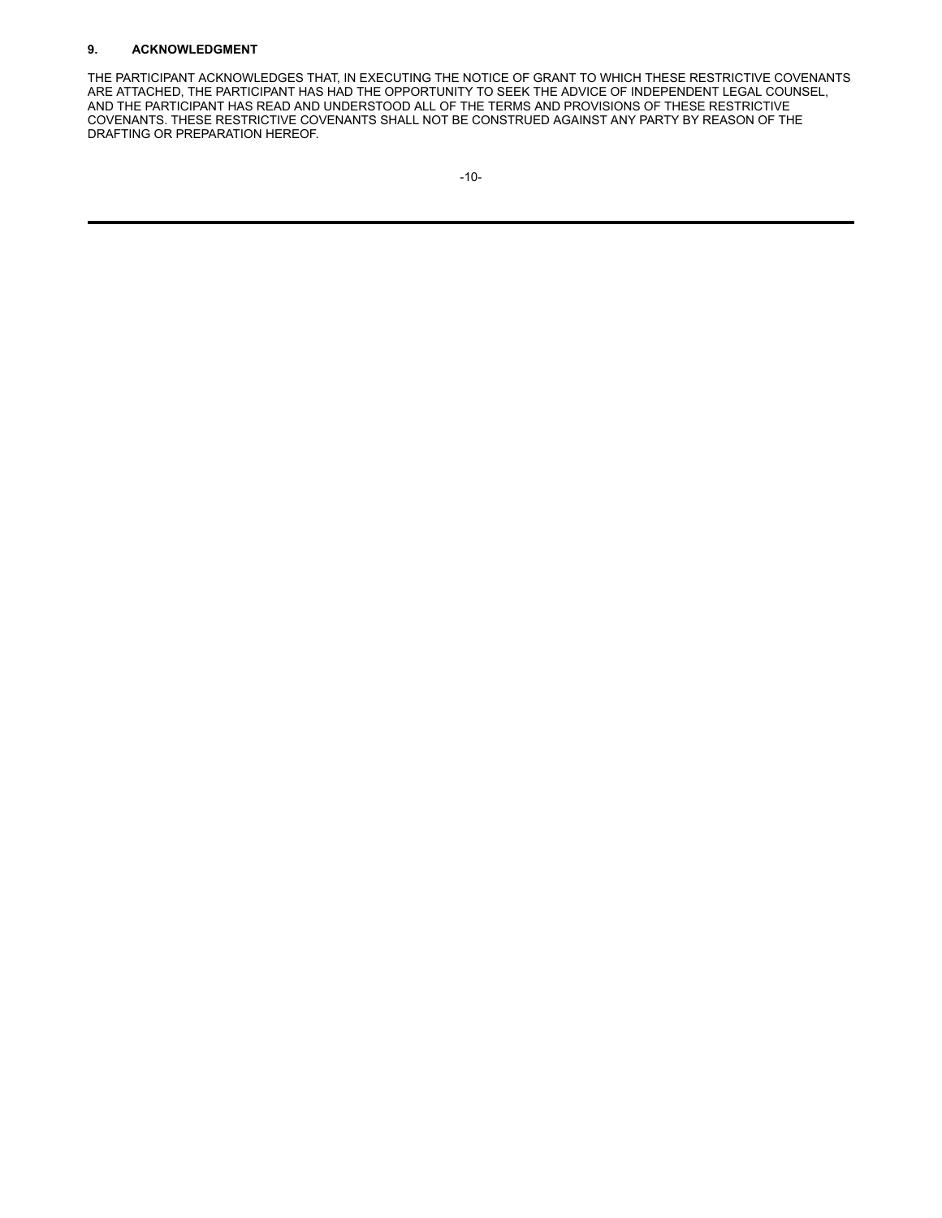# **9. ACKNOWLEDGMENT**

THE PARTICIPANT ACKNOWLEDGES THAT, IN EXECUTING THE NOTICE OF GRANT TO WHICH THESE RESTRICTIVE COVENANTS ARE ATTACHED, THE PARTICIPANT HAS HAD THE OPPORTUNITY TO SEEK THE ADVICE OF INDEPENDENT LEGAL COUNSEL, AND THE PARTICIPANT HAS READ AND UNDERSTOOD ALL OF THE TERMS AND PROVISIONS OF THESE RESTRICTIVE COVENANTS. THESE RESTRICTIVE COVENANTS SHALL NOT BE CONSTRUED AGAINST ANY PARTY BY REASON OF THE DRAFTING OR PREPARATION HEREOF.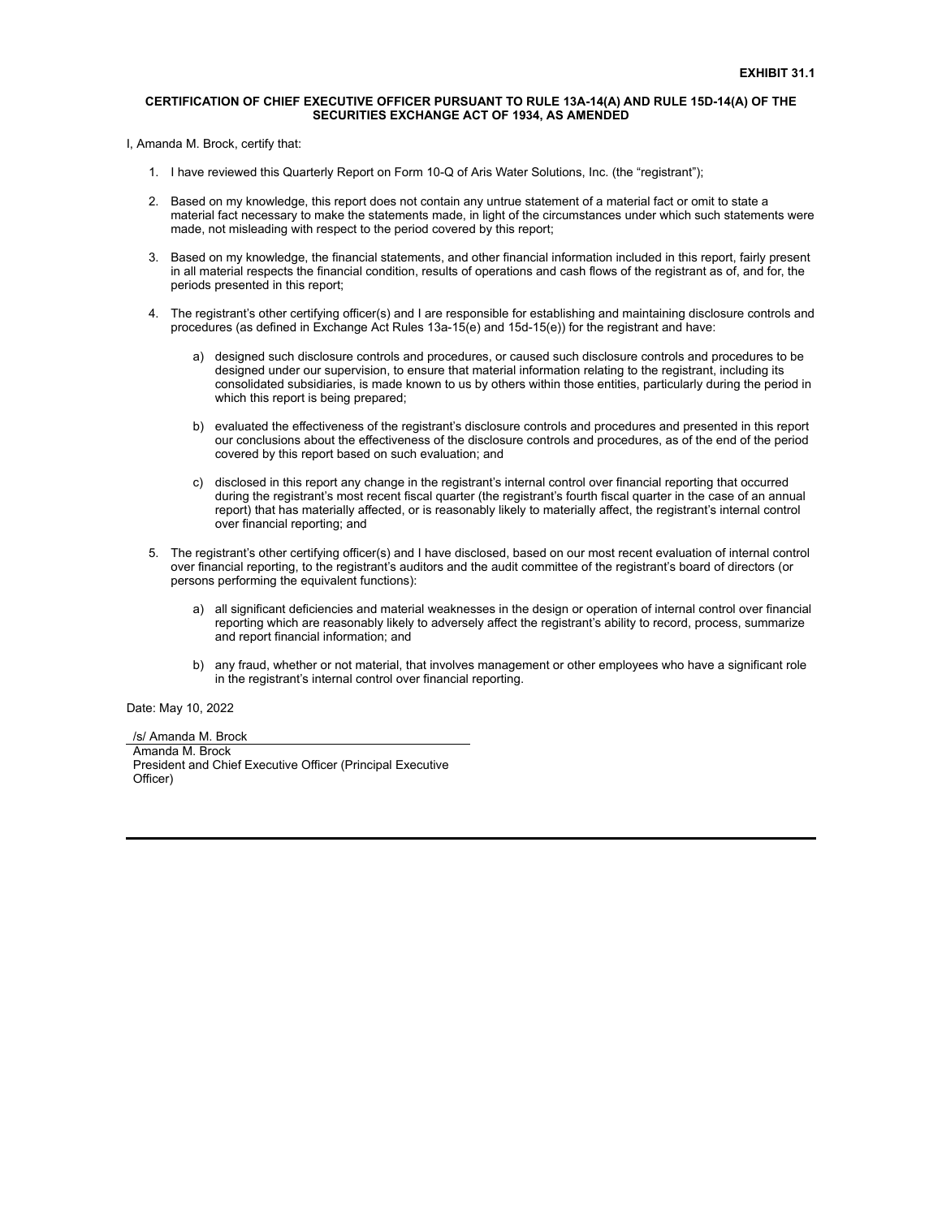## **CERTIFICATION OF CHIEF EXECUTIVE OFFICER PURSUANT TO RULE 13A-14(A) AND RULE 15D-14(A) OF THE SECURITIES EXCHANGE ACT OF 1934, AS AMENDED**

I, Amanda M. Brock, certify that:

- 1. I have reviewed this Quarterly Report on Form 10-Q of Aris Water Solutions, Inc. (the "registrant");
- 2. Based on my knowledge, this report does not contain any untrue statement of a material fact or omit to state a material fact necessary to make the statements made, in light of the circumstances under which such statements were made, not misleading with respect to the period covered by this report;
- 3. Based on my knowledge, the financial statements, and other financial information included in this report, fairly present in all material respects the financial condition, results of operations and cash flows of the registrant as of, and for, the periods presented in this report;
- 4. The registrant's other certifying officer(s) and I are responsible for establishing and maintaining disclosure controls and procedures (as defined in Exchange Act Rules 13a-15(e) and 15d-15(e)) for the registrant and have:
	- a) designed such disclosure controls and procedures, or caused such disclosure controls and procedures to be designed under our supervision, to ensure that material information relating to the registrant, including its consolidated subsidiaries, is made known to us by others within those entities, particularly during the period in which this report is being prepared;
	- b) evaluated the effectiveness of the registrant's disclosure controls and procedures and presented in this report our conclusions about the effectiveness of the disclosure controls and procedures, as of the end of the period covered by this report based on such evaluation; and
	- c) disclosed in this report any change in the registrant's internal control over financial reporting that occurred during the registrant's most recent fiscal quarter (the registrant's fourth fiscal quarter in the case of an annual report) that has materially affected, or is reasonably likely to materially affect, the registrant's internal control over financial reporting; and
- 5. The registrant's other certifying officer(s) and I have disclosed, based on our most recent evaluation of internal control over financial reporting, to the registrant's auditors and the audit committee of the registrant's board of directors (or persons performing the equivalent functions):
	- a) all significant deficiencies and material weaknesses in the design or operation of internal control over financial reporting which are reasonably likely to adversely affect the registrant's ability to record, process, summarize and report financial information; and
	- b) any fraud, whether or not material, that involves management or other employees who have a significant role in the registrant's internal control over financial reporting.

Date: May 10, 2022

/s/ Amanda M. Brock Amanda M. Brock President and Chief Executive Officer (Principal Executive Officer)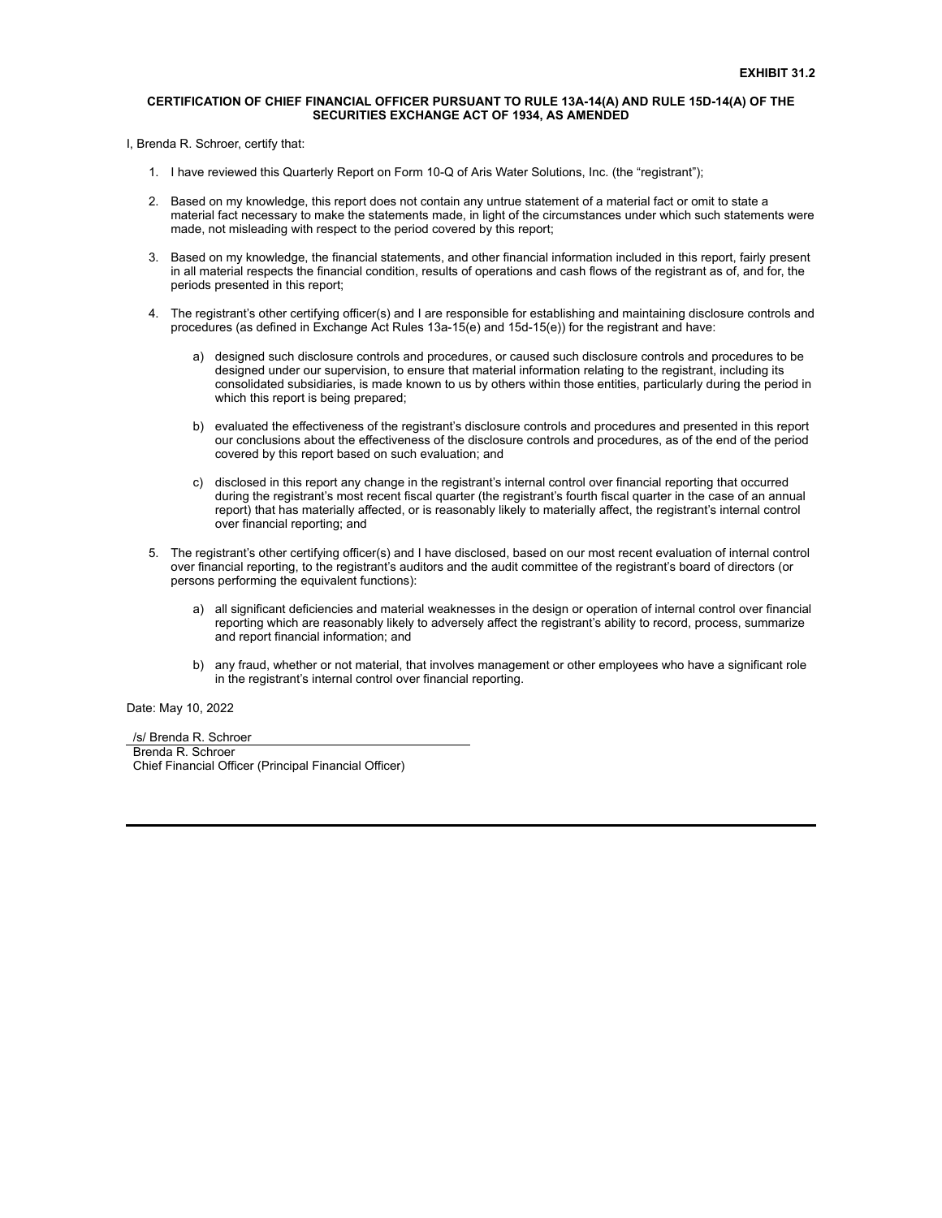### **CERTIFICATION OF CHIEF FINANCIAL OFFICER PURSUANT TO RULE 13A-14(A) AND RULE 15D-14(A) OF THE SECURITIES EXCHANGE ACT OF 1934, AS AMENDED**

I, Brenda R. Schroer, certify that:

- 1. I have reviewed this Quarterly Report on Form 10-Q of Aris Water Solutions, Inc. (the "registrant");
- 2. Based on my knowledge, this report does not contain any untrue statement of a material fact or omit to state a material fact necessary to make the statements made, in light of the circumstances under which such statements were made, not misleading with respect to the period covered by this report;
- 3. Based on my knowledge, the financial statements, and other financial information included in this report, fairly present in all material respects the financial condition, results of operations and cash flows of the registrant as of, and for, the periods presented in this report;
- 4. The registrant's other certifying officer(s) and I are responsible for establishing and maintaining disclosure controls and procedures (as defined in Exchange Act Rules 13a-15(e) and 15d-15(e)) for the registrant and have:
	- a) designed such disclosure controls and procedures, or caused such disclosure controls and procedures to be designed under our supervision, to ensure that material information relating to the registrant, including its consolidated subsidiaries, is made known to us by others within those entities, particularly during the period in which this report is being prepared;
	- b) evaluated the effectiveness of the registrant's disclosure controls and procedures and presented in this report our conclusions about the effectiveness of the disclosure controls and procedures, as of the end of the period covered by this report based on such evaluation; and
	- c) disclosed in this report any change in the registrant's internal control over financial reporting that occurred during the registrant's most recent fiscal quarter (the registrant's fourth fiscal quarter in the case of an annual report) that has materially affected, or is reasonably likely to materially affect, the registrant's internal control over financial reporting; and
- 5. The registrant's other certifying officer(s) and I have disclosed, based on our most recent evaluation of internal control over financial reporting, to the registrant's auditors and the audit committee of the registrant's board of directors (or persons performing the equivalent functions):
	- a) all significant deficiencies and material weaknesses in the design or operation of internal control over financial reporting which are reasonably likely to adversely affect the registrant's ability to record, process, summarize and report financial information; and
	- b) any fraud, whether or not material, that involves management or other employees who have a significant role in the registrant's internal control over financial reporting.

Date: May 10, 2022

/s/ Brenda R. Schroer Brenda R. Schroer Chief Financial Officer (Principal Financial Officer)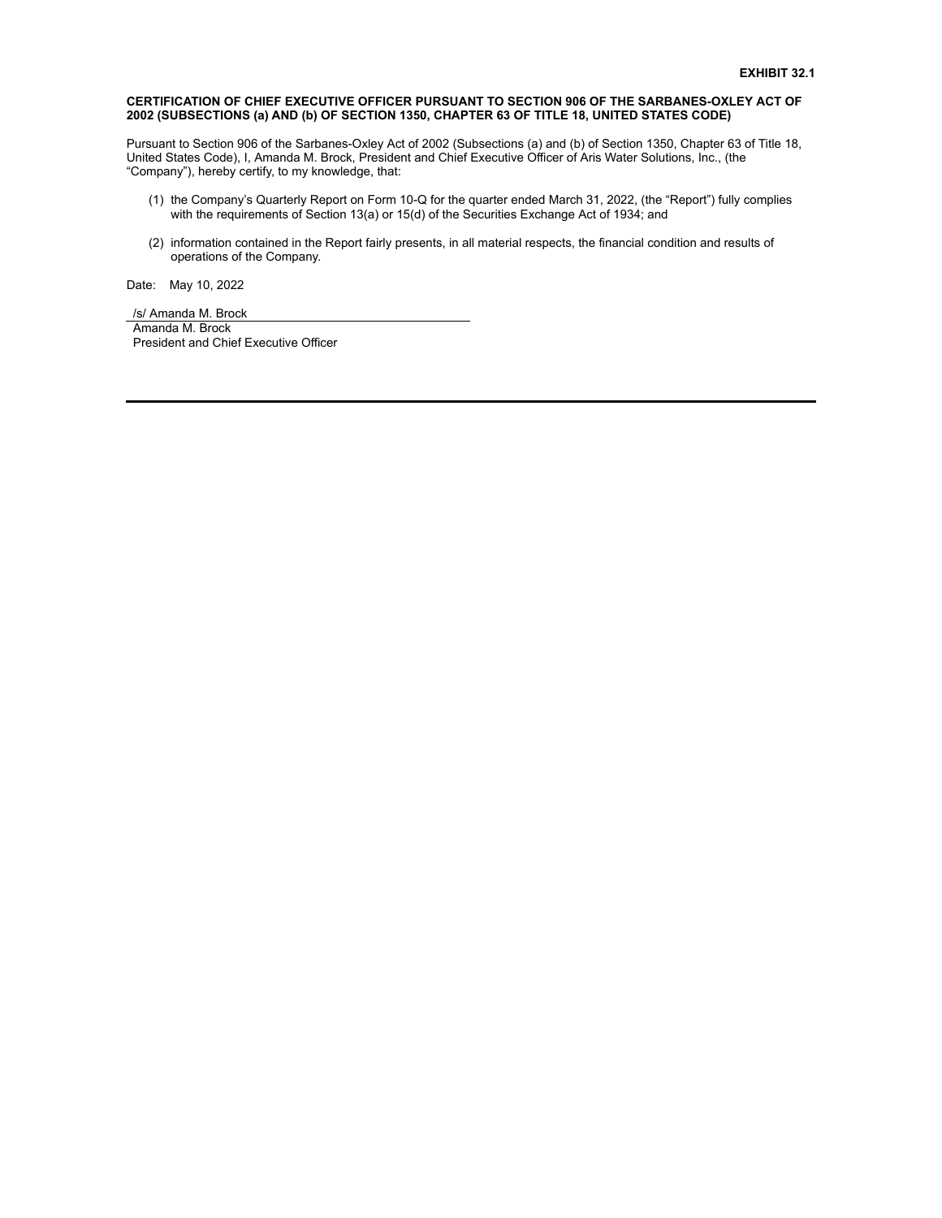## **CERTIFICATION OF CHIEF EXECUTIVE OFFICER PURSUANT TO SECTION 906 OF THE SARBANES-OXLEY ACT OF 2002 (SUBSECTIONS (a) AND (b) OF SECTION 1350, CHAPTER 63 OF TITLE 18, UNITED STATES CODE)**

Pursuant to Section 906 of the Sarbanes-Oxley Act of 2002 (Subsections (a) and (b) of Section 1350, Chapter 63 of Title 18, United States Code), I, Amanda M. Brock, President and Chief Executive Officer of Aris Water Solutions, Inc., (the "Company"), hereby certify, to my knowledge, that:

- (1) the Company's Quarterly Report on Form 10-Q for the quarter ended March 31, 2022, (the "Report") fully complies with the requirements of Section 13(a) or 15(d) of the Securities Exchange Act of 1934; and
- (2) information contained in the Report fairly presents, in all material respects, the financial condition and results of operations of the Company.

Date: May 10, 2022

/s/ Amanda M. Brock Amanda M. Brock President and Chief Executive Officer